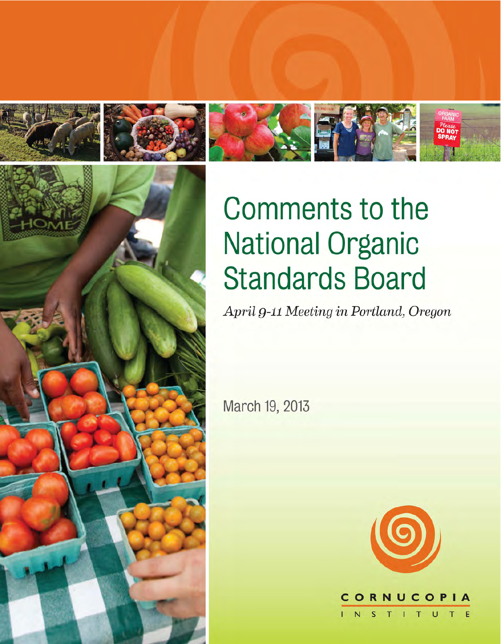







# **Comments to the National Organic Standards Board**

April 9-11 Meeting in Portland, Oregon

March 19, 2013



 $T$  $\cup$ E T.  $\overline{N}$ 

 $\mathbf c$ 

C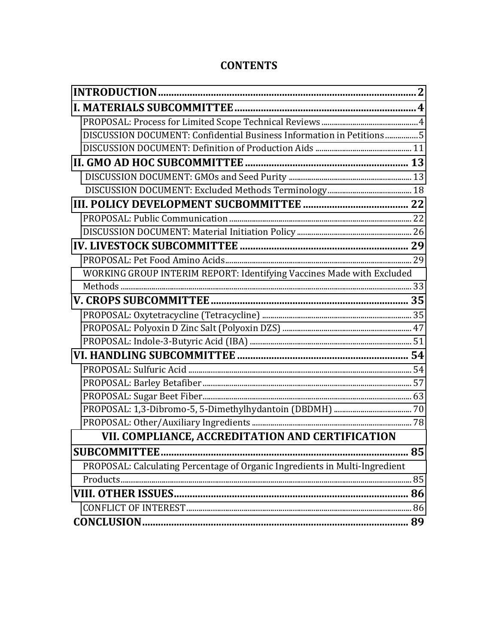## **CONTENTS**

| DISCUSSION DOCUMENT: Confidential Business Information in Petitions5        |  |
|-----------------------------------------------------------------------------|--|
|                                                                             |  |
|                                                                             |  |
|                                                                             |  |
|                                                                             |  |
|                                                                             |  |
|                                                                             |  |
|                                                                             |  |
|                                                                             |  |
|                                                                             |  |
| WORKING GROUP INTERIM REPORT: Identifying Vaccines Made with Excluded       |  |
|                                                                             |  |
|                                                                             |  |
|                                                                             |  |
|                                                                             |  |
|                                                                             |  |
|                                                                             |  |
|                                                                             |  |
|                                                                             |  |
|                                                                             |  |
|                                                                             |  |
|                                                                             |  |
| VII. COMPLIANCE, ACCREDITATION AND CERTIFICATION                            |  |
|                                                                             |  |
| PROPOSAL: Calculating Percentage of Organic Ingredients in Multi-Ingredient |  |
|                                                                             |  |
|                                                                             |  |
|                                                                             |  |
|                                                                             |  |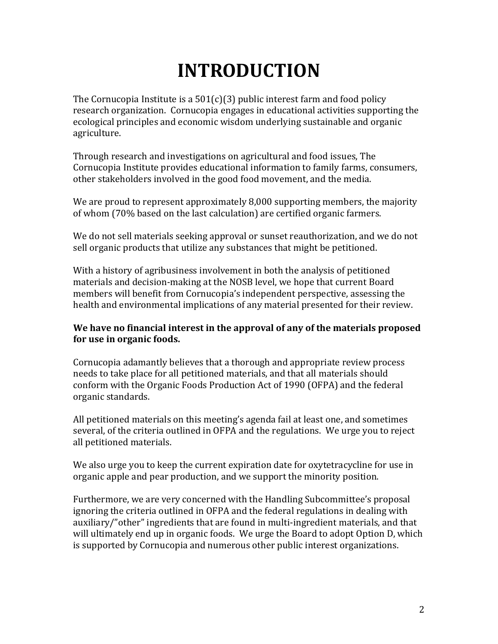## **INTRODUCTION**

<span id="page-2-1"></span><span id="page-2-0"></span>The Cornucopia Institute is a  $501(c)(3)$  public interest farm and food policy research organization. Cornucopia engages in educational activities supporting the ecological principles and economic wisdom underlying sustainable and organic agriculture.

Through research and investigations on agricultural and food issues, The Cornucopia Institute provides educational information to family farms, consumers, other stakeholders involved in the good food movement, and the media.

We are proud to represent approximately  $8,000$  supporting members, the majority of whom (70% based on the last calculation) are certified organic farmers.

We do not sell materials seeking approval or sunset reauthorization, and we do not sell organic products that utilize any substances that might be petitioned.

With a history of agribusiness involvement in both the analysis of petitioned materials and decision-making at the NOSB level, we hope that current Board members will benefit from Cornucopia's independent perspective, assessing the health and environmental implications of any material presented for their review.

#### We have no financial interest in the approval of any of the materials proposed for use in organic foods.

Cornucopia adamantly believes that a thorough and appropriate review process needs to take place for all petitioned materials, and that all materials should conform with the Organic Foods Production Act of 1990 (OFPA) and the federal organic standards.

All petitioned materials on this meeting's agenda fail at least one, and sometimes several, of the criteria outlined in OFPA and the regulations. We urge you to reject all petitioned materials.

We also urge you to keep the current expiration date for oxytetracycline for use in organic apple and pear production, and we support the minority position.

Furthermore, we are very concerned with the Handling Subcommittee's proposal ignoring the criteria outlined in OFPA and the federal regulations in dealing with auxiliary/"other" ingredients that are found in multi-ingredient materials, and that will ultimately end up in organic foods. We urge the Board to adopt Option D, which is supported by Cornucopia and numerous other public interest organizations.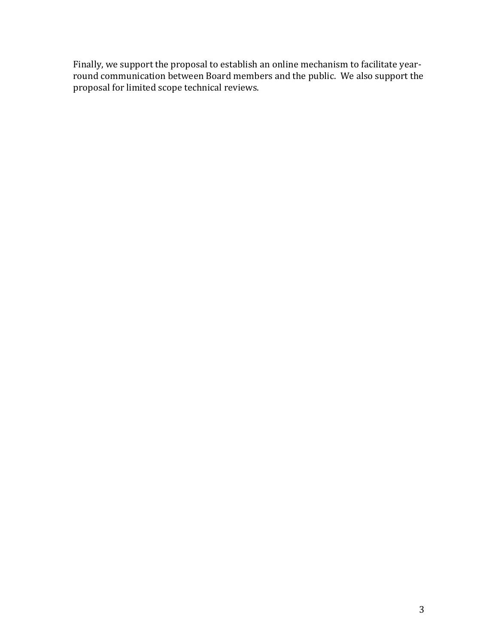Finally, we support the proposal to establish an online mechanism to facilitate yearround communication between Board members and the public. We also support the proposal for limited scope technical reviews.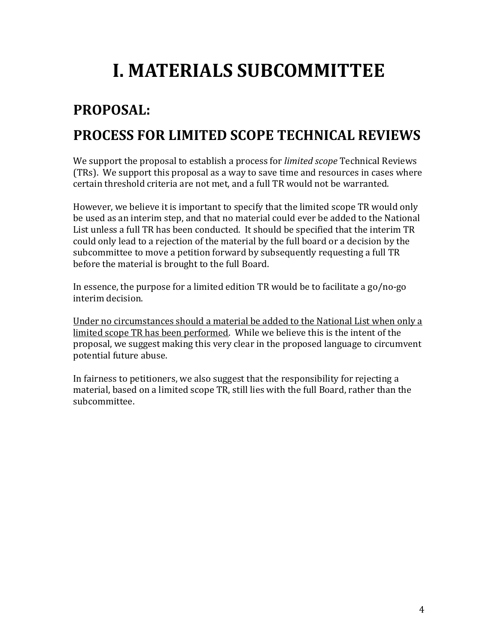## **I. MATERIALS SUBCOMMITTEE**

## <span id="page-4-0"></span>**PROPOSAL:'' PROCESS'FOR'LIMITED'SCOPE'TECHNICAL'REVIEWS'**

We support the proposal to establish a process for *limited scope* Technical Reviews (TRs). We support this proposal as a way to save time and resources in cases where certain threshold criteria are not met, and a full TR would not be warranted.

However, we believe it is important to specify that the limited scope TR would only be used as an interim step, and that no material could ever be added to the National List unless a full TR has been conducted. It should be specified that the interim TR could only lead to a rejection of the material by the full board or a decision by the subcommittee to move a petition forward by subsequently requesting a full TR before the material is brought to the full Board.

In essence, the purpose for a limited edition TR would be to facilitate a go/no-go interim decision.

Under no circumstances should a material be added to the National List when only a limited scope TR has been performed. While we believe this is the intent of the proposal, we suggest making this very clear in the proposed language to circumvent potential future abuse.

In fairness to petitioners, we also suggest that the responsibility for rejecting a material, based on a limited scope TR, still lies with the full Board, rather than the subcommittee.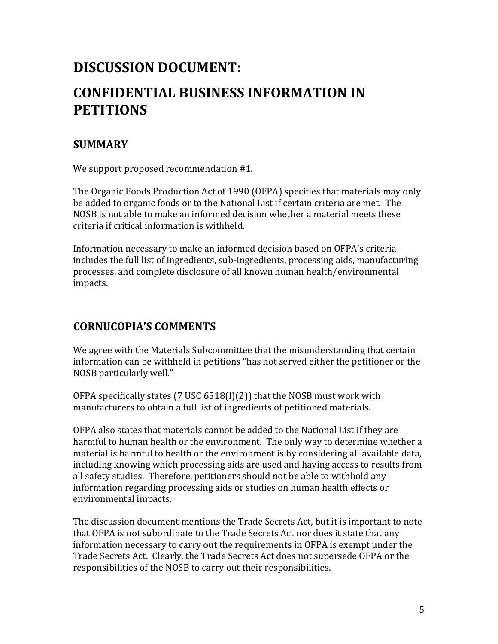## <span id="page-5-0"></span>**DISCUSSION'DOCUMENT:'' CONFIDENTIAL'BUSINESS'INFORMATION'IN' PETITIONS'**

## **SUMMARY'**

We support proposed recommendation #1.

The Organic Foods Production Act of 1990 (OFPA) specifies that materials may only be added to organic foods or to the National List if certain criteria are met. The NOSB is not able to make an informed decision whether a material meets these criteria if critical information is withheld.

Information necessary to make an informed decision based on OFPA's criteria includes the full list of ingredients, sub-ingredients, processing aids, manufacturing processes, and complete disclosure of all known human health/environmental impacts.

## **CORNUCOPIA'S COMMENTS**

We agree with the Materials Subcommittee that the misunderstanding that certain information can be withheld in petitions "has not served either the petitioner or the NOSB particularly well."

OFPA specifically states (7 USC  $6518(1)(2)$ ) that the NOSB must work with manufacturers to obtain a full list of ingredients of petitioned materials.

OFPA also states that materials cannot be added to the National List if they are harmful to human health or the environment. The only way to determine whether a material is harmful to health or the environment is by considering all available data, including knowing which processing aids are used and having access to results from all safety studies. Therefore, petitioners should not be able to withhold any information regarding processing aids or studies on human health effects or environmental impacts.

The discussion document mentions the Trade Secrets Act, but it is important to note that OFPA is not subordinate to the Trade Secrets Act nor does it state that any information necessary to carry out the requirements in OFPA is exempt under the Trade Secrets Act. Clearly, the Trade Secrets Act does not supersede OFPA or the responsibilities of the NOSB to carry out their responsibilities.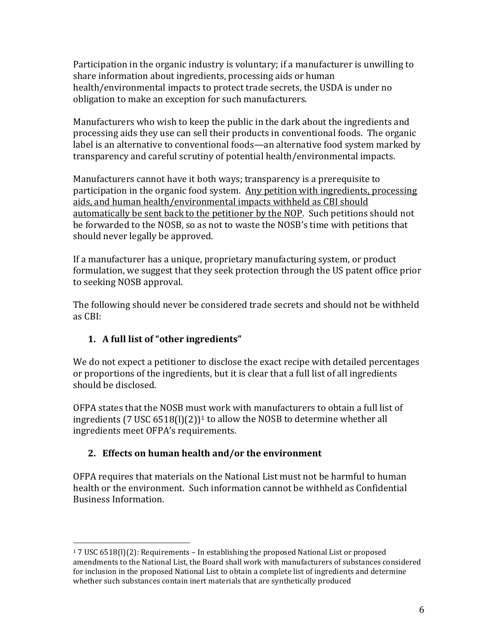Participation in the organic industry is voluntary; if a manufacturer is unwilling to share information about ingredients, processing aids or human health/environmental impacts to protect trade secrets, the USDA is under no obligation to make an exception for such manufacturers.

Manufacturers who wish to keep the public in the dark about the ingredients and processing aids they use can sell their products in conventional foods. The organic label is an alternative to conventional foods—an alternative food system marked by transparency and careful scrutiny of potential health/environmental impacts.

Manufacturers cannot have it both ways; transparency is a prerequisite to  $\overline{a}$ participation in the organic food system. Any petition with ingredients, processing aids, and human health/environmental impacts withheld as CBI should automatically be sent back to the petitioner by the NOP. Such petitions should not be forwarded to the NOSB, so as not to waste the NOSB's time with petitions that should never legally be approved.

If a manufacturer has a unique, proprietary manufacturing system, or product formulation, we suggest that they seek protection through the US patent office prior to seeking NOSB approval.

The following should never be considered trade secrets and should not be withheld as CBI:

### **1.** A full list of "other ingredients"

We do not expect a petitioner to disclose the exact recipe with detailed percentages or proportions of the ingredients, but it is clear that a full list of all ingredients should be disclosed.

OFPA states that the NOSB must work with manufacturers to obtain a full list of ingredients (7 USC  $6518(1)(2)$ <sup>1</sup> to allow the NOSB to determine whether all ingredients meet OFPA's requirements.

### 2. **Effects on human health and/or the environment**

OFPA requires that materials on the National List must not be harmful to human health or the environment. Such information cannot be withheld as Confidential Business Information.

<sup>!!!!!!!!!!!!!!!!!!!!!!!!!!!!!!!!!!!!!!!!!!!!!!!!!!!!!!!</sup>  $17 \text{ USC } 6518(1)(2)$ : Requirements – In establishing the proposed National List or proposed amendments to the National List, the Board shall work with manufacturers of substances considered for inclusion in the proposed National List to obtain a complete list of ingredients and determine whether such substances contain inert materials that are synthetically produced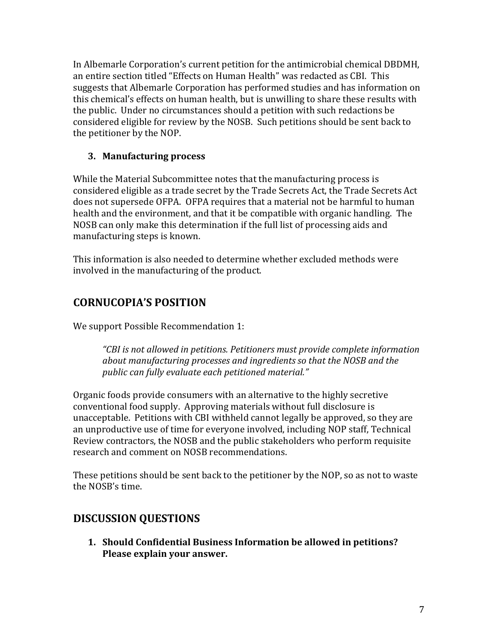In Albemarle Corporation's current petition for the antimicrobial chemical DBDMH, an entire section titled "Effects on Human Health" was redacted as CBI. This suggests that Albemarle Corporation has performed studies and has information on this chemical's effects on human health, but is unwilling to share these results with the public. Under no circumstances should a petition with such redactions be considered eligible for review by the NOSB. Such petitions should be sent back to the petitioner by the NOP.

### **3. Manufacturing'process'**

While the Material Subcommittee notes that the manufacturing process is considered eligible as a trade secret by the Trade Secrets Act, the Trade Secrets Act does not supersede OFPA. OFPA requires that a material not be harmful to human health and the environment, and that it be compatible with organic handling. The NOSB can only make this determination if the full list of processing aids and manufacturing steps is known.

This information is also needed to determine whether excluded methods were involved in the manufacturing of the product.

## **CORNUCOPIAǯS'POSITION'**

We support Possible Recommendation 1:

"CBI is not allowed in petitions. Petitioners must provide complete information *about'manufacturing'processes'and'ingredients'so'that'the'NOSB'and'the' public'can'fully'evaluate'each'petitioned'material.dz''*

Organic foods provide consumers with an alternative to the highly secretive conventional food supply. Approving materials without full disclosure is unacceptable. Petitions with CBI withheld cannot legally be approved, so they are an unproductive use of time for everyone involved, including NOP staff, Technical Review contractors, the NOSB and the public stakeholders who perform requisite research and comment on NOSB recommendations.

These petitions should be sent back to the petitioner by the NOP, so as not to waste the NOSB's time.

## **DISCUSSION'QUESTIONS'**

**1. Should'Confidential'Business'Information'be'allowed'in'petitions?'** Please explain your answer.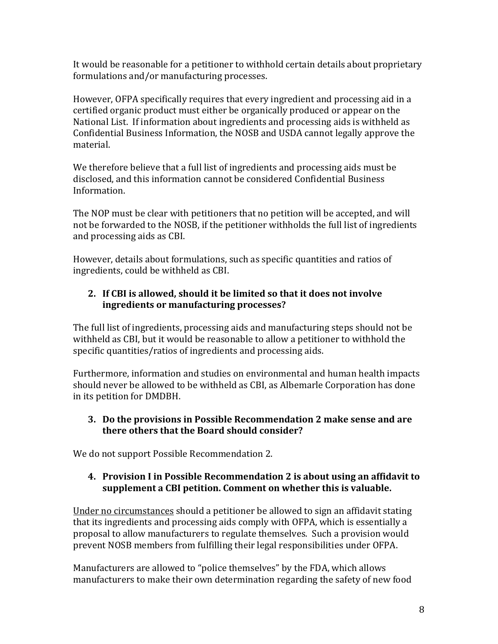It would be reasonable for a petitioner to withhold certain details about proprietary formulations and/or manufacturing processes.

However, OFPA specifically requires that every ingredient and processing aid in a certified organic product must either be organically produced or appear on the National List. If information about ingredients and processing aids is withheld as Confidential Business Information, the NOSB and USDA cannot legally approve the material.

We therefore believe that a full list of ingredients and processing aids must be disclosed, and this information cannot be considered Confidential Business Information.!!!

The NOP must be clear with petitioners that no petition will be accepted, and will not be forwarded to the NOSB, if the petitioner withholds the full list of ingredients and processing aids as CBI.

However, details about formulations, such as specific quantities and ratios of ingredients, could be withheld as CBI.

### 2. If CBI is allowed, should it be limited so that it does not involve **ingredients'or'manufacturing'processes?''**

The full list of ingredients, processing aids and manufacturing steps should not be withheld as CBI, but it would be reasonable to allow a petitioner to withhold the specific quantities/ratios of ingredients and processing aids.

Furthermore, information and studies on environmental and human health impacts should never be allowed to be withheld as CBI, as Albemarle Corporation has done in its petition for DMDBH.

#### **3. Do'the'provisions'in'Possible'Recommendation'2'make'sense'and'are' there'others'that'the'Board'should'consider?''**

We do not support Possible Recommendation 2.

#### **4. Provision'I'in'Possible'Recommendation'2'is'about'using'an'affidavit'to'** supplement a CBI petition. Comment on whether this is valuable.

Under no circumstances should a petitioner be allowed to sign an affidavit stating that its ingredients and processing aids comply with OFPA, which is essentially a proposal to allow manufacturers to regulate themselves. Such a provision would prevent NOSB members from fulfilling their legal responsibilities under OFPA.

Manufacturers are allowed to "police themselves" by the FDA, which allows manufacturers to make their own determination regarding the safety of new food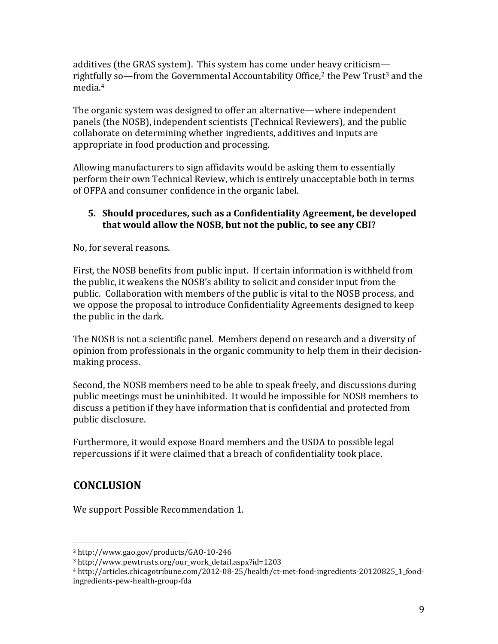additives (the GRAS system). This system has come under heavy criticism rightfully so—from the Governmental Accountability Office,<sup>2</sup> the Pew Trust<sup>3</sup> and the media.<sup>4</sup>

The organic system was designed to offer an alternative—where independent panels (the NOSB), independent scientists (Technical Reviewers), and the public collaborate on determining whether ingredients, additives and inputs are appropriate in food production and processing.

Allowing manufacturers to sign affidavits would be asking them to essentially perform their own Technical Review, which is entirely unacceptable both in terms of OFPA and consumer confidence in the organic label.

#### **5.** Should procedures, such as a Confidentiality Agreement, be developed that would allow the NOSB, but not the public, to see any CBI?

No, for several reasons.

First, the NOSB benefits from public input. If certain information is withheld from the public, it weakens the NOSB's ability to solicit and consider input from the public. Collaboration with members of the public is vital to the NOSB process, and we oppose the proposal to introduce Confidentiality Agreements designed to keep the public in the dark.

The NOSB is not a scientific panel. Members depend on research and a diversity of opinion from professionals in the organic community to help them in their decisionmaking process.

Second, the NOSB members need to be able to speak freely, and discussions during public meetings must be uninhibited. It would be impossible for NOSB members to discuss a petition if they have information that is confidential and protected from public disclosure.

Furthermore, it would expose Board members and the USDA to possible legal repercussions if it were claimed that a breach of confidentiality took place.

## **CONCLUSION'**

We support Possible Recommendation 1.

!!!!!!!!!!!!!!!!!!!!!!!!!!!!!!!!!!!!!!!!!!!!!!!!!!!!!!!

 $2 \text{ http://www.gao.gov/products/GAO-10-246}$ 

<sup>3!</sup>http://www.pewtrusts.org/our\_work\_detail.aspx?id=1203!

<sup>&</sup>lt;sup>4</sup> http://articles.chicagotribune.com/2012-08-25/health/ct-met-food-ingredients-20120825\_1\_foodingredients-pew-health-group-fda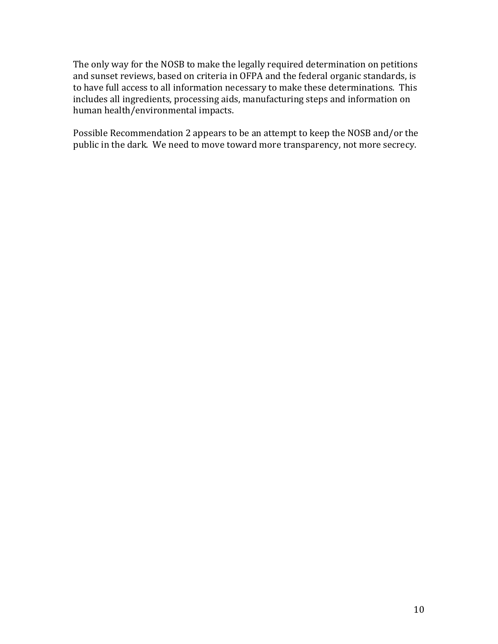The only way for the NOSB to make the legally required determination on petitions and sunset reviews, based on criteria in OFPA and the federal organic standards, is to have full access to all information necessary to make these determinations. This includes all ingredients, processing aids, manufacturing steps and information on human health/environmental impacts.

Possible Recommendation 2 appears to be an attempt to keep the NOSB and/or the public in the dark. We need to move toward more transparency, not more secrecy.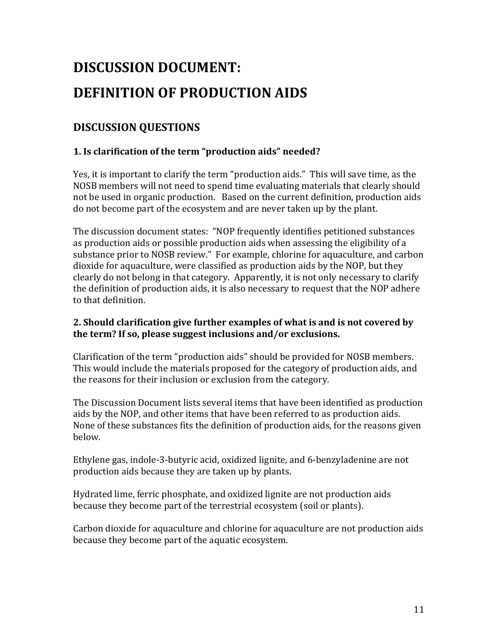## <span id="page-11-0"></span>**DISCUSSION'DOCUMENT:'' DEFINITION'OF'PRODUCTION'AIDS'**

## **DISCUSSION'QUESTIONS'**

#### **1. Is clarification of the term "production aids" needed?**

Yes, it is important to clarify the term "production aids." This will save time, as the NOSB members will not need to spend time evaluating materials that clearly should not be used in organic production. Based on the current definition, production aids do not become part of the ecosystem and are never taken up by the plant.

The discussion document states: "NOP frequently identifies petitioned substances as production aids or possible production aids when assessing the eligibility of a substance prior to NOSB review." For example, chlorine for aquaculture, and carbon dioxide for aquaculture, were classified as production aids by the NOP, but they clearly do not belong in that category. Apparently, it is not only necessary to clarify the definition of production aids, it is also necessary to request that the NOP adhere to that definition.

#### 2. Should clarification give further examples of what is and is not covered by the term? If so, please suggest inclusions and/or exclusions.

Clarification of the term "production aids" should be provided for NOSB members. This would include the materials proposed for the category of production aids, and the reasons for their inclusion or exclusion from the category.

The Discussion Document lists several items that have been identified as production aids by the NOP, and other items that have been referred to as production aids. None of these substances fits the definition of production aids, for the reasons given below.

Ethylene gas, indole-3-butyric acid, oxidized lignite, and 6-benzyladenine are not production aids because they are taken up by plants.

Hydrated lime, ferric phosphate, and oxidized lignite are not production aids because they become part of the terrestrial ecosystem (soil or plants).

Carbon dioxide for aquaculture and chlorine for aquaculture are not production aids because they become part of the aquatic ecosystem.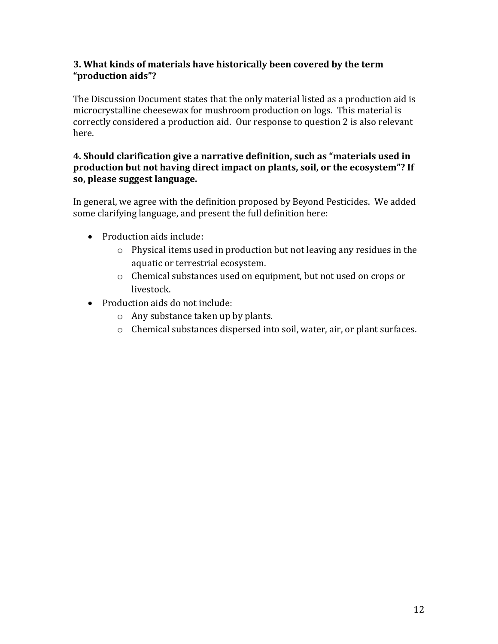#### **3.'What'kinds'of'materials'have'historically'been'covered'by'the'term' Dzproduction'aidsdz?'**

The Discussion Document states that the only material listed as a production aid is microcrystalline cheesewax for mushroom production on logs. This material is correctly considered a production aid. Our response to question 2 is also relevant here.

#### **4.** Should clarification give a narrative definition, such as "materials used in **production but not having direct impact on plants, soil, or the ecosystem"? If so,'please'suggest'language.'**

In general, we agree with the definition proposed by Beyond Pesticides. We added some clarifying language, and present the full definition here:

- Production aids include:
	- $\circ$  Physical items used in production but not leaving any residues in the aquatic or terrestrial ecosystem.
	- $\circ$  Chemical substances used on equipment, but not used on crops or livestock.
- Production aids do not include:
	- $\circ$  Any substance taken up by plants.
	- $\circ$  Chemical substances dispersed into soil, water, air, or plant surfaces.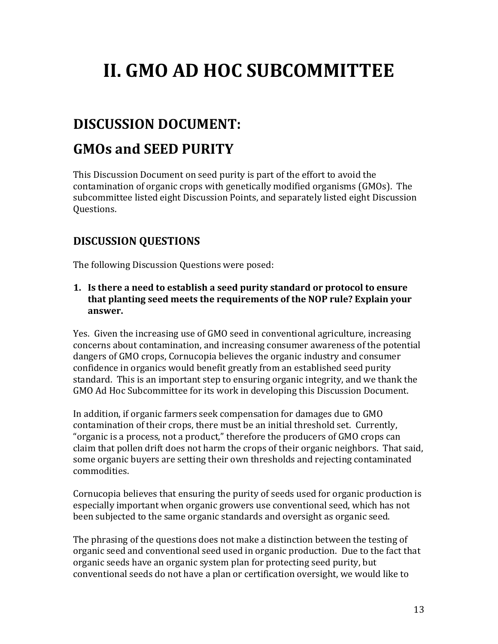## <span id="page-13-0"></span>**II. GMO AD HOC SUBCOMMITTEE**

## <span id="page-13-1"></span>**DISCUSSION'DOCUMENT:''**

## **GMOs'and'SEED'PURITY'**

This Discussion Document on seed purity is part of the effort to avoid the contamination of organic crops with genetically modified organisms (GMOs). The subcommittee listed eight Discussion Points, and separately listed eight Discussion Questions.!!

### **DISCUSSION'QUESTIONS'**

The following Discussion Questions were posed:

**1.** Is there a need to establish a seed purity standard or protocol to ensure that planting seed meets the requirements of the NOP rule? Explain your **answer.''**

Yes. Given the increasing use of GMO seed in conventional agriculture, increasing concerns about contamination, and increasing consumer awareness of the potential dangers of GMO crops, Cornucopia believes the organic industry and consumer confidence in organics would benefit greatly from an established seed purity standard. This is an important step to ensuring organic integrity, and we thank the GMO Ad Hoc Subcommittee for its work in developing this Discussion Document.

In addition, if organic farmers seek compensation for damages due to GMO contamination of their crops, there must be an initial threshold set. Currently, "organic is a process, not a product," therefore the producers of GMO crops can claim that pollen drift does not harm the crops of their organic neighbors. That said, some organic buyers are setting their own thresholds and rejecting contaminated commodities.!

Cornucopia believes that ensuring the purity of seeds used for organic production is especially important when organic growers use conventional seed, which has not been subjected to the same organic standards and oversight as organic seed.

The phrasing of the questions does not make a distinction between the testing of organic seed and conventional seed used in organic production. Due to the fact that organic seeds have an organic system plan for protecting seed purity, but conventional seeds do not have a plan or certification oversight, we would like to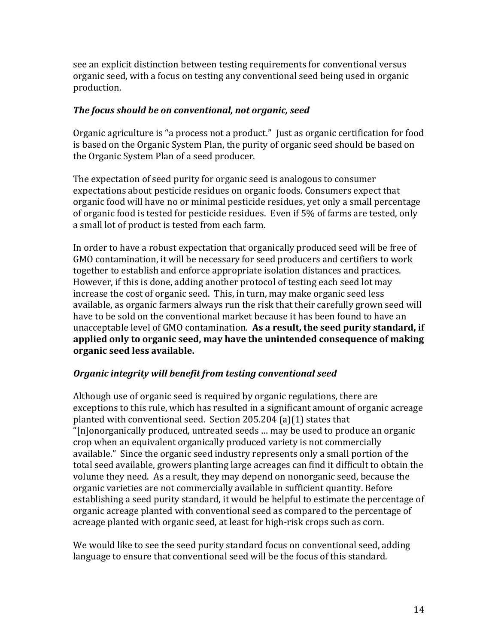see an explicit distinction between testing requirements for conventional versus organic seed, with a focus on testing any conventional seed being used in organic production.

#### *The focus should be on conventional, not organic, seed*

Organic agriculture is "a process not a product." Just as organic certification for food is based on the Organic System Plan, the purity of organic seed should be based on the Organic System Plan of a seed producer.

The expectation of seed purity for organic seed is analogous to consumer expectations about pesticide residues on organic foods. Consumers expect that organic food will have no or minimal pesticide residues, yet only a small percentage of organic food is tested for pesticide residues. Even if 5% of farms are tested, only a small lot of product is tested from each farm.

In order to have a robust expectation that organically produced seed will be free of GMO contamination, it will be necessary for seed producers and certifiers to work together to establish and enforce appropriate isolation distances and practices. However, if this is done, adding another protocol of testing each seed lot may increase the cost of organic seed. This, in turn, may make organic seed less available, as organic farmers always run the risk that their carefully grown seed will have to be sold on the conventional market because it has been found to have an unacceptable level of GMO contamination. **As a result, the seed purity standard, if applied'only'to'organic'seed,'may'have'the'unintended'consequence'of'making' organic'seed'less'available.''**

#### **Organic integrity will benefit from testing conventional seed**

Although use of organic seed is required by organic regulations, there are exceptions to this rule, which has resulted in a significant amount of organic acreage planted with conventional seed. Section  $205.204$  (a)(1) states that "[n]onorganically produced, untreated seeds ... may be used to produce an organic crop when an equivalent organically produced variety is not commercially available." Since the organic seed industry represents only a small portion of the total seed available, growers planting large acreages can find it difficult to obtain the volume they need. As a result, they may depend on nonorganic seed, because the organic varieties are not commercially available in sufficient quantity. Before establishing a seed purity standard, it would be helpful to estimate the percentage of organic acreage planted with conventional seed as compared to the percentage of acreage planted with organic seed, at least for high-risk crops such as corn.

We would like to see the seed purity standard focus on conventional seed, adding language to ensure that conventional seed will be the focus of this standard.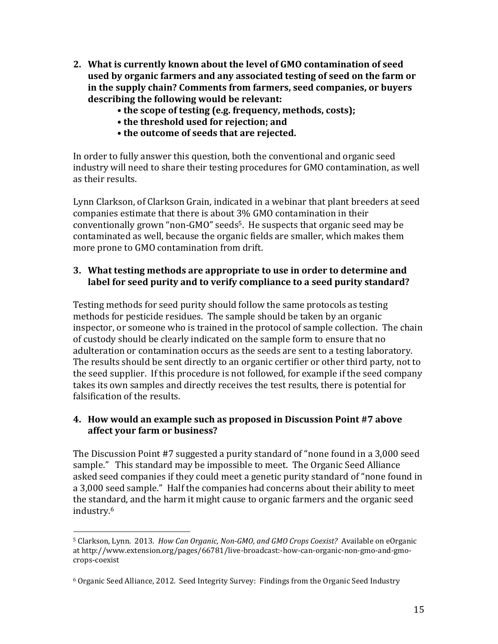- **2. What'is'currently'known'about'the'level'of'GMO'contamination'of'seed' used'by'organic'farmers'and'any'associated'testing'of'seed'on'the'farm'or'** in the supply chain? Comments from farmers, seed companies, or buyers **describing'the'following'would'be'relevant:''**
	- the scope of testing (e.g. frequency, methods, costs);
	- the threshold used for rejection: and
	- the outcome of seeds that are rejected.

In order to fully answer this question, both the conventional and organic seed industry will need to share their testing procedures for GMO contamination, as well as their results.

Lynn Clarkson, of Clarkson Grain, indicated in a webinar that plant breeders at seed companies estimate that there is about 3% GMO contamination in their conventionally grown "non-GMO" seeds<sup>5</sup>. He suspects that organic seed may be contaminated as well, because the organic fields are smaller, which makes them more prone to GMO contamination from drift.

#### **3.** What testing methods are appropriate to use in order to determine and label for seed purity and to verify compliance to a seed purity standard?

Testing methods for seed purity should follow the same protocols as testing methods for pesticide residues. The sample should be taken by an organic inspector, or someone who is trained in the protocol of sample collection. The chain of custody should be clearly indicated on the sample form to ensure that no adulteration or contamination occurs as the seeds are sent to a testing laboratory. The results should be sent directly to an organic certifier or other third party, not to the seed supplier. If this procedure is not followed, for example if the seed company takes its own samples and directly receives the test results, there is potential for falsification of the results.

#### **4. How would an example such as proposed in Discussion Point #7 above affect'your'farm'or'business?''**

The Discussion Point #7 suggested a purity standard of "none found in a 3,000 seed sample." This standard may be impossible to meet. The Organic Seed Alliance asked seed companies if they could meet a genetic purity standard of "none found in a 3,000 seed sample." Half the companies had concerns about their ability to meet the standard, and the harm it might cause to organic farmers and the organic seed industry.6

!!!!!!!!!!!!!!!!!!!!!!!!!!!!!!!!!!!!!!!!!!!!!!!!!!!!!!!

<sup>&</sup>lt;sup>5</sup> Clarkson, Lynn. 2013. *How Can Organic, Non-GMO, and GMO Crops Coexist?* Available on eOrganic at http://www.extension.org/pages/66781/live-broadcast:-how-can-organic-non-gmo-and-gmocrops-coexist

 $6$  Organic Seed Alliance, 2012. Seed Integrity Survey: Findings from the Organic Seed Industry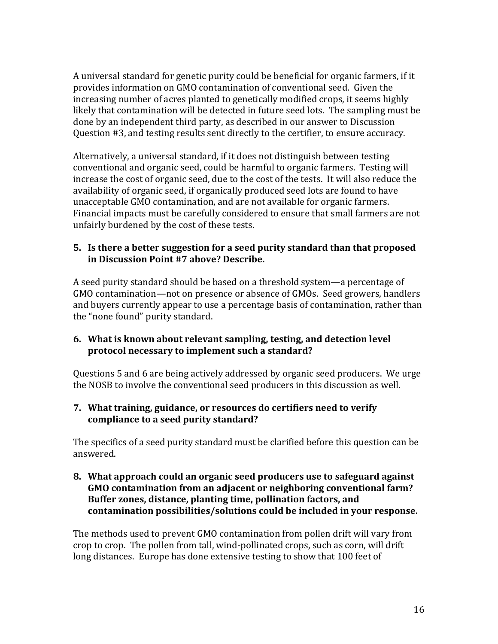A universal standard for genetic purity could be beneficial for organic farmers, if it provides information on GMO contamination of conventional seed. Given the increasing number of acres planted to genetically modified crops, it seems highly likely that contamination will be detected in future seed lots. The sampling must be done by an independent third party, as described in our answer to Discussion Question #3, and testing results sent directly to the certifier, to ensure accuracy.

Alternatively, a universal standard, if it does not distinguish between testing conventional and organic seed, could be harmful to organic farmers. Testing will increase the cost of organic seed, due to the cost of the tests. It will also reduce the availability of organic seed, if organically produced seed lots are found to have unacceptable GMO contamination, and are not available for organic farmers. Financial impacts must be carefully considered to ensure that small farmers are not unfairly burdened by the cost of these tests.

#### **5. Is'there'a'better'suggestion'for'a'seed'purity'standard'than'that'proposed'** in Discussion Point #7 above? Describe.

A seed purity standard should be based on a threshold system—a percentage of GMO contamination—not on presence or absence of GMOs. Seed growers, handlers and buyers currently appear to use a percentage basis of contamination, rather than the "none found" purity standard.

#### **6.** What is known about relevant sampling, testing, and detection level protocol necessary to implement such a standard?

Questions 5 and 6 are being actively addressed by organic seed producers. We urge the NOSB to involve the conventional seed producers in this discussion as well.

#### **7.** What training, guidance, or resources do certifiers need to verify **compliance'to'a'seed'purity'standard?''**

The specifics of a seed purity standard must be clarified before this question can be answered.

**8. What'approach'could'an'organic'seed'producers'use'to'safeguard'against' GMO'contamination'from'an'adjacent'or'neighboring'conventional'farm?'** Buffer zones, distance, planting time, pollination factors, and **contamination'possibilities/solutions'could'be'included'in'your'response.''**

The methods used to prevent GMO contamination from pollen drift will vary from crop to crop. The pollen from tall, wind-pollinated crops, such as corn, will drift long distances. Europe has done extensive testing to show that 100 feet of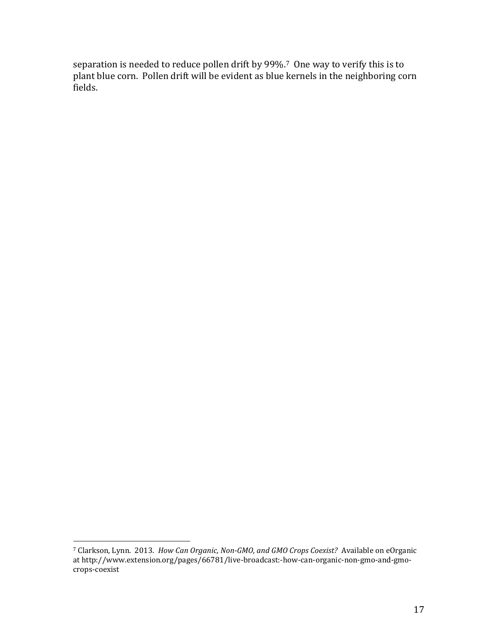separation is needed to reduce pollen drift by 99%.7 One way to verify this is to plant blue corn. Pollen drift will be evident as blue kernels in the neighboring corn fields.

!!!!!!!!!!!!!!!!!!!!!!!!!!!!!!!!!!!!!!!!!!!!!!!!!!!!!!!

<sup>&</sup>lt;sup>7</sup> Clarkson, Lynn. 2013. *How Can Organic, Non-GMO, and GMO Crops Coexist?* Available on eOrganic at http://www.extension.org/pages/66781/live-broadcast:-how-can-organic-non-gmo-and-gmocrops-coexist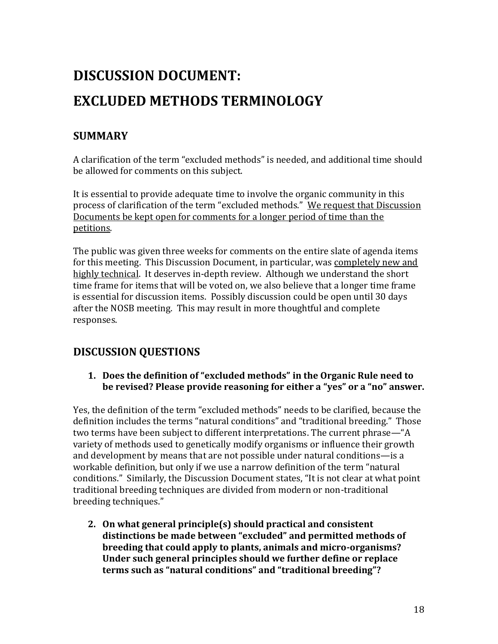## **DISCUSSION'DOCUMENT:'' EXCLUDED'METHODS'TERMINOLOGY'**

## **SUMMARY'**

A clarification of the term "excluded methods" is needed, and additional time should be allowed for comments on this subject.

It is essential to provide adequate time to involve the organic community in this process of clarification of the term "excluded methods." We request that Discussion Documents be kept open for comments for a longer period of time than the petitions.

The public was given three weeks for comments on the entire slate of agenda items for this meeting. This Discussion Document, in particular, was completely new and highly technical. It deserves in-depth review. Although we understand the short time frame for items that will be voted on, we also believe that a longer time frame is essential for discussion items. Possibly discussion could be open until 30 days after the NOSB meeting. This may result in more thoughtful and complete responses.

## **DISCUSSION'QUESTIONS'**

1. Does the definition of "excluded methods" in the Organic Rule need to **be revised? Please provide reasoning for either a "yes" or a "no" answer.** 

Yes, the definition of the term "excluded methods" needs to be clarified, because the definition includes the terms "natural conditions" and "traditional breeding." Those two terms have been subject to different interpretations. The current phrase—"A variety of methods used to genetically modify organisms or influence their growth and development by means that are not possible under natural conditions-is a workable definition, but only if we use a narrow definition of the term "natural conditions." Similarly, the Discussion Document states, "It is not clear at what point traditional breeding techniques are divided from modern or non-traditional breeding techniques."

**2. On'what'general'principle(s)'should'practical'and'consistent' distinctions'be'made'between'Dzexcludeddz'and'permitted'methods'of'** breeding that could apply to plants, animals and micro-organisms? Under such general principles should we further define or replace **terms** such as "natural conditions" and "traditional breeding"?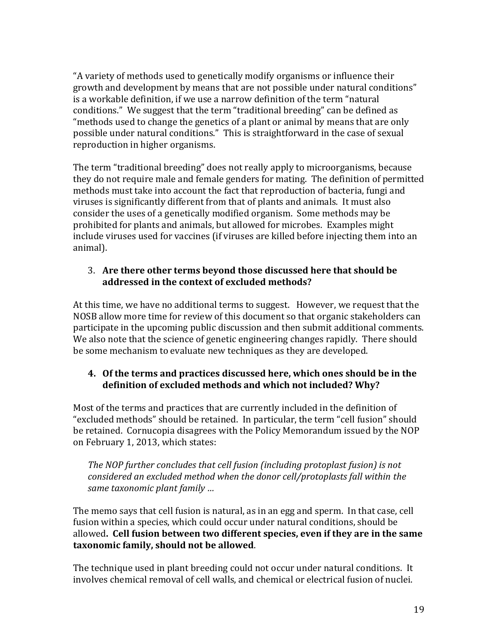"A variety of methods used to genetically modify organisms or influence their growth and development by means that are not possible under natural conditions" is a workable definition, if we use a narrow definition of the term "natural conditions." We suggest that the term "traditional breeding" can be defined as "methods used to change the genetics of a plant or animal by means that are only possible under natural conditions." This is straightforward in the case of sexual reproduction in higher organisms.

The term "traditional breeding" does not really apply to microorganisms, because they do not require male and female genders for mating. The definition of permitted methods must take into account the fact that reproduction of bacteria, fungi and viruses is significantly different from that of plants and animals. It must also consider the uses of a genetically modified organism. Some methods may be prohibited for plants and animals, but allowed for microbes. Examples might include viruses used for vaccines (if viruses are killed before injecting them into an animal).

#### 3. **Are'there'other'terms'beyond'those'discussed'here'that'should'be' addressed'in'the'context'of'excluded'methods?**

At this time, we have no additional terms to suggest. However, we request that the NOSB allow more time for review of this document so that organic stakeholders can participate in the upcoming public discussion and then submit additional comments. We also note that the science of genetic engineering changes rapidly. There should be some mechanism to evaluate new techniques as they are developed.

#### **4. Of'the'terms'and'practices'discussed'here,'which'ones'should'be'in'the' definition'of'excluded'methods'and'which'not'included?'Why?'**

Most of the terms and practices that are currently included in the definition of "excluded methods" should be retained. In particular, the term "cell fusion" should be retained. Cornucopia disagrees with the Policy Memorandum issued by the NOP on February 1, 2013, which states:

The NOP further concludes that cell fusion (including protoplast fusion) is not *considered'an'excluded'method'when'the'donor'cell/protoplasts'fall'within'the' same taxonomic plant family ...* 

The memo says that cell fusion is natural, as in an egg and sperm. In that case, cell fusion within a species, which could occur under natural conditions, should be allowed. Cell fusion between two different species, even if they are in the same taxonomic family, should not be allowed.

The technique used in plant breeding could not occur under natural conditions. It involves chemical removal of cell walls, and chemical or electrical fusion of nuclei.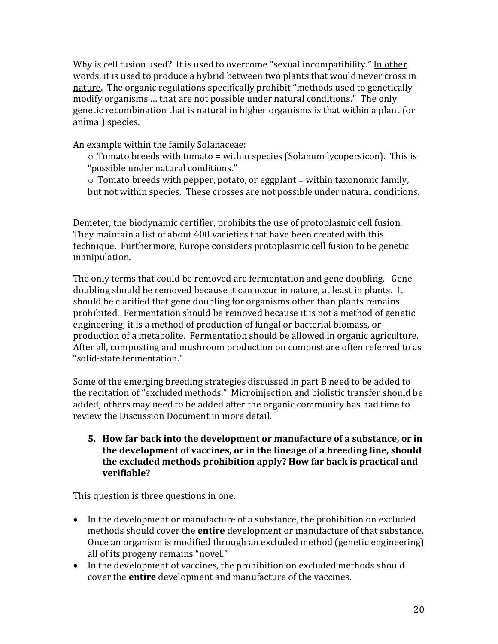Why is cell fusion used? It is used to overcome "sexual incompatibility." In other words, it is used to produce a hybrid between two plants that would never cross in nature. The organic regulations specifically prohibit "methods used to genetically modify organisms ... that are not possible under natural conditions." The only genetic recombination that is natural in higher organisms is that within a plant (or animal) species.

An example within the family Solanaceae:

 $\circ$  Tomato breeds with tomato = within species (Solanum lycopersicon). This is "possible under natural conditions."

 $\circ$  Tomato breeds with pepper, potato, or eggplant = within taxonomic family, but not within species. These crosses are not possible under natural conditions.

Demeter, the biodynamic certifier, prohibits the use of protoplasmic cell fusion. They maintain a list of about 400 varieties that have been created with this technique. Furthermore, Europe considers protoplasmic cell fusion to be genetic manipulation.!

The only terms that could be removed are fermentation and gene doubling. Gene doubling should be removed because it can occur in nature, at least in plants. It should be clarified that gene doubling for organisms other than plants remains prohibited. Fermentation should be removed because it is not a method of genetic engineering; it is a method of production of fungal or bacterial biomass, or production of a metabolite. Fermentation should be allowed in organic agriculture. After all, composting and mushroom production on compost are often referred to as "solid-state fermentation."

Some of the emerging breeding strategies discussed in part B need to be added to the recitation of "excluded methods." Microinjection and biolistic transfer should be added; others may need to be added after the organic community has had time to review the Discussion Document in more detail.

**5.** How far back into the development or manufacture of a substance, or in the development of vaccines, or in the lineage of a breeding line, should **the'excluded'methods'prohibition'apply?'How'far'back'is'practical'and' verifiable?'**

This question is three questions in one.

- In the development or manufacture of a substance, the prohibition on excluded methods should cover the **entire** development or manufacture of that substance. Once an organism is modified through an excluded method (genetic engineering) all of its progeny remains "novel."
- In the development of vaccines, the prohibition on excluded methods should cover the **entire** development and manufacture of the vaccines.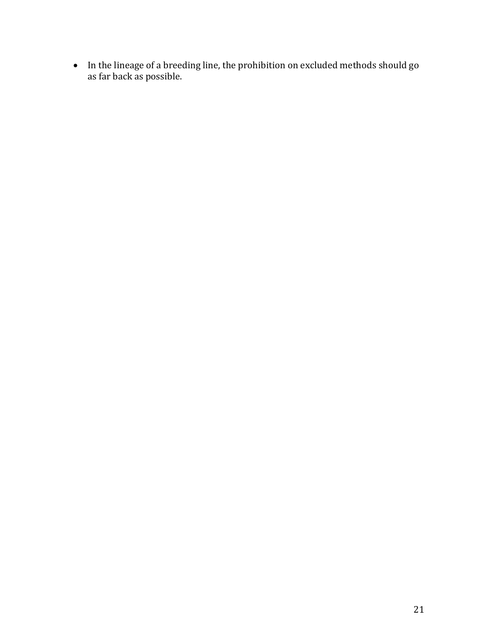• In the lineage of a breeding line, the prohibition on excluded methods should go as far back as possible.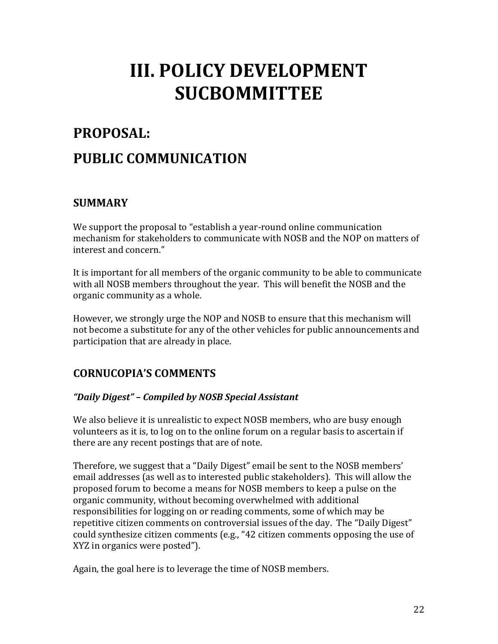## <span id="page-22-0"></span>**III. POLICY DEVELOPMENT SUCBOMMITTEE**

## <span id="page-22-1"></span>**PROPOSAL:'' PUBLIC'COMMUNICATION**

## **SUMMARY'**

We support the proposal to "establish a year-round online communication mechanism for stakeholders to communicate with NOSB and the NOP on matters of interest and concern."

It is important for all members of the organic community to be able to communicate with all NOSB members throughout the year. This will benefit the NOSB and the organic community as a whole.

However, we strongly urge the NOP and NOSB to ensure that this mechanism will not become a substitute for any of the other vehicles for public announcements and participation that are already in place.

## **CORNUCOPIAǯS'COMMENTS'**

### *a "Daily Digest"* – *Compiled by NOSB Special Assistant*

We also believe it is unrealistic to expect NOSB members, who are busy enough volunteers as it is, to log on to the online forum on a regular basis to ascertain if there are any recent postings that are of note.

Therefore, we suggest that a "Daily Digest" email be sent to the NOSB members' email addresses (as well as to interested public stakeholders). This will allow the proposed forum to become a means for NOSB members to keep a pulse on the organic community, without becoming overwhelmed with additional responsibilities for logging on or reading comments, some of which may be repetitive citizen comments on controversial issues of the day. The "Daily Digest" could synthesize citizen comments (e.g., "42 citizen comments opposing the use of XYZ in organics were posted").

Again, the goal here is to leverage the time of NOSB members.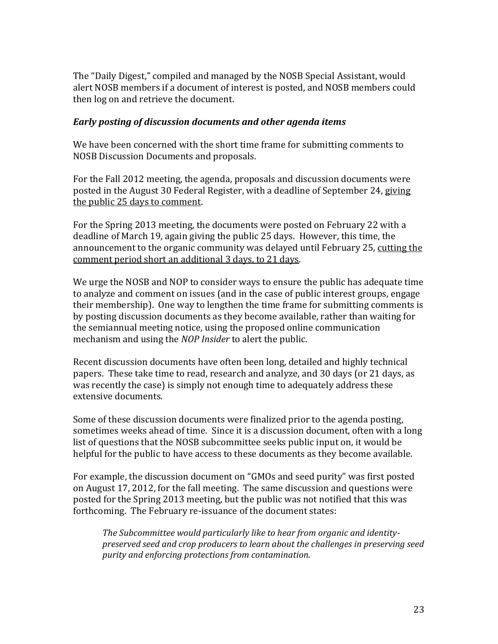The "Daily Digest," compiled and managed by the NOSB Special Assistant, would alert NOSB members if a document of interest is posted, and NOSB members could then log on and retrieve the document.

#### *Early posting of discussion documents and other agenda items*

We have been concerned with the short time frame for submitting comments to NOSB Discussion Documents and proposals.

For the Fall 2012 meeting, the agenda, proposals and discussion documents were posted in the August 30 Federal Register, with a deadline of September 24, giving the public 25 days to comment.

For the Spring 2013 meeting, the documents were posted on February 22 with a deadline of March 19, again giving the public 25 days. However, this time, the announcement to the organic community was delayed until February 25, cutting the comment period short an additional 3 days, to 21 days.

We urge the NOSB and NOP to consider ways to ensure the public has adequate time to analyze and comment on issues (and in the case of public interest groups, engage their membership). One way to lengthen the time frame for submitting comments is by posting discussion documents as they become available, rather than waiting for the semiannual meeting notice, using the proposed online communication mechanism and using the *NOP Insider* to alert the public.

Recent discussion documents have often been long, detailed and highly technical papers. These take time to read, research and analyze, and 30 days (or 21 days, as was recently the case) is simply not enough time to adequately address these extensive documents.

Some of these discussion documents were finalized prior to the agenda posting, sometimes weeks ahead of time. Since it is a discussion document, often with a long list of questions that the NOSB subcommittee seeks public input on, it would be helpful for the public to have access to these documents as they become available.

For example, the discussion document on "GMOs and seed purity" was first posted on August 17, 2012, for the fall meeting. The same discussion and questions were posted for the Spring 2013 meeting, but the public was not notified that this was forthcoming. The February re-issuance of the document states:

The Subcommittee would particularly like to hear from organic and identity*preserved'seed'and'crop'producers'to'learn'about'the'challenges'in'preserving'seed' purity'and'enforcing'protections'from'contamination.''*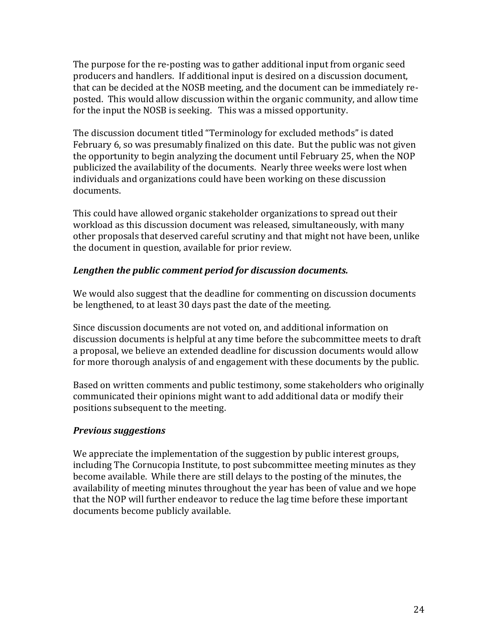The purpose for the re-posting was to gather additional input from organic seed producers and handlers. If additional input is desired on a discussion document, that can be decided at the NOSB meeting, and the document can be immediately reposted. This would allow discussion within the organic community, and allow time for the input the NOSB is seeking. This was a missed opportunity.

The discussion document titled "Terminology for excluded methods" is dated February 6, so was presumably finalized on this date. But the public was not given the opportunity to begin analyzing the document until February 25, when the NOP publicized the availability of the documents. Nearly three weeks were lost when individuals and organizations could have been working on these discussion documents.

This could have allowed organic stakeholder organizations to spread out their workload as this discussion document was released, simultaneously, with many other proposals that deserved careful scrutiny and that might not have been, unlike the document in question, available for prior review.

#### Lengthen the public comment period for discussion documents.

We would also suggest that the deadline for commenting on discussion documents be lengthened, to at least 30 days past the date of the meeting.

Since discussion documents are not voted on, and additional information on discussion documents is helpful at any time before the subcommittee meets to draft a proposal, we believe an extended deadline for discussion documents would allow for more thorough analysis of and engagement with these documents by the public.

Based on written comments and public testimony, some stakeholders who originally communicated their opinions might want to add additional data or modify their positions subsequent to the meeting.

#### **Previous suggestions**

We appreciate the implementation of the suggestion by public interest groups, including The Cornucopia Institute, to post subcommittee meeting minutes as they become available. While there are still delays to the posting of the minutes, the availability of meeting minutes throughout the year has been of value and we hope that the NOP will further endeavor to reduce the lag time before these important documents become publicly available.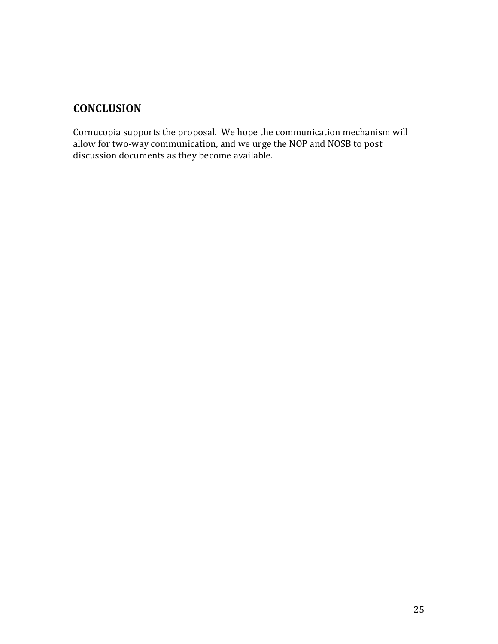## **CONCLUSION'**

<span id="page-25-0"></span>Cornucopia supports the proposal. We hope the communication mechanism will allow for two-way communication, and we urge the NOP and NOSB to post discussion documents as they become available.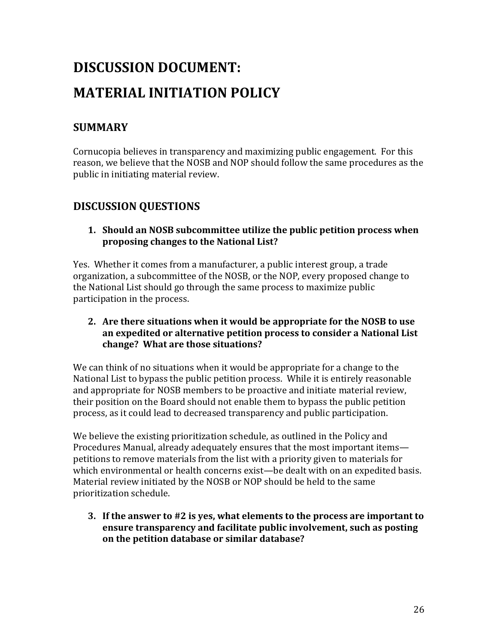## **DISCUSSION'DOCUMENT:'' MATERIAL'INITIATION'POLICY'**

## **SUMMARY'**

Cornucopia believes in transparency and maximizing public engagement. For this reason, we believe that the NOSB and NOP should follow the same procedures as the public in initiating material review.

## **DISCUSSION'QUESTIONS'**

**1. Should'an'NOSB'subcommittee'utilize'the'public'petition'process'when' proposing'changes'to'the'National'List?'**

Yes. Whether it comes from a manufacturer, a public interest group, a trade organization, a subcommittee of the NOSB, or the NOP, every proposed change to the National List should go through the same process to maximize public participation in the process.

**2. Are'there'situations'when'it'would'be'appropriate'for'the'NOSB'to'use' an'expedited'or'alternative'petition'process'to'consider'a'National'List' change?''What'are'those'situations?'**

We can think of no situations when it would be appropriate for a change to the National List to bypass the public petition process. While it is entirely reasonable and appropriate for NOSB members to be proactive and initiate material review, their position on the Board should not enable them to bypass the public petition process, as it could lead to decreased transparency and public participation.

We believe the existing prioritization schedule, as outlined in the Policy and Procedures Manual, already adequately ensures that the most important items petitions to remove materials from the list with a priority given to materials for which environmental or health concerns exist—be dealt with on an expedited basis. Material review initiated by the NOSB or NOP should be held to the same prioritization schedule.

**3.** If the answer to #2 is yes, what elements to the process are important to ensure transparency and facilitate public involvement, such as posting **on'the'petition'database'or'similar'database?''**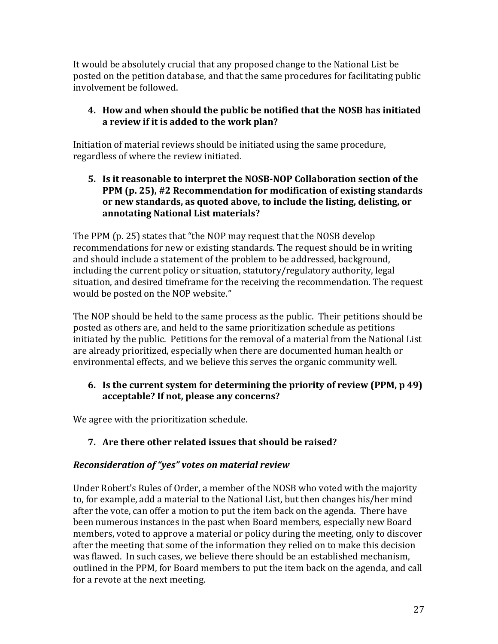It would be absolutely crucial that any proposed change to the National List be posted on the petition database, and that the same procedures for facilitating public involvement be followed.

### **4. How'and'when'should'the'public'be'notified'that'the'NOSB'has'initiated'** a review if it is added to the work plan?

Initiation of material reviews should be initiated using the same procedure, regardless of where the review initiated.

**5.** Is it reasonable to interpret the NOSB-NOP Collaboration section of the **PPM (p. 25), #2 Recommendation for modification of existing standards or'new'standards,'as'quoted'above,'to'include'the'listing,'delisting,'or' annotating'National'List'materials?'**

The PPM (p. 25) states that "the NOP may request that the NOSB develop recommendations for new or existing standards. The request should be in writing and should include a statement of the problem to be addressed, background, including the current policy or situation, statutory/regulatory authority, legal situation, and desired timeframe for the receiving the recommendation. The request would be posted on the NOP website."

The NOP should be held to the same process as the public. Their petitions should be posted as others are, and held to the same prioritization schedule as petitions initiated by the public. Petitions for the removal of a material from the National List are already prioritized, especially when there are documented human health or environmental effects, and we believe this serves the organic community well.

### **6.** Is the current system for determining the priority of review (PPM, p 49) acceptable? If not, please any concerns?

We agree with the prioritization schedule.

### **7. Are'there'other'related'issues'that'should'be'raised?'**

### *Reconsideration of "yes" votes on material review*

Under Robert's Rules of Order, a member of the NOSB who voted with the majority to, for example, add a material to the National List, but then changes his/her mind after the vote, can offer a motion to put the item back on the agenda. There have been numerous instances in the past when Board members, especially new Board members, voted to approve a material or policy during the meeting, only to discover after the meeting that some of the information they relied on to make this decision was flawed. In such cases, we believe there should be an established mechanism, outlined in the PPM, for Board members to put the item back on the agenda, and call for a revote at the next meeting.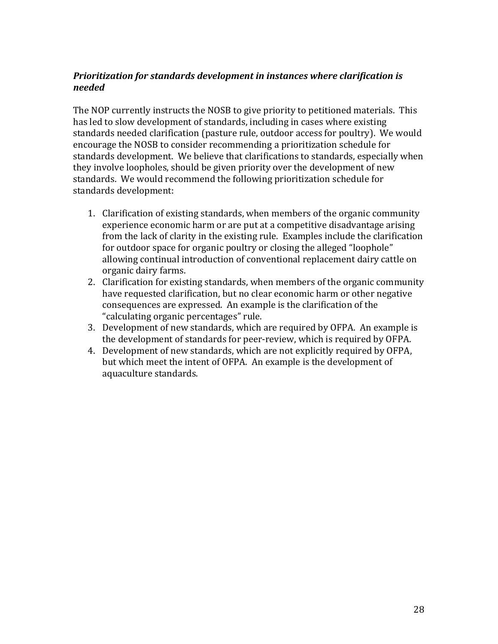#### **Prioritization for standards development in instances where clarification is** *needed\$*

The NOP currently instructs the NOSB to give priority to petitioned materials. This has led to slow development of standards, including in cases where existing standards needed clarification (pasture rule, outdoor access for poultry). We would encourage the NOSB to consider recommending a prioritization schedule for standards development. We believe that clarifications to standards, especially when they involve loopholes, should be given priority over the development of new standards. We would recommend the following prioritization schedule for standards development:

- 1. Clarification of existing standards, when members of the organic community experience economic harm or are put at a competitive disadvantage arising from the lack of clarity in the existing rule. Examples include the clarification for outdoor space for organic poultry or closing the alleged "loophole" allowing continual introduction of conventional replacement dairy cattle on organic dairy farms.
- 2. Clarification for existing standards, when members of the organic community have requested clarification, but no clear economic harm or other negative consequences are expressed. An example is the clarification of the "calculating organic percentages" rule.
- 3. Development of new standards, which are required by OFPA. An example is the development of standards for peer-review, which is required by OFPA.
- 4. Development of new standards, which are not explicitly required by OFPA, but which meet the intent of OFPA. An example is the development of aquaculture standards.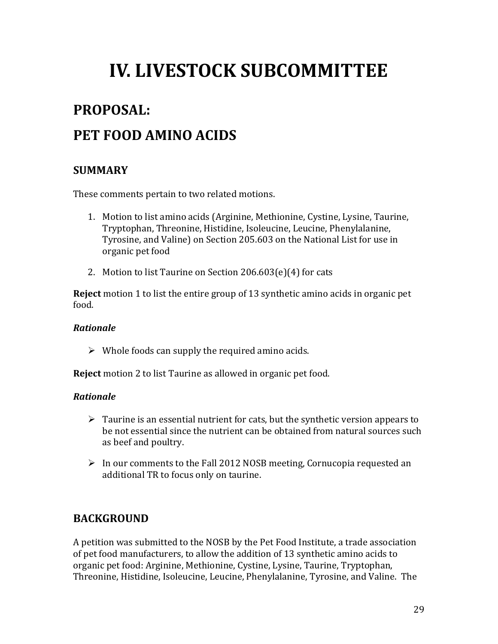## <span id="page-29-0"></span>**IV. LIVESTOCK SUBCOMMITTEE**

## <span id="page-29-1"></span>PROPOSAL:

## PET FOOD AMINO ACIDS

### **SUMMARY'**

These comments pertain to two related motions.

- 1. Motion to list amino acids (Arginine, Methionine, Cystine, Lysine, Taurine, Tryptophan, Threonine, Histidine, Isoleucine, Leucine, Phenylalanine, Tyrosine, and Valine) on Section 205.603 on the National List for use in organic pet food
- 2. Motion to list Taurine on Section  $206.603(e)(4)$  for cats

**Reject** motion 1 to list the entire group of 13 synthetic amino acids in organic pet food.!

#### *Rationale\$*

 $\triangleright$  Whole foods can supply the required amino acids.

**Reject** motion 2 to list Taurine as allowed in organic pet food.

#### *Rationale\$*

- $\triangleright$  Taurine is an essential nutrient for cats, but the synthetic version appears to be not essential since the nutrient can be obtained from natural sources such as beef and poultry.
- $\triangleright$  In our comments to the Fall 2012 NOSB meeting, Cornucopia requested an additional TR to focus only on taurine.

### **BACKGROUND'**

A petition was submitted to the NOSB by the Pet Food Institute, a trade association of pet food manufacturers, to allow the addition of 13 synthetic amino acids to organic pet food: Arginine, Methionine, Cystine, Lysine, Taurine, Tryptophan, Threonine, Histidine, Isoleucine, Leucine, Phenylalanine, Tyrosine, and Valine. The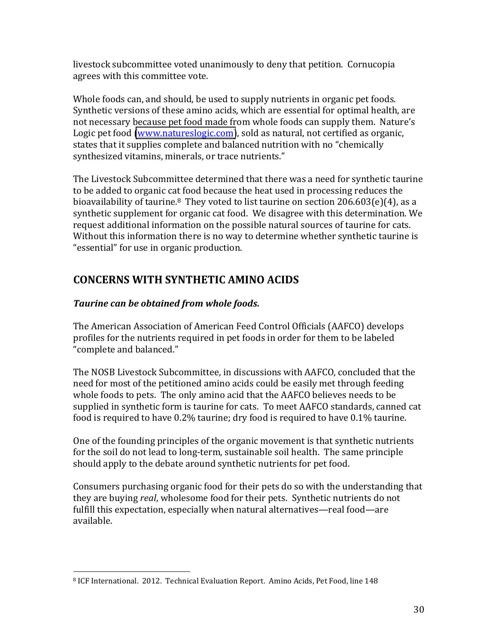livestock subcommittee voted unanimously to deny that petition. Cornucopia agrees with this committee vote.

Whole foods can, and should, be used to supply nutrients in organic pet foods. Synthetic versions of these amino acids, which are essential for optimal health, are not necessary because pet food made from whole foods can supply them. Nature's Logic pet food [\(www.natureslogic.com\)](http://www.natureslogic.com/), sold as natural, not certified as organic, states that it supplies complete and balanced nutrition with no "chemically synthesized vitamins, minerals, or trace nutrients."

The Livestock Subcommittee determined that there was a need for synthetic taurine to be added to organic cat food because the heat used in processing reduces the bioavailability of taurine.<sup>8</sup> They voted to list taurine on section  $206.603(e)(4)$ , as a synthetic supplement for organic cat food. We disagree with this determination. We request additional information on the possible natural sources of taurine for cats. Without this information there is no way to determine whether synthetic taurine is "essential" for use in organic production.

## **CONCERNS'WITH'SYNTHETIC'AMINO'ACIDS'**

### **Taurine can be obtained from whole foods.**

The American Association of American Feed Control Officials (AAFCO) develops profiles for the nutrients required in pet foods in order for them to be labeled "complete and balanced."

The NOSB Livestock Subcommittee, in discussions with AAFCO, concluded that the need for most of the petitioned amino acids could be easily met through feeding whole foods to pets. The only amino acid that the AAFCO believes needs to be supplied in synthetic form is taurine for cats. To meet AAFCO standards, canned cat food is required to have  $0.2\%$  taurine; dry food is required to have  $0.1\%$  taurine.

One of the founding principles of the organic movement is that synthetic nutrients for the soil do not lead to long-term, sustainable soil health. The same principle should apply to the debate around synthetic nutrients for pet food.

Consumers purchasing organic food for their pets do so with the understanding that they are buying *real*, wholesome food for their pets. Synthetic nutrients do not fulfill this expectation, especially when natural alternatives—real food—are available.

<sup>!!!!!!!!!!!!!!!!!!!!!!!!!!!!!!!!!!!!!!!!!!!!!!!!!!!!!!!</sup> <sup>8</sup> ICF International. 2012. Technical Evaluation Report. Amino Acids, Pet Food, line 148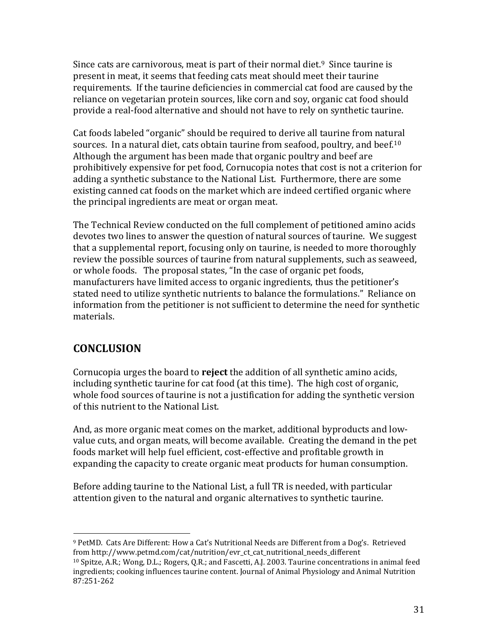Since cats are carnivorous, meat is part of their normal diet.<sup>9</sup> Since taurine is present in meat, it seems that feeding cats meat should meet their taurine requirements. If the taurine deficiencies in commercial cat food are caused by the reliance on vegetarian protein sources, like corn and soy, organic cat food should provide a real-food alternative and should not have to rely on synthetic taurine.

Cat foods labeled "organic" should be required to derive all taurine from natural sources. In a natural diet, cats obtain taurine from seafood, poultry, and beef.<sup>10</sup> Although the argument has been made that organic poultry and beef are prohibitively expensive for pet food, Cornucopia notes that cost is not a criterion for adding a synthetic substance to the National List. Furthermore, there are some existing canned cat foods on the market which are indeed certified organic where the principal ingredients are meat or organ meat.

The Technical Review conducted on the full complement of petitioned amino acids devotes two lines to answer the question of natural sources of taurine. We suggest that a supplemental report, focusing only on taurine, is needed to more thoroughly review the possible sources of taurine from natural supplements, such as seaweed, or whole foods. The proposal states, "In the case of organic pet foods, manufacturers have limited access to organic ingredients, thus the petitioner's stated need to utilize synthetic nutrients to balance the formulations." Reliance on information from the petitioner is not sufficient to determine the need for synthetic materials.

## **CONCLUSION'**

!!!!!!!!!!!!!!!!!!!!!!!!!!!!!!!!!!!!!!!!!!!!!!!!!!!!!!!

Cornucopia urges the board to **reject** the addition of all synthetic amino acids, including synthetic taurine for cat food (at this time). The high cost of organic, whole food sources of taurine is not a justification for adding the synthetic version of this nutrient to the National List.

And, as more organic meat comes on the market, additional byproducts and lowvalue cuts, and organ meats, will become available. Creating the demand in the pet foods market will help fuel efficient, cost-effective and profitable growth in expanding the capacity to create organic meat products for human consumption.

Before adding taurine to the National List, a full TR is needed, with particular attention given to the natural and organic alternatives to synthetic taurine.

<sup>&</sup>lt;sup>9</sup> PetMD. Cats Are Different: How a Cat's Nutritional Needs are Different from a Dog's. Retrieved from http://www.petmd.com/cat/nutrition/evr\_ct\_cat\_nutritional\_needs\_different

<sup>&</sup>lt;sup>10</sup> Spitze, A.R.; Wong, D.L.; Rogers, Q.R.; and Fascetti, A.J. 2003. Taurine concentrations in animal feed ingredients; cooking influences taurine content. Journal of Animal Physiology and Animal Nutrition 87:251-262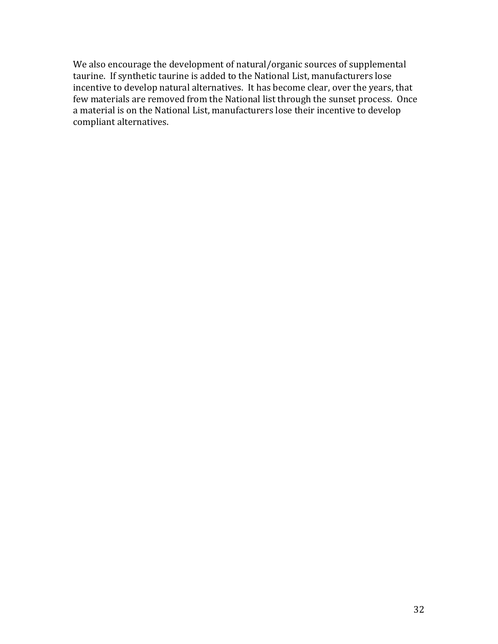We also encourage the development of natural/organic sources of supplemental taurine. If synthetic taurine is added to the National List, manufacturers lose incentive to develop natural alternatives. It has become clear, over the years, that few materials are removed from the National list through the sunset process. Once a material is on the National List, manufacturers lose their incentive to develop compliant alternatives.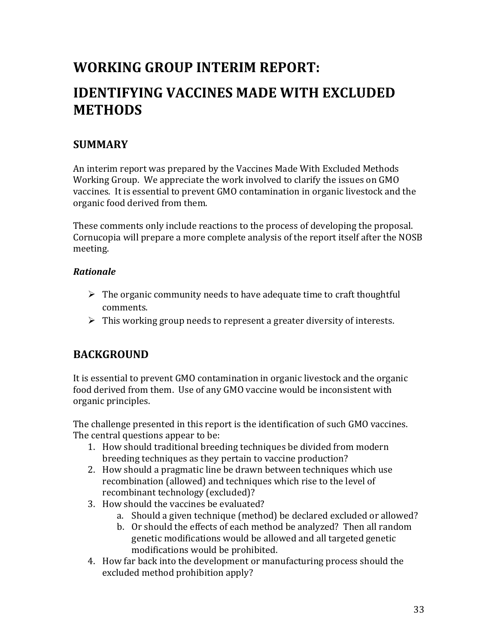## <span id="page-33-0"></span>**WORKING'GROUP'INTERIM'REPORT:''**

## **IDENTIFYING'VACCINES'MADE'WITH'EXCLUDED' METHODS'**

### **SUMMARY'**

An interim report was prepared by the Vaccines Made With Excluded Methods Working Group. We appreciate the work involved to clarify the issues on GMO vaccines. It is essential to prevent GMO contamination in organic livestock and the organic food derived from them.

These comments only include reactions to the process of developing the proposal. Cornucopia will prepare a more complete analysis of the report itself after the NOSB meeting.

#### *Rationale\$*

- $\triangleright$  The organic community needs to have adequate time to craft thoughtful comments.
- $\triangleright$  This working group needs to represent a greater diversity of interests.

## **BACKGROUND'**

It is essential to prevent GMO contamination in organic livestock and the organic food derived from them. Use of any GMO vaccine would be inconsistent with organic principles.

The challenge presented in this report is the identification of such GMO vaccines. The central questions appear to be:

- 1. How should traditional breeding techniques be divided from modern breeding techniques as they pertain to vaccine production?
- 2. How should a pragmatic line be drawn between techniques which use recombination (allowed) and techniques which rise to the level of recombinant technology (excluded)?
- 3. How should the vaccines be evaluated?
	- a. Should a given technique (method) be declared excluded or allowed?
	- b. Or should the effects of each method be analyzed? Then all random genetic modifications would be allowed and all targeted genetic modifications would be prohibited.
- 4. How far back into the development or manufacturing process should the excluded method prohibition apply?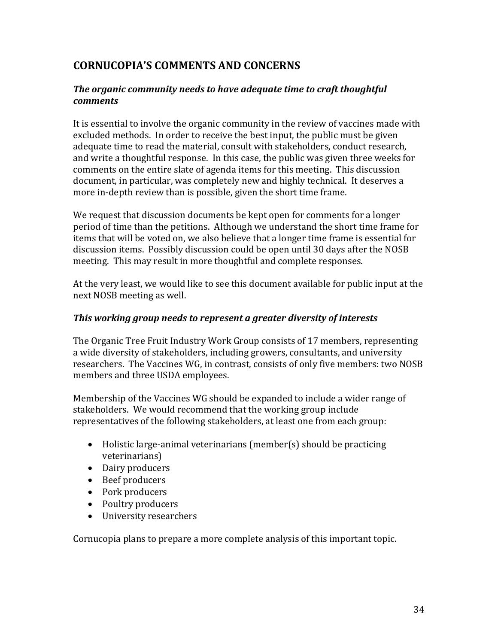## **CORNUCOPIAǯS'COMMENTS'AND'CONCERNS'**

#### **The organic community needs to have adequate time to craft thoughtful** *comments*

It is essential to involve the organic community in the review of vaccines made with excluded methods. In order to receive the best input, the public must be given adequate time to read the material, consult with stakeholders, conduct research, and write a thoughtful response. In this case, the public was given three weeks for comments on the entire slate of agenda items for this meeting. This discussion document, in particular, was completely new and highly technical. It deserves a more in-depth review than is possible, given the short time frame.

We request that discussion documents be kept open for comments for a longer period of time than the petitions. Although we understand the short time frame for items that will be voted on, we also believe that a longer time frame is essential for discussion items. Possibly discussion could be open until 30 days after the NOSB meeting. This may result in more thoughtful and complete responses.

At the very least, we would like to see this document available for public input at the next NOSB meeting as well.

#### *This working group needs to represent a greater diversity of interests*

The Organic Tree Fruit Industry Work Group consists of 17 members, representing a wide diversity of stakeholders, including growers, consultants, and university researchers. The Vaccines WG, in contrast, consists of only five members: two NOSB members and three USDA employees.

Membership of the Vaccines WG should be expanded to include a wider range of stakeholders. We would recommend that the working group include representatives of the following stakeholders, at least one from each group:

- Holistic large-animal veterinarians (member(s) should be practicing veterinarians)
- Dairy producers
- Beef producers
- Pork producers
- Poultry producers
- University researchers

Cornucopia plans to prepare a more complete analysis of this important topic.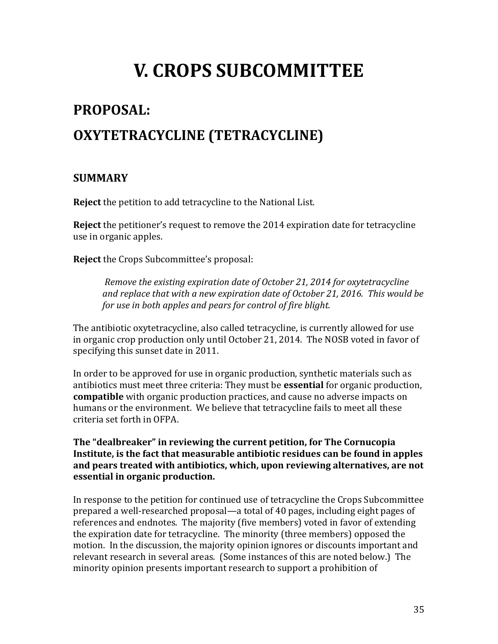## **V. CROPS SUBCOMMITTEE**

## <span id="page-35-1"></span><span id="page-35-0"></span>PROPOSAL: **OXYTETRACYCLINE'(TETRACYCLINE)'**

### **SUMMARY'**

**Reject** the petition to add tetracycline to the National List.

**Reject** the petitioner's request to remove the 2014 expiration date for tetracycline use in organic apples.

**Reject** the Crops Subcommittee's proposal:

*Remove the existing expiration date of October 21, 2014 for oxytetracycline and'replace'that'with'a'new'expiration'date'of'October'21,'2016.''This'would'be'* for use in both apples and pears for control of fire blight.

The antibiotic oxytetracycline, also called tetracycline, is currently allowed for use in organic crop production only until October 21, 2014. The NOSB voted in favor of specifying this sunset date in 2011.

In order to be approved for use in organic production, synthetic materials such as antibiotics must meet three criteria: They must be **essential** for organic production, **compatible** with organic production practices, and cause no adverse impacts on humans or the environment. We believe that tetracycline fails to meet all these criteria set forth in OFPA.

The "dealbreaker" in reviewing the current petition, for The Cornucopia Institute, is the fact that measurable antibiotic residues can be found in apples and pears treated with antibiotics, which, upon reviewing alternatives, are not **essential'in'organic'production.'''**

In response to the petition for continued use of tetracycline the Crops Subcommittee prepared a well-researched proposal—a total of 40 pages, including eight pages of references and endnotes. The majority (five members) voted in favor of extending the expiration date for tetracycline. The minority (three members) opposed the motion. In the discussion, the majority opinion ignores or discounts important and relevant research in several areas. (Some instances of this are noted below.) The minority opinion presents important research to support a prohibition of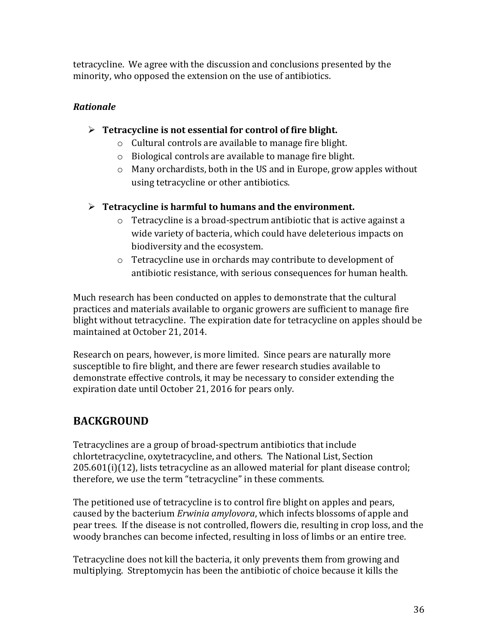tetracycline. We agree with the discussion and conclusions presented by the minority, who opposed the extension on the use of antibiotics.

#### *Rationale\$*

- > Tetracycline is not essential for control of fire blight.
	- $\circ$  Cultural controls are available to manage fire blight.
	- $\circ$  Biological controls are available to manage fire blight.
	- $\circ$  Many orchardists, both in the US and in Europe, grow apples without using tetracycline or other antibiotics.
- ¾ **Tetracycline'is'harmful'to'humans'and'the'environment.'**
	- $\circ$  Tetracycline is a broad-spectrum antibiotic that is active against a wide variety of bacteria, which could have deleterious impacts on biodiversity and the ecosystem.
	- $\circ$  Tetracycline use in orchards may contribute to development of antibiotic resistance, with serious consequences for human health.

Much research has been conducted on apples to demonstrate that the cultural practices and materials available to organic growers are sufficient to manage fire blight without tetracycline. The expiration date for tetracycline on apples should be maintained at October 21, 2014.

Research on pears, however, is more limited. Since pears are naturally more susceptible to fire blight, and there are fewer research studies available to demonstrate effective controls, it may be necessary to consider extending the expiration date until October 21, 2016 for pears only.

## **BACKGROUND'**

Tetracyclines are a group of broad-spectrum antibiotics that include chlortetracycline, oxytetracycline, and others. The National List, Section  $205.601(i)(12)$ , lists tetracycline as an allowed material for plant disease control; therefore, we use the term "tetracycline" in these comments.

The petitioned use of tetracycline is to control fire blight on apples and pears, caused by the bacterium *Erwinia amylovora*, which infects blossoms of apple and pear trees. If the disease is not controlled, flowers die, resulting in crop loss, and the woody branches can become infected, resulting in loss of limbs or an entire tree.

Tetracycline does not kill the bacteria, it only prevents them from growing and multiplying. Streptomycin has been the antibiotic of choice because it kills the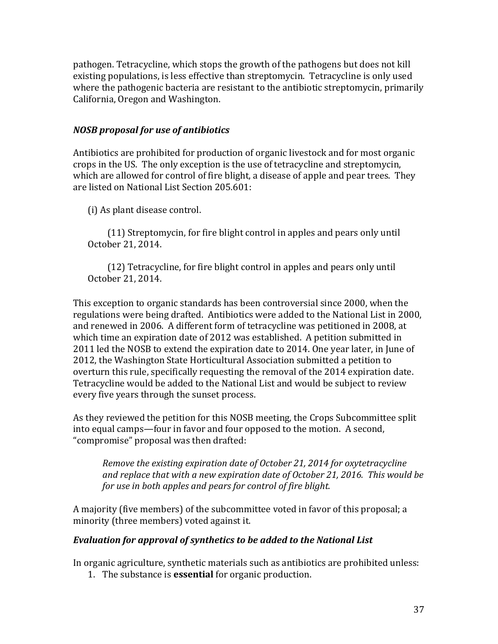pathogen. Tetracycline, which stops the growth of the pathogens but does not kill existing populations, is less effective than streptomycin. Tetracycline is only used where the pathogenic bacteria are resistant to the antibiotic streptomycin, primarily California, Oregon and Washington.

#### *NOSB* proposal for use of antibiotics

Antibiotics are prohibited for production of organic livestock and for most organic crops in the US. The only exception is the use of tetracycline and streptomycin, which are allowed for control of fire blight, a disease of apple and pear trees. They are listed on National List Section 205.601:

(i) As plant disease control.

 $(11)$  Streptomycin, for fire blight control in apples and pears only until October 21, 2014.

 $(12)$  Tetracycline, for fire blight control in apples and pears only until October 21, 2014.

This exception to organic standards has been controversial since 2000, when the regulations were being drafted. Antibiotics were added to the National List in 2000, and renewed in 2006. A different form of tetracycline was petitioned in 2008, at which time an expiration date of 2012 was established. A petition submitted in 2011 led the NOSB to extend the expiration date to 2014. One year later, in June of 2012, the Washington State Horticultural Association submitted a petition to overturn this rule, specifically requesting the removal of the 2014 expiration date. Tetracycline would be added to the National List and would be subject to review every five years through the sunset process.

As they reviewed the petition for this NOSB meeting, the Crops Subcommittee split into equal camps—four in favor and four opposed to the motion. A second, "compromise" proposal was then drafted:

*Remove'the'existing'expiration'date'of'October'21,'2014'for'oxytetracycline' and'replace'that'with'a'new'expiration'date'of'October'21,'2016.''This'would'be' for use in both apples and pears for control of fire blight.* 

A majority (five members) of the subcommittee voted in favor of this proposal; a minority (three members) voted against it.

#### **Evaluation for approval of synthetics to be added to the National List**

In organic agriculture, synthetic materials such as antibiotics are prohibited unless:

1. The substance is **essential** for organic production.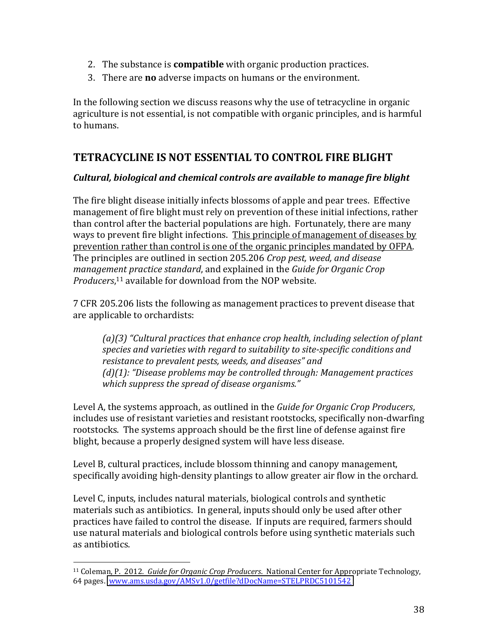- 2. The substance is **compatible** with organic production practices.
- 3. There are **no** adverse impacts on humans or the environment.

In the following section we discuss reasons why the use of tetracycline in organic agriculture is not essential, is not compatible with organic principles, and is harmful to humans.

## **TETRACYCLINE'IS'NOT'ESSENTIAL'TO'CONTROL'FIRE'BLIGHT'**

#### *Cultural,\$biological\$and\$chemical\$controls\$are\$available\$to\$manage\$fire\$blight\$*

The fire blight disease initially infects blossoms of apple and pear trees. Effective management of fire blight must rely on prevention of these initial infections, rather than control after the bacterial populations are high. Fortunately, there are many ways to prevent fire blight infections. This principle of management of diseases by prevention rather than control is one of the organic principles mandated by OFPA. The principles are outlined in section 205.206 *Crop pest, weed, and disease management practice standard*, and explained in the *Guide for Organic Crop* Producers,<sup>11</sup> available for download from the NOP website.

7 CFR 205.206 lists the following as management practices to prevent disease that are applicable to orchardists:

*(a)*(3) "Cultural practices that enhance crop health, including selection of plant species and varieties with regard to suitability to site-specific conditions and resistance to prevalent pests, weeds, and diseases" and *(d)(1): "Disease problems may be controlled through: Management practices which suppress the spread of disease organisms.*"

Level A, the systems approach, as outlined in the *Guide for Organic Crop Producers*, includes use of resistant varieties and resistant rootstocks, specifically non-dwarfing rootstocks. The systems approach should be the first line of defense against fire blight, because a properly designed system will have less disease.

Level B, cultural practices, include blossom thinning and canopy management, specifically avoiding high-density plantings to allow greater air flow in the orchard.

Level C, inputs, includes natural materials, biological controls and synthetic materials such as antibiotics. In general, inputs should only be used after other practices have failed to control the disease. If inputs are required, farmers should use natural materials and biological controls before using synthetic materials such as antibiotics.

<sup>&</sup>lt;sup>11</sup> Coleman, P. 2012. *Guide for Organic Crop Producers*. National Center for Appropriate Technology, 64 pages. www.ams.usda.gov/AMSv1.0/getfile?dDocName=STELPRDC5101542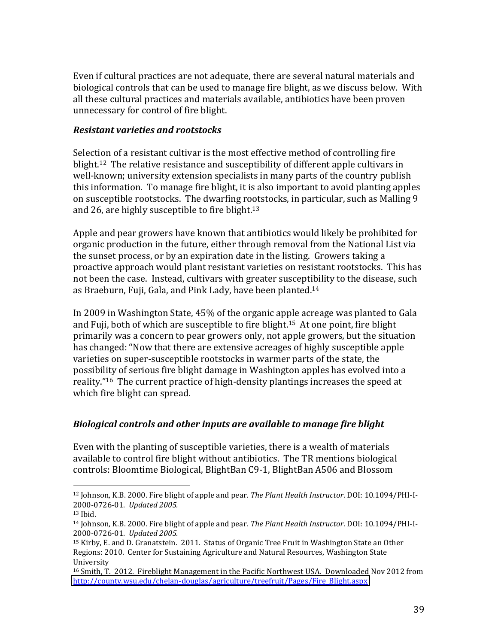Even if cultural practices are not adequate, there are several natural materials and biological controls that can be used to manage fire blight, as we discuss below. With all these cultural practices and materials available, antibiotics have been proven unnecessary for control of fire blight.

#### *Resistant\$varieties\$and\$rootstocks\$\$*

Selection of a resistant cultivar is the most effective method of controlling fire blight.<sup>12</sup> The relative resistance and susceptibility of different apple cultivars in well-known; university extension specialists in many parts of the country publish this information. To manage fire blight, it is also important to avoid planting apples on susceptible rootstocks. The dwarfing rootstocks, in particular, such as Malling 9 and 26, are highly susceptible to fire blight. $13$ 

Apple and pear growers have known that antibiotics would likely be prohibited for organic production in the future, either through removal from the National List via the sunset process, or by an expiration date in the listing. Growers taking a proactive approach would plant resistant varieties on resistant rootstocks. This has not been the case. Instead, cultivars with greater susceptibility to the disease, such as Braeburn, Fuji, Gala, and Pink Lady, have been planted.<sup>14</sup>

In 2009 in Washington State,  $45\%$  of the organic apple acreage was planted to Gala and Fuji, both of which are susceptible to fire blight.<sup>15</sup> At one point, fire blight primarily was a concern to pear growers only, not apple growers, but the situation has changed: "Now that there are extensive acreages of highly susceptible apple varieties on super-susceptible rootstocks in warmer parts of the state, the possibility of serious fire blight damage in Washington apples has evolved into a reality."<sup>16</sup> The current practice of high-density plantings increases the speed at which fire blight can spread.

#### *Biological\$controls\$and\$other\$inputs\$are\$available\$to\$manage\$fire\$blight\$*

Even with the planting of susceptible varieties, there is a wealth of materials available to control fire blight without antibiotics. The TR mentions biological controls: Bloomtime Biological, BlightBan C9-1, BlightBan A506 and Blossom

<sup>&</sup>lt;sup>12</sup> Johnson, K.B. 2000. Fire blight of apple and pear. *The Plant Health Instructor*. DOI: 10.1094/PHI-I-2000-0726-01. *Updated 2005.* 

 $13$  Ibid.

<sup>&</sup>lt;sup>14</sup> Johnson, K.B. 2000. Fire blight of apple and pear. *The Plant Health Instructor*. DOI: 10.1094/PHI-I-2000-0726-01. *Updated* 2005.

<sup>&</sup>lt;sup>15</sup> Kirby, E. and D. Granatstein. 2011. Status of Organic Tree Fruit in Washington State an Other Regions: 2010. Center for Sustaining Agriculture and Natural Resources, Washington State University!

<sup>&</sup>lt;sup>16</sup> Smith, T. 2012. Fireblight Management in the Pacific Northwest USA. Downloaded Nov 2012 from http://county.wsu.edu/chelan-douglas/agriculture/treefruit/Pages/Fire\_Blight.aspx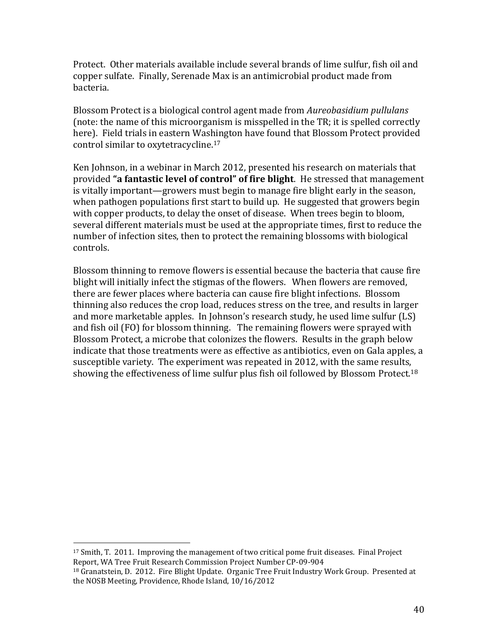Protect. Other materials available include several brands of lime sulfur, fish oil and copper sulfate. Finally, Serenade Max is an antimicrobial product made from bacteria.

Blossom Protect is a biological control agent made from *Aureobasidium pullulans* (note: the name of this microorganism is misspelled in the TR; it is spelled correctly here). Field trials in eastern Washington have found that Blossom Protect provided control similar to oxytetracycline.<sup>17</sup>

Ken Johnson, in a webinar in March 2012, presented his research on materials that provided "a fantastic level of control" of fire blight. He stressed that management is vitally important—growers must begin to manage fire blight early in the season, when pathogen populations first start to build up. He suggested that growers begin with copper products, to delay the onset of disease. When trees begin to bloom, several different materials must be used at the appropriate times, first to reduce the number of infection sites, then to protect the remaining blossoms with biological controls.

Blossom thinning to remove flowers is essential because the bacteria that cause fire blight will initially infect the stigmas of the flowers. When flowers are removed, there are fewer places where bacteria can cause fire blight infections. Blossom thinning also reduces the crop load, reduces stress on the tree, and results in larger and more marketable apples. In Johnson's research study, he used lime sulfur (LS) and fish oil (FO) for blossom thinning. The remaining flowers were sprayed with Blossom Protect, a microbe that colonizes the flowers. Results in the graph below indicate that those treatments were as effective as antibiotics, even on Gala apples, a susceptible variety. The experiment was repeated in 2012, with the same results, showing the effectiveness of lime sulfur plus fish oil followed by Blossom Protect.<sup>18</sup>

 $17$  Smith, T. 2011. Improving the management of two critical pome fruit diseases. Final Project Report, WA Tree Fruit Research Commission Project Number CP-09-904

<sup>&</sup>lt;sup>18</sup> Granatstein, D. 2012. Fire Blight Update. Organic Tree Fruit Industry Work Group. Presented at the NOSB Meeting, Providence, Rhode Island, 10/16/2012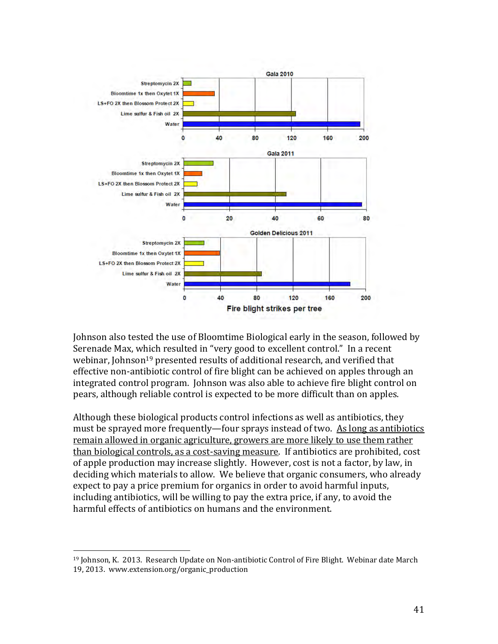

Johnson also tested the use of Bloomtime Biological early in the season, followed by Serenade Max, which resulted in "very good to excellent control." In a recent webinar, Johnson<sup>19</sup> presented results of additional research, and verified that effective non-antibiotic control of fire blight can be achieved on apples through an integrated control program. Johnson was also able to achieve fire blight control on pears, although reliable control is expected to be more difficult than on apples.

Although these biological products control infections as well as antibiotics, they must be sprayed more frequently—four sprays instead of two. As long as antibiotics remain allowed in organic agriculture, growers are more likely to use them rather than biological controls, as a cost-saving measure. If antibiotics are prohibited, cost of apple production may increase slightly. However, cost is not a factor, by law, in deciding which materials to allow. We believe that organic consumers, who already expect to pay a price premium for organics in order to avoid harmful inputs, including antibiotics, will be willing to pay the extra price, if any, to avoid the harmful effects of antibiotics on humans and the environment.

<sup>&</sup>lt;sup>19</sup> Johnson, K. 2013. Research Update on Non-antibiotic Control of Fire Blight. Webinar date March 19, 2013. www.extension.org/organic\_production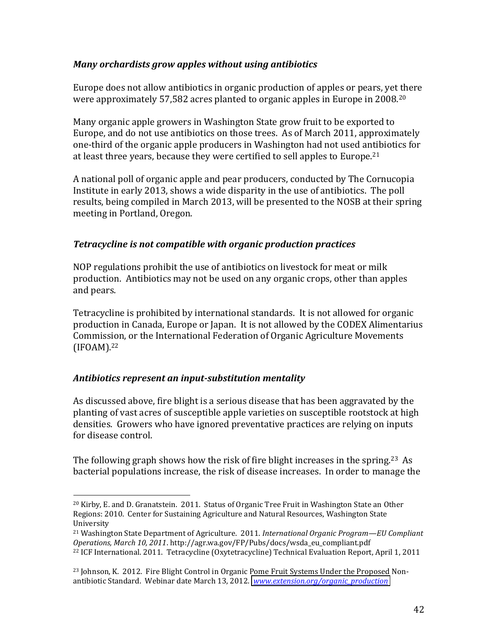#### *Many\$orchardists\$grow\$apples\$without\$using\$antibiotics\$\$*

Europe does not allow antibiotics in organic production of apples or pears, yet there were approximately  $57,582$  acres planted to organic apples in Europe in 2008.<sup>20</sup>

Many organic apple growers in Washington State grow fruit to be exported to Europe, and do not use antibiotics on those trees. As of March 2011, approximately one-third of the organic apple producers in Washington had not used antibiotics for at least three years, because they were certified to sell apples to Europe.<sup>21</sup>

A national poll of organic apple and pear producers, conducted by The Cornucopia Institute in early 2013, shows a wide disparity in the use of antibiotics. The poll results, being compiled in March 2013, will be presented to the NOSB at their spring meeting in Portland, Oregon.

#### *Tetracycline is not compatible with organic production practices*

NOP regulations prohibit the use of antibiotics on livestock for meat or milk production. Antibiotics may not be used on any organic crops, other than apples and pears.

Tetracycline is prohibited by international standards. It is not allowed for organic production in Canada, Europe or Japan. It is not allowed by the CODEX Alimentarius Commission, or the International Federation of Organic Agriculture Movements (IFOAM).22

#### Antibiotics represent an input-substitution mentality

!!!!!!!!!!!!!!!!!!!!!!!!!!!!!!!!!!!!!!!!!!!!!!!!!!!!!!!

As discussed above, fire blight is a serious disease that has been aggravated by the planting of vast acres of susceptible apple varieties on susceptible rootstock at high densities. Growers who have ignored preventative practices are relying on inputs for disease control.

The following graph shows how the risk of fire blight increases in the spring.<sup>23</sup> As bacterial populations increase, the risk of disease increases. In order to manage the

 $20$  Kirby, E. and D. Granatstein. 2011. Status of Organic Tree Fruit in Washington State an Other Regions: 2010. Center for Sustaining Agriculture and Natural Resources, Washington State University!

<sup>&</sup>lt;sup>21</sup> Washington State Department of Agriculture. 2011. *International Organic Program—EU Compliant Operations,'March'10,'2011*.!http://agr.wa.gov/FP/Pubs/docs/wsda\_eu\_compliant.pdf!! <sup>22</sup> ICF International. 2011. Tetracycline (Oxytetracycline) Technical Evaluation Report, April 1, 2011

<sup>&</sup>lt;sup>23</sup> Johnson, K. 2012. Fire Blight Control in Organic Pome Fruit Systems Under the Proposed Nonantibiotic Standard. Webinar date March 13, 2012. *[www.extension.org/organic\\_production](http://www.extension.org/organic_production)*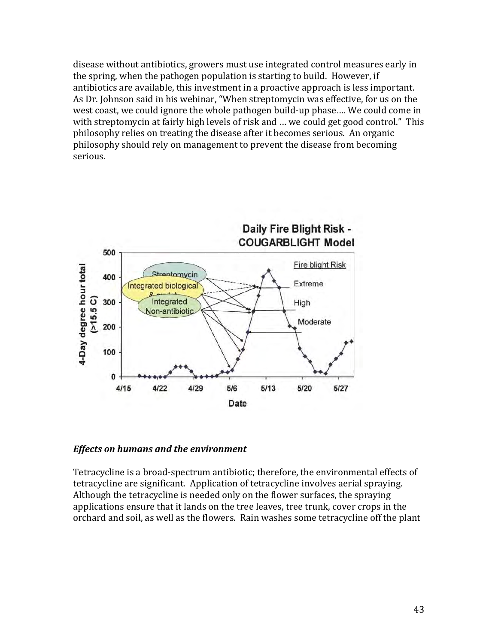disease without antibiotics, growers must use integrated control measures early in the spring, when the pathogen population is starting to build. However, if antibiotics are available, this investment in a proactive approach is less important. As Dr. Johnson said in his webinar, "When streptomycin was effective, for us on the west coast, we could ignore the whole pathogen build-up phase.... We could come in with streptomycin at fairly high levels of risk and ... we could get good control." This philosophy relies on treating the disease after it becomes serious. An organic philosophy should rely on management to prevent the disease from becoming serious.



#### **Effects on humans and the environment**

Tetracycline is a broad-spectrum antibiotic; therefore, the environmental effects of tetracycline are significant. Application of tetracycline involves aerial spraying. Although the tetracycline is needed only on the flower surfaces, the spraying applications ensure that it lands on the tree leaves, tree trunk, cover crops in the orchard and soil, as well as the flowers. Rain washes some tetracycline off the plant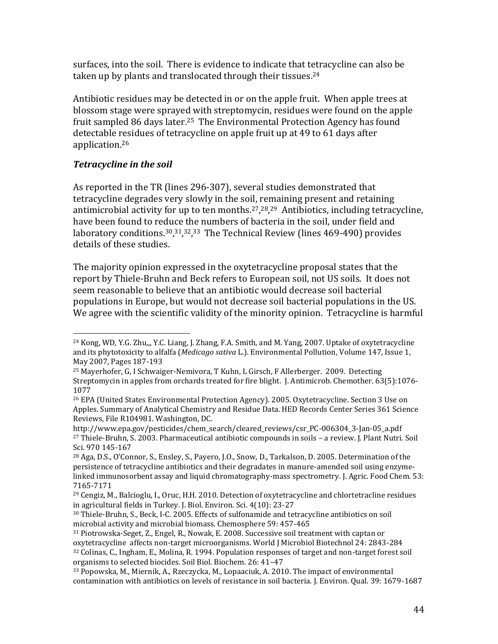surfaces, into the soil. There is evidence to indicate that tetracycline can also be taken up by plants and translocated through their tissues.<sup>24</sup>

Antibiotic residues may be detected in or on the apple fruit. When apple trees at blossom stage were sprayed with streptomycin, residues were found on the apple fruit sampled 86 days later.<sup>25</sup> The Environmental Protection Agency has found detectable residues of tetracycline on apple fruit up at 49 to 61 days after application.<sup>26</sup>

#### Tetracycline in the soil

As reported in the TR (lines 296-307), several studies demonstrated that tetracycline degrades very slowly in the soil, remaining present and retaining antimicrobial activity for up to ten months.<sup>27</sup>,<sup>28</sup>,<sup>29</sup> Antibiotics, including tetracycline, have been found to reduce the numbers of bacteria in the soil, under field and laboratory conditions.<sup>30</sup>,<sup>31</sup>,<sup>32</sup>,<sup>33</sup> The Technical Review (lines 469-490) provides details of these studies.

The majority opinion expressed in the oxytetracycline proposal states that the report by Thiele-Bruhn and Beck refers to European soil, not US soils. It does not seem reasonable to believe that an antibiotic would decrease soil bacterial populations in Europe, but would not decrease soil bacterial populations in the US. We agree with the scientific validity of the minority opinion. Tetracycline is harmful

<sup>&</sup>lt;sup>24</sup> Kong, WD, Y.G. Zhu,,, Y.C. Liang, J. Zhang, F.A. Smith, and M. Yang, 2007. Uptake of oxytetracycline and its phytotoxicity to alfalfa (Medicago sativa L.). Environmental Pollution, Volume 147, Issue 1, May 2007, Pages 187-193

<sup>&</sup>lt;sup>25</sup> Mayerhofer, G, I Schwaiger-Nemivora, T Kuhn, L Girsch, F Allerberger. 2009. Detecting Streptomycin in apples from orchards treated for fire blight. J. Antimicrob. Chemother. 63(5):1076-1077

<sup>&</sup>lt;sup>26</sup> EPA (United States Environmental Protection Agency). 2005. Oxytetracycline. Section 3 Use on Apples. Summary of Analytical Chemistry and Residue Data. HED Records Center Series 361 Science Reviews, File R104981. Washington, DC.

http://www.epa.gov/pesticides/chem\_search/cleared\_reviews/csr\_PC-006304\_3-Jan-05\_a.pdf <sup>27</sup> Thiele-Bruhn, S. 2003. Pharmaceutical antibiotic compounds in soils - a review. J. Plant Nutri. Soil Sci. 970 145-167

<sup>&</sup>lt;sup>28</sup> Aga, D.S., O'Connor, S., Ensley, S., Payero, J.O., Snow, D., Tarkalson, D. 2005. Determination of the persistence of tetracycline antibiotics and their degradates in manure-amended soil using enzymelinked immunosorbent assay and liquid chromatography-mass spectrometry. J. Agric. Food Chem. 53: 7165-7171

 $^{29}$  Cengiz, M., Balcioglu, I., Oruc, H.H. 2010. Detection of oxytetracycline and chlortetracline residues in agricultural fields in Turkey. J. Biol. Environ. Sci. 4(10): 23-27

<sup>&</sup>lt;sup>30</sup> Thiele-Bruhn, S., Beck, I-C. 2005. Effects of sulfonamide and tetracycline antibiotics on soil microbial activity and microbial biomass. Chemosphere 59: 457-465

<sup>&</sup>lt;sup>31</sup> Piotrowska-Seget, Z., Engel, R., Nowak, E. 2008. Successive soil treatment with captan or oxytetracycline affects non-target microorganisms. World J Microbiol Biotechnol 24: 2843-284 32 Colinas, C., Ingham, E., Molina, R. 1994. Population responses of target and non-target forest soil organisms to selected biocides. Soil Biol. Biochem. 26: 41-47

<sup>33</sup> Popowska, M., Miernik, A., Rzeczycka, M., Lopaaciuk, A. 2010. The impact of environmental contamination with antibiotics on levels of resistance in soil bacteria. J. Environ. Qual. 39: 1679-1687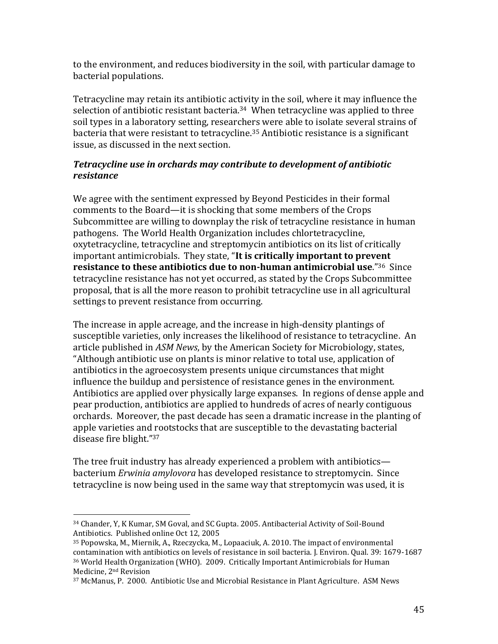to the environment, and reduces biodiversity in the soil, with particular damage to bacterial populations.

Tetracycline may retain its antibiotic activity in the soil, where it may influence the selection of antibiotic resistant bacteria.<sup>34</sup> When tetracycline was applied to three soil types in a laboratory setting, researchers were able to isolate several strains of bacteria that were resistant to tetracycline.<sup>35</sup> Antibiotic resistance is a significant issue, as discussed in the next section.

#### Tetracycline use in orchards may contribute to development of antibiotic resistance

We agree with the sentiment expressed by Beyond Pesticides in their formal comments to the Board—it is shocking that some members of the Crops Subcommittee are willing to downplay the risk of tetracycline resistance in human pathogens. The World Health Organization includes chlortetracycline. oxytetracycline, tetracycline and streptomycin antibiotics on its list of critically important antimicrobials. They state, "It is critically important to prevent resistance to these antibiotics due to non-human antimicrobial use."36 Since tetracycline resistance has not yet occurred, as stated by the Crops Subcommittee proposal, that is all the more reason to prohibit tetracycline use in all agricultural settings to prevent resistance from occurring.

The increase in apple acreage, and the increase in high-density plantings of susceptible varieties, only increases the likelihood of resistance to tetracycline. An article published in ASM News, by the American Society for Microbiology, states, "Although antibiotic use on plants is minor relative to total use, application of antibiotics in the agroecosystem presents unique circumstances that might influence the buildup and persistence of resistance genes in the environment. Antibiotics are applied over physically large expanses. In regions of dense apple and pear production, antibiotics are applied to hundreds of acres of nearly contiguous orchards. Moreover, the past decade has seen a dramatic increase in the planting of apple varieties and rootstocks that are susceptible to the devastating bacterial disease fire blight."37

The tree fruit industry has already experienced a problem with antibiotics bacterium *Erwinia amylovora* has developed resistance to streptomycin. Since tetracycline is now being used in the same way that streptomycin was used, it is

<sup>&</sup>lt;sup>34</sup> Chander, Y, K Kumar, SM Goval, and SC Gupta. 2005. Antibacterial Activity of Soil-Bound Antibiotics. Published online Oct 12, 2005

<sup>&</sup>lt;sup>35</sup> Popowska, M., Miernik, A., Rzeczycka, M., Lopaaciuk, A. 2010. The impact of environmental contamination with antibiotics on levels of resistance in soil bacteria. J. Environ. Qual. 39: 1679-1687 <sup>36</sup> World Health Organization (WHO). 2009. Critically Important Antimicrobials for Human Medicine, 2<sup>nd</sup> Revision

<sup>&</sup>lt;sup>37</sup> McManus, P. 2000. Antibiotic Use and Microbial Resistance in Plant Agriculture. ASM News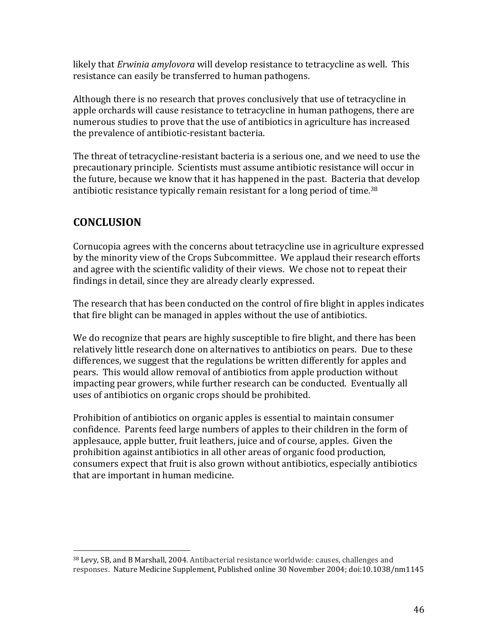likely that *Erwinia amylovora* will develop resistance to tetracycline as well. This resistance can easily be transferred to human pathogens.

Although there is no research that proves conclusively that use of tetracycline in apple orchards will cause resistance to tetracycline in human pathogens, there are numerous studies to prove that the use of antibiotics in agriculture has increased the prevalence of antibiotic-resistant bacteria.

The threat of tetracycline-resistant bacteria is a serious one, and we need to use the precautionary principle. Scientists must assume antibiotic resistance will occur in the future, because we know that it has happened in the past. Bacteria that develop antibiotic resistance typically remain resistant for a long period of time.<sup>38</sup>

## **CONCLUSION**

Cornucopia agrees with the concerns about tetracycline use in agriculture expressed by the minority view of the Crops Subcommittee. We applaud their research efforts and agree with the scientific validity of their views. We chose not to repeat their findings in detail, since they are already clearly expressed.

The research that has been conducted on the control of fire blight in apples indicates that fire blight can be managed in apples without the use of antibiotics.

We do recognize that pears are highly susceptible to fire blight, and there has been relatively little research done on alternatives to antibiotics on pears. Due to these differences, we suggest that the regulations be written differently for apples and pears. This would allow removal of antibiotics from apple production without impacting pear growers, while further research can be conducted. Eventually all uses of antibiotics on organic crops should be prohibited.

Prohibition of antibiotics on organic apples is essential to maintain consumer confidence. Parents feed large numbers of apples to their children in the form of applesauce, apple butter, fruit leathers, juice and of course, apples. Given the prohibition against antibiotics in all other areas of organic food production, consumers expect that fruit is also grown without antibiotics, especially antibiotics that are important in human medicine.

<sup>&</sup>lt;sup>38</sup> Levy, SB, and B Marshall, 2004. Antibacterial resistance worldwide: causes, challenges and responses. Nature Medicine Supplement, Published online 30 November 2004; doi:10.1038/nm1145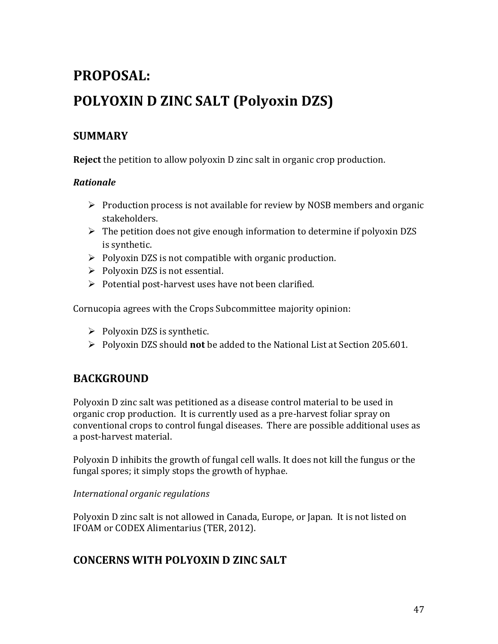# PROPOSAL: POLYOXIN D ZINC SALT (Polyoxin DZS)

## **SUMMARY'**

**Reject** the petition to allow polyoxin D zinc salt in organic crop production.

#### *Rationale\$*

- $\triangleright$  Production process is not available for review by NOSB members and organic stakeholders.
- $\triangleright$  The petition does not give enough information to determine if polyoxin DZS is synthetic.
- $\triangleright$  Polyoxin DZS is not compatible with organic production.
- $\triangleright$  Polyoxin DZS is not essential.
- $\triangleright$  Potential post-harvest uses have not been clarified.

Cornucopia agrees with the Crops Subcommittee majority opinion:

- $\triangleright$  Polyoxin DZS is synthetic.
- ▶ Polyoxin DZS should **not** be added to the National List at Section 205.601.

## **BACKGROUND'**

Polyoxin D zinc salt was petitioned as a disease control material to be used in organic crop production. It is currently used as a pre-harvest foliar spray on conventional crops to control fungal diseases. There are possible additional uses as a post-harvest material.

Polyoxin D inhibits the growth of fungal cell walls. It does not kill the fungus or the fungal spores; it simply stops the growth of hyphae.

#### *International'organic'regulations'*

Polyoxin D zinc salt is not allowed in Canada, Europe, or Japan. It is not listed on IFOAM or CODEX Alimentarius (TER, 2012).

## **CONCERNS'WITH'POLYOXIN'D'ZINC'SALT'**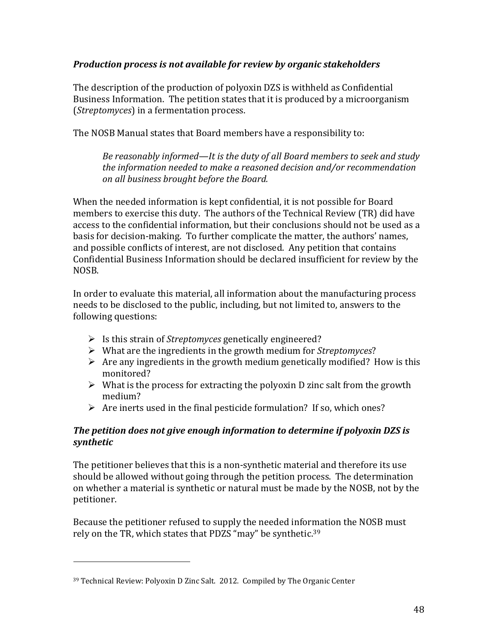#### **Production process is not available for review by organic stakeholders**

The description of the production of polyoxin DZS is withheld as Confidential Business Information. The petition states that it is produced by a microorganism (*Streptomyces*) in a fermentation process.

The NOSB Manual states that Board members have a responsibility to:

*Be reasonably informed—It is the duty of all Board members to seek and study the'information'needed'to'make'a'reasoned'decision'and/or'recommendation' on'all'business'brought'before'the'Board.''*

When the needed information is kept confidential, it is not possible for Board members to exercise this duty. The authors of the Technical Review (TR) did have access to the confidential information, but their conclusions should not be used as a basis for decision-making. To further complicate the matter, the authors' names, and possible conflicts of interest, are not disclosed. Any petition that contains Confidential Business Information should be declared insufficient for review by the NOSB.

In order to evaluate this material, all information about the manufacturing process needs to be disclosed to the public, including, but not limited to, answers to the following questions:

- ▶ Is this strain of *Streptomyces* genetically engineered?
- ▶ What are the ingredients in the growth medium for *Streptomyces*?
- $\triangleright$  Are any ingredients in the growth medium genetically modified? How is this monitored?
- $\triangleright$  What is the process for extracting the polyoxin D zinc salt from the growth medium?
- $\triangleright$  Are inerts used in the final pesticide formulation? If so, which ones?

#### *The petition does not give enough information to determine if polyoxin DZS is synthetic\$*

The petitioner believes that this is a non-synthetic material and therefore its use should be allowed without going through the petition process. The determination on whether a material is synthetic or natural must be made by the NOSB, not by the petitioner.

Because the petitioner refused to supply the needed information the NOSB must rely on the TR, which states that PDZS "may" be synthetic.<sup>39</sup>

<sup>&</sup>lt;sup>39</sup> Technical Review: Polyoxin D Zinc Salt. 2012. Compiled by The Organic Center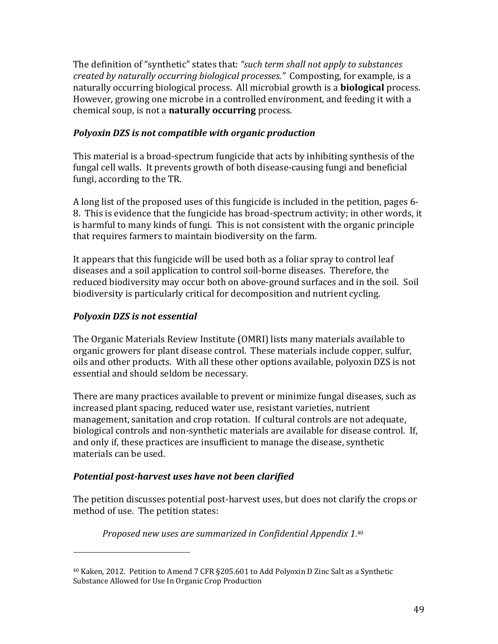The definition of "synthetic" states that: "such term shall not apply to substances' *created by naturally occurring biological processes.*<sup>*"*</sup> Composting, for example, is a naturally occurring biological process. All microbial growth is a **biological** process. However, growing one microbe in a controlled environment, and feeding it with a chemical soup, is not a **naturally occurring** process.

#### **Polyoxin DZS is not compatible with organic production**

This material is a broad-spectrum fungicide that acts by inhibiting synthesis of the fungal cell walls. It prevents growth of both disease-causing fungi and beneficial fungi, according to the TR.

A long list of the proposed uses of this fungicide is included in the petition, pages 6-8. This is evidence that the fungicide has broad-spectrum activity; in other words, it is harmful to many kinds of fungi. This is not consistent with the organic principle that requires farmers to maintain biodiversity on the farm.

It appears that this fungicide will be used both as a foliar spray to control leaf diseases and a soil application to control soil-borne diseases. Therefore, the reduced biodiversity may occur both on above-ground surfaces and in the soil. Soil biodiversity is particularly critical for decomposition and nutrient cycling.

#### **Polyoxin DZS** is not essential

!!!!!!!!!!!!!!!!!!!!!!!!!!!!!!!!!!!!!!!!!!!!!!!!!!!!!!!

The Organic Materials Review Institute (OMRI) lists many materials available to organic growers for plant disease control. These materials include copper, sulfur, oils and other products. With all these other options available, polyoxin DZS is not essential and should seldom be necessary.

There are many practices available to prevent or minimize fungal diseases, such as increased plant spacing, reduced water use, resistant varieties, nutrient management, sanitation and crop rotation. If cultural controls are not adequate, biological controls and non-synthetic materials are available for disease control. If, and only if, these practices are insufficient to manage the disease, synthetic materials can be used.

#### **Potential post-harvest uses have not been clarified**

The petition discusses potential post-harvest uses, but does not clarify the crops or method of use. The petition states:

*Proposed'new'uses'are'summarized'in'Confidential'Appendix'1*. 40

<sup>&</sup>lt;sup>40</sup> Kaken, 2012. Petition to Amend 7 CFR §205.601 to Add Polyoxin D Zinc Salt as a Synthetic Substance Allowed for Use In Organic Crop Production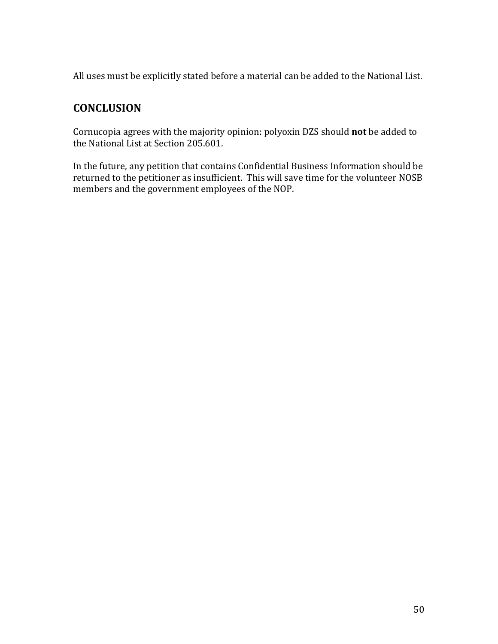All uses must be explicitly stated before a material can be added to the National List.

## **CONCLUSION'**

Cornucopia agrees with the majority opinion: polyoxin DZS should not be added to the National List at Section 205.601.

In the future, any petition that contains Confidential Business Information should be returned to the petitioner as insufficient. This will save time for the volunteer NOSB members and the government employees of the NOP.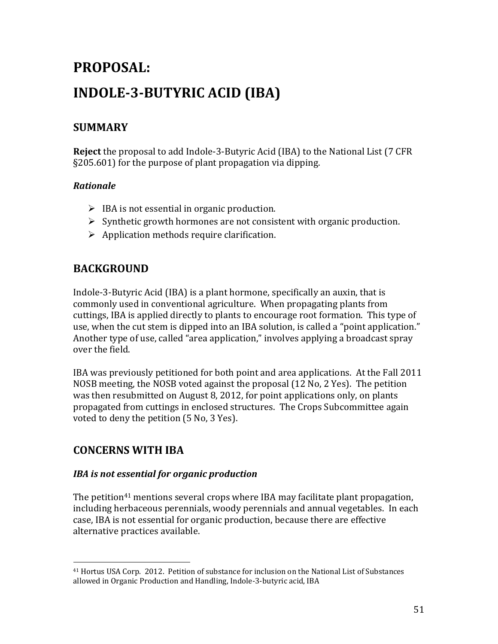# PROPOSAL: **INDOLE-3-BUTYRIC ACID (IBA)**

## **SUMMARY'**

**Reject** the proposal to add Indole-3-Butyric Acid (IBA) to the National List (7 CFR  $\S205.601$  for the purpose of plant propagation via dipping.

#### *Rationale\$*

- $\triangleright$  IBA is not essential in organic production.
- $\triangleright$  Synthetic growth hormones are not consistent with organic production.
- $\triangleright$  Application methods require clarification.

## **BACKGROUND'**

Indole-3-Butyric Acid (IBA) is a plant hormone, specifically an auxin, that is commonly used in conventional agriculture. When propagating plants from cuttings, IBA is applied directly to plants to encourage root formation. This type of use, when the cut stem is dipped into an IBA solution, is called a "point application." Another type of use, called "area application," involves applying a broadcast spray over the field.

IBA was previously petitioned for both point and area applications. At the Fall 2011 NOSB meeting, the NOSB voted against the proposal  $(12 \text{ No}, 2 \text{ Yes})$ . The petition was then resubmitted on August 8, 2012, for point applications only, on plants propagated from cuttings in enclosed structures. The Crops Subcommittee again voted to deny the petition (5 No, 3 Yes).

## **CONCERNS'WITH'IBA**

!!!!!!!!!!!!!!!!!!!!!!!!!!!!!!!!!!!!!!!!!!!!!!!!!!!!!!!

#### *IBA is not essential for organic production*

The petition<sup>41</sup> mentions several crops where IBA may facilitate plant propagation, including herbaceous perennials, woody perennials and annual vegetables. In each case, IBA is not essential for organic production, because there are effective alternative practices available.

<sup>&</sup>lt;sup>41</sup> Hortus USA Corp. 2012. Petition of substance for inclusion on the National List of Substances allowed in Organic Production and Handling, Indole-3-butyric acid, IBA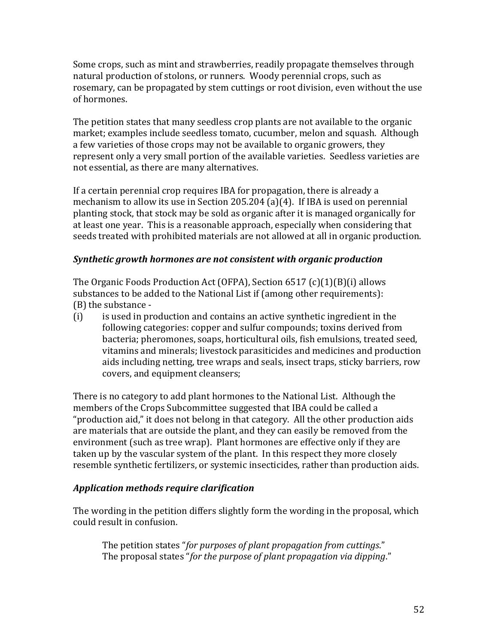Some crops, such as mint and strawberries, readily propagate themselves through natural production of stolons, or runners. Woody perennial crops, such as rosemary, can be propagated by stem cuttings or root division, even without the use of hormones.

The petition states that many seedless crop plants are not available to the organic market; examples include seedless tomato, cucumber, melon and squash. Although a few varieties of those crops may not be available to organic growers, they represent only a very small portion of the available varieties. Seedless varieties are not essential, as there are many alternatives.

If a certain perennial crop requires IBA for propagation, there is already a mechanism to allow its use in Section 205.204 (a)(4). If IBA is used on perennial planting stock, that stock may be sold as organic after it is managed organically for at least one year. This is a reasonable approach, especially when considering that seeds treated with prohibited materials are not allowed at all in organic production.

#### **Synthetic growth hormones are not consistent with organic production**

The Organic Foods Production Act (OFPA), Section  $6517$  (c)(1)(B)(i) allows substances to be added to the National List if (among other requirements):  $(B)$  the substance -

 $(i)$  is used in production and contains an active synthetic ingredient in the following categories: copper and sulfur compounds; toxins derived from bacteria; pheromones, soaps, horticultural oils, fish emulsions, treated seed, vitamins and minerals; livestock parasiticides and medicines and production aids including netting, tree wraps and seals, insect traps, sticky barriers, row covers, and equipment cleansers;

There is no category to add plant hormones to the National List. Although the members of the Crops Subcommittee suggested that IBA could be called a "production aid," it does not belong in that category. All the other production aids are materials that are outside the plant, and they can easily be removed from the environment (such as tree wrap). Plant hormones are effective only if they are taken up by the vascular system of the plant. In this respect they more closely resemble synthetic fertilizers, or systemic insecticides, rather than production aids.

#### *Application\$methods\$require\$clarification*

The wording in the petition differs slightly form the wording in the proposal, which could result in confusion.

The petition states "for purposes of plant propagation from cuttings." The proposal states "for the purpose of plant propagation via dipping."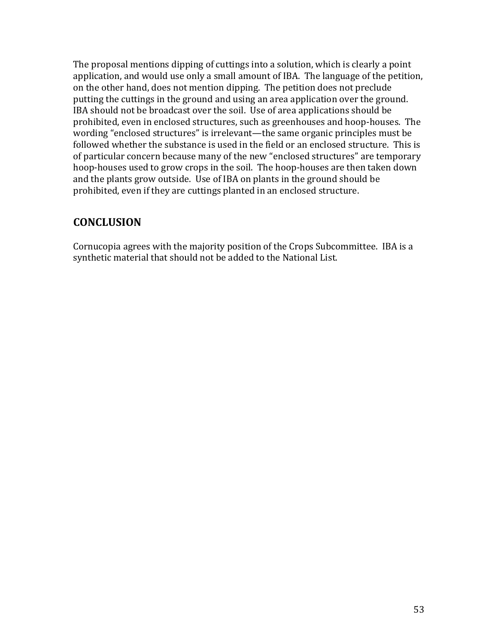The proposal mentions dipping of cuttings into a solution, which is clearly a point application, and would use only a small amount of IBA. The language of the petition, on the other hand, does not mention dipping. The petition does not preclude putting the cuttings in the ground and using an area application over the ground. IBA should not be broadcast over the soil. Use of area applications should be prohibited, even in enclosed structures, such as greenhouses and hoop-houses. The wording "enclosed structures" is irrelevant—the same organic principles must be followed whether the substance is used in the field or an enclosed structure. This is of particular concern because many of the new "enclosed structures" are temporary hoop-houses used to grow crops in the soil. The hoop-houses are then taken down and the plants grow outside. Use of IBA on plants in the ground should be prohibited, even if they are cuttings planted in an enclosed structure.

### **CONCLUSION'**

Cornucopia agrees with the majority position of the Crops Subcommittee. IBA is a synthetic material that should not be added to the National List.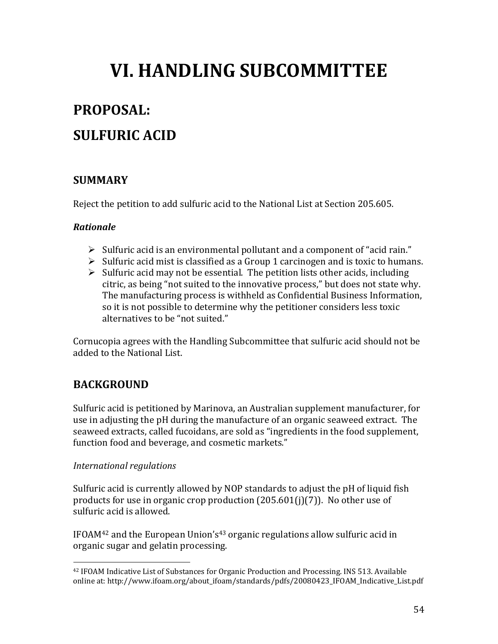# **VI. HANDLING SUBCOMMITTEE**

## **PROPOSAL:**

## **SULFURIC ACID**

### **SUMMARY**

Reject the petition to add sulfuric acid to the National List at Section 205.605.

#### **Rationale**

- $\triangleright$  Sulfuric acid is an environmental pollutant and a component of "acid rain."
- $\triangleright$  Sulfuric acid mist is classified as a Group 1 carcinogen and is toxic to humans.
- $\triangleright$  Sulfuric acid may not be essential. The petition lists other acids, including citric, as being "not suited to the innovative process," but does not state why. The manufacturing process is withheld as Confidential Business Information, so it is not possible to determine why the petitioner considers less toxic alternatives to be "not suited."

Cornucopia agrees with the Handling Subcommittee that sulfuric acid should not be added to the National List.

## **BACKGROUND**

Sulfuric acid is petitioned by Marinova, an Australian supplement manufacturer, for use in adjusting the pH during the manufacture of an organic seaweed extract. The seaweed extracts, called fucoidans, are sold as "ingredients in the food supplement, function food and beverage, and cosmetic markets."

#### International regulations

Sulfuric acid is currently allowed by NOP standards to adjust the pH of liquid fish products for use in organic crop production  $(205.601(i)(7))$ . No other use of sulfuric acid is allowed.

IFOAM<sup>42</sup> and the European Union's<sup>43</sup> organic regulations allow sulfuric acid in organic sugar and gelatin processing.

<sup>&</sup>lt;sup>42</sup> IFOAM Indicative List of Substances for Organic Production and Processing. INS 513. Available online at: http://www.ifoam.org/about\_ifoam/standards/pdfs/20080423\_IFOAM\_Indicative\_List.pdf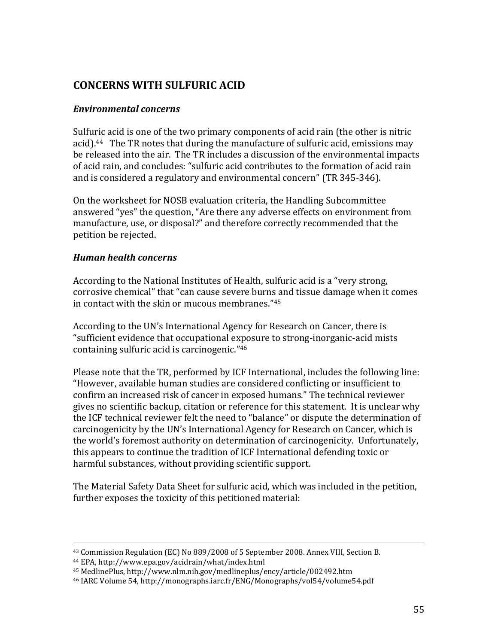## **CONCERNS'WITH'SULFURIC'ACID**

#### *Environmental\$concerns\$*

Sulfuric acid is one of the two primary components of acid rain (the other is nitric acid).<sup>44</sup> The TR notes that during the manufacture of sulfuric acid, emissions may be released into the air. The TR includes a discussion of the environmental impacts of acid rain, and concludes: "sulfuric acid contributes to the formation of acid rain and is considered a regulatory and environmental concern" (TR 345-346).

On the worksheet for NOSB evaluation criteria, the Handling Subcommittee answered "yes" the question, "Are there any adverse effects on environment from manufacture, use, or disposal?" and therefore correctly recommended that the petition be rejected.

#### *Human\$health\$concerns\$*

According to the National Institutes of Health, sulfuric acid is a "very strong, corrosive chemical" that "can cause severe burns and tissue damage when it comes in contact with the skin or mucous membranes."45

According to the UN's International Agency for Research on Cancer, there is "sufficient evidence that occupational exposure to strong-inorganic-acid mists containing sulfuric acid is carcinogenic."<sup>46</sup>

Please note that the TR, performed by ICF International, includes the following line: "However, available human studies are considered conflicting or insufficient to confirm an increased risk of cancer in exposed humans." The technical reviewer gives no scientific backup, citation or reference for this statement. It is unclear why the ICF technical reviewer felt the need to "balance" or dispute the determination of carcinogenicity by the UN's International Agency for Research on Cancer, which is the world's foremost authority on determination of carcinogenicity. Unfortunately, this appears to continue the tradition of ICF International defending toxic or harmful substances, without providing scientific support.

The Material Safety Data Sheet for sulfuric acid, which was included in the petition, further exposes the toxicity of this petitioned material:

!!!!!!!!!!!!!!!!!!!!!!!!!!!!!!!!!!!!!!!!!!!!!!!!!!!!!!!!!!!!!!!!!!!!!!!!!!!!!!!!!!!!!!!!!!!!!!!!!!!!!!!!!!!!!!!!!!!!!!!!!!!!!!!!!!!!!!!!!!!!!!!!!!!!!!!!!!!!!!!!!!!!

<sup>43</sup> Commission Regulation (EC) No 889/2008 of 5 September 2008. Annex VIII, Section B.

<sup>&</sup>lt;sup>44</sup> EPA, http://www.epa.gov/acidrain/what/index.html

<sup>&</sup>lt;sup>45</sup> MedlinePlus, http://www.nlm.nih.gov/medlineplus/ency/article/002492.htm

<sup>&</sup>lt;sup>46</sup> IARC Volume 54, http://monographs.iarc.fr/ENG/Monographs/vol54/volume54.pdf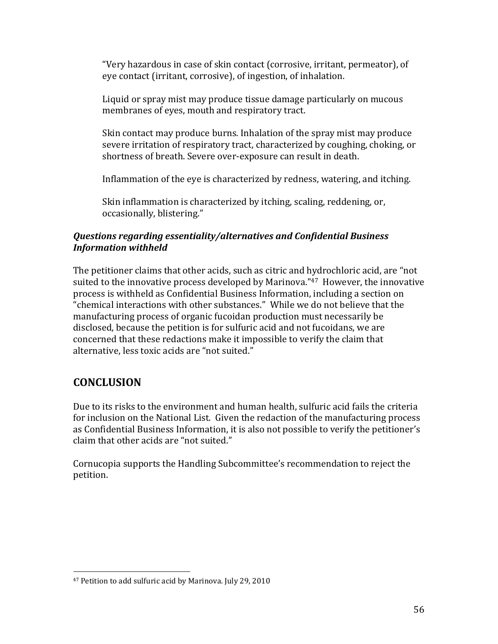"Very hazardous in case of skin contact (corrosive, irritant, permeator), of eye contact (irritant, corrosive), of ingestion, of inhalation.

Liquid or spray mist may produce tissue damage particularly on mucous membranes of eyes, mouth and respiratory tract.

Skin contact may produce burns. Inhalation of the spray mist may produce severe irritation of respiratory tract, characterized by coughing, choking, or shortness of breath. Severe over-exposure can result in death.

Inflammation of the eye is characterized by redness, watering, and itching.

Skin inflammation is characterized by itching, scaling, reddening, or, occasionally, blistering."

#### *Questions\$regarding\$essentiality/alternatives\$and\$Confidential\$Business\$ Information\$withheld\$*

The petitioner claims that other acids, such as citric and hydrochloric acid, are "not suited to the innovative process developed by Marinova."<sup>47</sup> However, the innovative process is withheld as Confidential Business Information, including a section on "chemical interactions with other substances." While we do not believe that the manufacturing process of organic fucoidan production must necessarily be disclosed, because the petition is for sulfuric acid and not fucoidans, we are concerned that these redactions make it impossible to verify the claim that alternative, less toxic acids are "not suited."

## **CONCLUSION**

Due to its risks to the environment and human health, sulfuric acid fails the criteria for inclusion on the National List. Given the redaction of the manufacturing process as Confidential Business Information, it is also not possible to verify the petitioner's claim that other acids are "not suited."

Cornucopia supports the Handling Subcommittee's recommendation to reject the petition.

<sup>&</sup>lt;sup>47</sup> Petition to add sulfuric acid by Marinova. July 29, 2010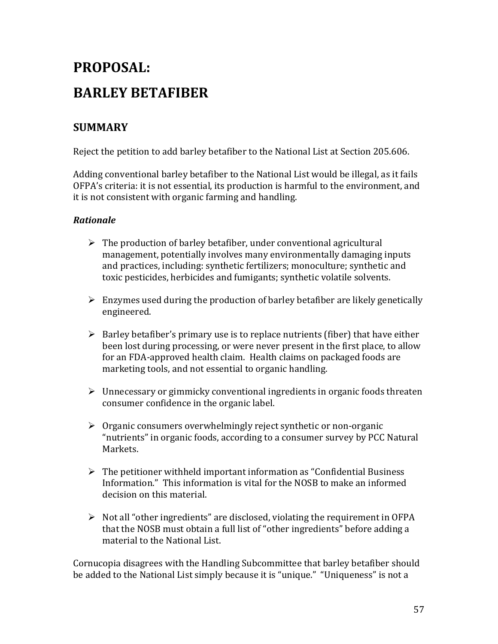## **PROPOSAL:'' BARLEY'BETAFIBER'**

## **SUMMARY'**

Reject the petition to add barley betafiber to the National List at Section 205.606.

Adding conventional barley betafiber to the National List would be illegal, as it fails OFPA's criteria: it is not essential, its production is harmful to the environment, and it is not consistent with organic farming and handling.

#### *Rationale\$*

- $\triangleright$  The production of barley betafiber, under conventional agricultural management, potentially involves many environmentally damaging inputs and practices, including: synthetic fertilizers; monoculture; synthetic and toxic pesticides, herbicides and fumigants; synthetic volatile solvents.
- $\triangleright$  Enzymes used during the production of barley betafiber are likely genetically engineered.
- $\triangleright$  Barley betafiber's primary use is to replace nutrients (fiber) that have either been lost during processing, or were never present in the first place, to allow for an FDA-approved health claim. Health claims on packaged foods are marketing tools, and not essential to organic handling.
- $\triangleright$  Unnecessary or gimmicky conventional ingredients in organic foods threaten consumer confidence in the organic label.
- $\triangleright$  Organic consumers overwhelmingly reject synthetic or non-organic "nutrients" in organic foods, according to a consumer survey by PCC Natural Markets.
- $\triangleright$  The petitioner withheld important information as "Confidential Business" Information." This information is vital for the NOSB to make an informed decision on this material
- $\triangleright$  Not all "other ingredients" are disclosed, violating the requirement in OFPA that the NOSB must obtain a full list of "other ingredients" before adding a material to the National List.

Cornucopia disagrees with the Handling Subcommittee that barley betafiber should be added to the National List simply because it is "unique." "Uniqueness" is not a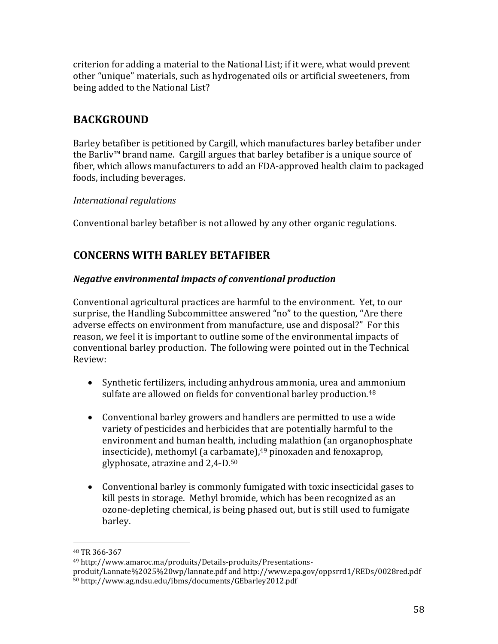criterion for adding a material to the National List; if it were, what would prevent other "unique" materials, such as hydrogenated oils or artificial sweeteners, from being added to the National List?

## **BACKGROUND'**

Barley betafiber is petitioned by Cargill, which manufactures barley betafiber under the Barliv<sup>™</sup> brand name. Cargill argues that barley betafiber is a unique source of fiber, which allows manufacturers to add an FDA-approved health claim to packaged foods, including beverages.

#### *International'regulations'*

Conventional barley betafiber is not allowed by any other organic regulations.

### **CONCERNS'WITH'BARLEY'BETAFIBER'**

#### *Negative environmental impacts of conventional production*

Conventional agricultural practices are harmful to the environment. Yet, to our surprise, the Handling Subcommittee answered "no" to the question, "Are there adverse effects on environment from manufacture, use and disposal?" For this reason, we feel it is important to outline some of the environmental impacts of conventional barley production. The following were pointed out in the Technical Review:

- Synthetic fertilizers, including anhydrous ammonia, urea and ammonium sulfate are allowed on fields for conventional barley production.<sup>48</sup>
- Conventional barley growers and handlers are permitted to use a wide variety of pesticides and herbicides that are potentially harmful to the environment and human health, including malathion (an organophosphate insecticide), methomyl (a carbamate), $49$  pinoxaden and fenoxaprop, glyphosate, atrazine and  $2,4$ -D. $50$
- Conventional barley is commonly fumigated with toxic insecticidal gases to kill pests in storage. Methyl bromide, which has been recognized as an ozone-depleting chemical, is being phased out, but is still used to fumigate barley.

<sup>48</sup> TR 366-367

<sup>&</sup>lt;sup>49</sup> http://www.amaroc.ma/produits/Details-produits/Presentations-

produit/Lannate%2025%20wp/lannate.pdf and http://www.epa.gov/oppsrrd1/REDs/0028red.pdf 50!http://www.ag.ndsu.edu/ibms/documents/GEbarley2012.pdf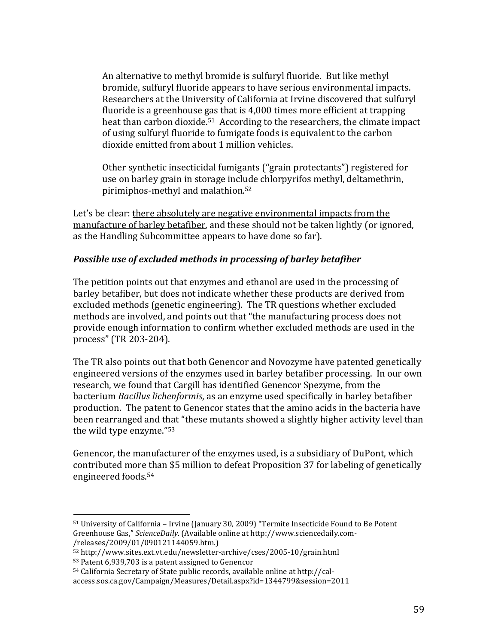An alternative to methyl bromide is sulfuryl fluoride. But like methyl bromide, sulfuryl fluoride appears to have serious environmental impacts. Researchers at the University of California at Irvine discovered that sulfuryl fluoride is a greenhouse gas that is 4,000 times more efficient at trapping heat than carbon dioxide.<sup>51</sup> According to the researchers, the climate impact of using sulfuryl fluoride to fumigate foods is equivalent to the carbon dioxide emitted from about 1 million vehicles.

Other synthetic insecticidal fumigants ("grain protectants") registered for use on barley grain in storage include chlorpyrifos methyl, deltamethrin, pirimiphos-methyl and malathion.<sup>52</sup>

Let's be clear: there absolutely are negative environmental impacts from the manufacture of barley betafiber, and these should not be taken lightly (or ignored, as the Handling Subcommittee appears to have done so far).

#### **Possible use of excluded methods in processing of barley betafiber**

The petition points out that enzymes and ethanol are used in the processing of barley betafiber, but does not indicate whether these products are derived from excluded methods (genetic engineering). The TR questions whether excluded methods are involved, and points out that "the manufacturing process does not provide enough information to confirm whether excluded methods are used in the process" (TR 203-204).

The TR also points out that both Genencor and Novozyme have patented genetically engineered versions of the enzymes used in barley betafiber processing. In our own research, we found that Cargill has identified Genencor Spezyme, from the bacterium *Bacillus lichenformis*, as an enzyme used specifically in barley betafiber production. The patent to Genencor states that the amino acids in the bacteria have been rearranged and that "these mutants showed a slightly higher activity level than the wild type enzyme."<sup>53</sup>

Genencor, the manufacturer of the enzymes used, is a subsidiary of DuPont, which contributed more than \$5 million to defeat Proposition 37 for labeling of genetically engineered foods.<sup>54</sup>

 $51$  University of California – Irvine (January 30, 2009) "Termite Insecticide Found to Be Potent Greenhouse Gas," ScienceDaily. (Available online at http://www.sciencedaily.com-/releases/2009/01/090121144059.htm.)!!

 $52$  http://www.sites.ext.vt.edu/newsletter-archive/cses/2005-10/grain.html

 $53$  Patent 6,939,703 is a patent assigned to Genencor

 $54$  California Secretary of State public records, available online at http://cal-

access.sos.ca.gov/Campaign/Measures/Detail.aspx?id=1344799&session=2011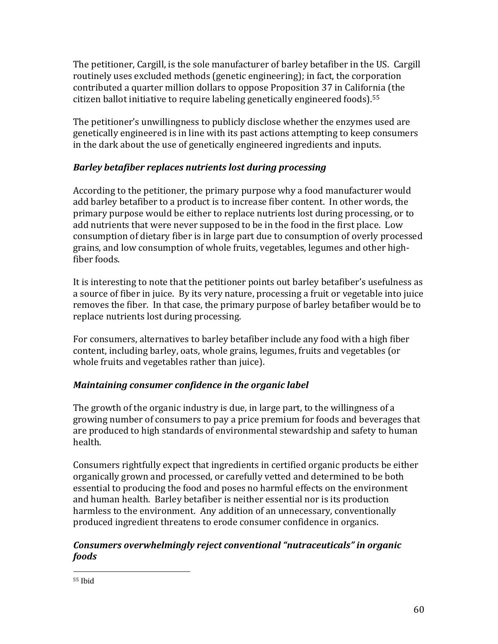The petitioner, Cargill, is the sole manufacturer of barley betafiber in the US. Cargill routinely uses excluded methods (genetic engineering); in fact, the corporation contributed a quarter million dollars to oppose Proposition 37 in California (the citizen ballot initiative to require labeling genetically engineered foods).<sup>55</sup>

The petitioner's unwillingness to publicly disclose whether the enzymes used are genetically engineered is in line with its past actions attempting to keep consumers in the dark about the use of genetically engineered ingredients and inputs.

#### *Barley betafiber replaces nutrients lost during processing*

According to the petitioner, the primary purpose why a food manufacturer would add barley betafiber to a product is to increase fiber content. In other words, the primary purpose would be either to replace nutrients lost during processing, or to add nutrients that were never supposed to be in the food in the first place. Low consumption of dietary fiber is in large part due to consumption of overly processed grains, and low consumption of whole fruits, vegetables, legumes and other highfiber foods.

It is interesting to note that the petitioner points out barley betafiber's usefulness as a source of fiber in juice. By its very nature, processing a fruit or vegetable into juice removes the fiber. In that case, the primary purpose of barley betafiber would be to replace nutrients lost during processing.

For consumers, alternatives to barley betafiber include any food with a high fiber content, including barley, oats, whole grains, legumes, fruits and vegetables (or whole fruits and vegetables rather than juice).

#### *Maintaining consumer confidence in the organic label*

The growth of the organic industry is due, in large part, to the willingness of a growing number of consumers to pay a price premium for foods and beverages that are produced to high standards of environmental stewardship and safety to human health.

Consumers rightfully expect that ingredients in certified organic products be either organically grown and processed, or carefully vetted and determined to be both essential to producing the food and poses no harmful effects on the environment and human health. Barley betafiber is neither essential nor is its production harmless to the environment. Any addition of an unnecessary, conventionally produced ingredient threatens to erode consumer confidence in organics.

#### *Consumers overwhelmingly reject conventional "nutraceuticals" in organic foods\$*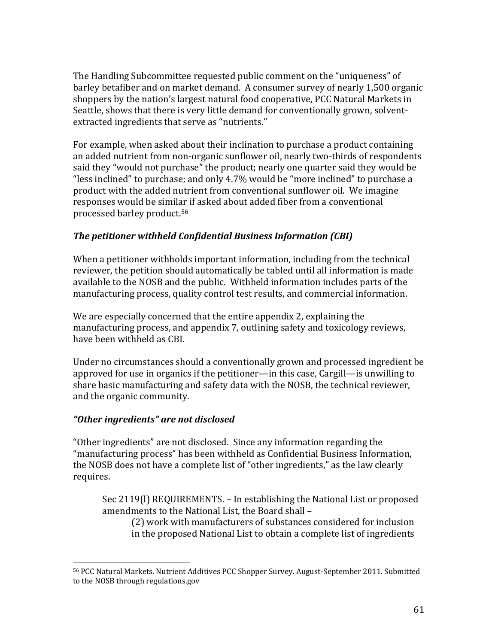The Handling Subcommittee requested public comment on the "uniqueness" of barley betafiber and on market demand. A consumer survey of nearly 1,500 organic shoppers by the nation's largest natural food cooperative, PCC Natural Markets in Seattle, shows that there is very little demand for conventionally grown, solventextracted ingredients that serve as "nutrients."

For example, when asked about their inclination to purchase a product containing an added nutrient from non-organic sunflower oil, nearly two-thirds of respondents said they "would not purchase" the product; nearly one quarter said they would be "less inclined" to purchase; and only  $4.7\%$  would be "more inclined" to purchase a product with the added nutrient from conventional sunflower oil. We imagine responses would be similar if asked about added fiber from a conventional processed barley product.<sup>56</sup>

#### **The petitioner withheld Confidential Business Information (CBI)**

When a petitioner withholds important information, including from the technical reviewer, the petition should automatically be tabled until all information is made available to the NOSB and the public. Withheld information includes parts of the manufacturing process, quality control test results, and commercial information.

We are especially concerned that the entire appendix 2, explaining the manufacturing process, and appendix 7, outlining safety and toxicology reviews, have been withheld as CBI.

Under no circumstances should a conventionally grown and processed ingredient be approved for use in organics if the petitioner—in this case, Cargill—is unwilling to share basic manufacturing and safety data with the NOSB, the technical reviewer, and the organic community.

#### *DzOther\$ingredientsdz\$are\$not\$disclosed\$*

!!!!!!!!!!!!!!!!!!!!!!!!!!!!!!!!!!!!!!!!!!!!!!!!!!!!!!!

"Other ingredients" are not disclosed. Since any information regarding the "manufacturing process" has been withheld as Confidential Business Information, the NOSB does not have a complete list of "other ingredients," as the law clearly requires.

Sec 2119(I) REQUIREMENTS. – In establishing the National List or proposed amendments to the National List, the Board shall -

(2) work with manufacturers of substances considered for inclusion in the proposed National List to obtain a complete list of ingredients

<sup>56</sup> PCC Natural Markets. Nutrient Additives PCC Shopper Survey. August-September 2011. Submitted to the NOSB through regulations.gov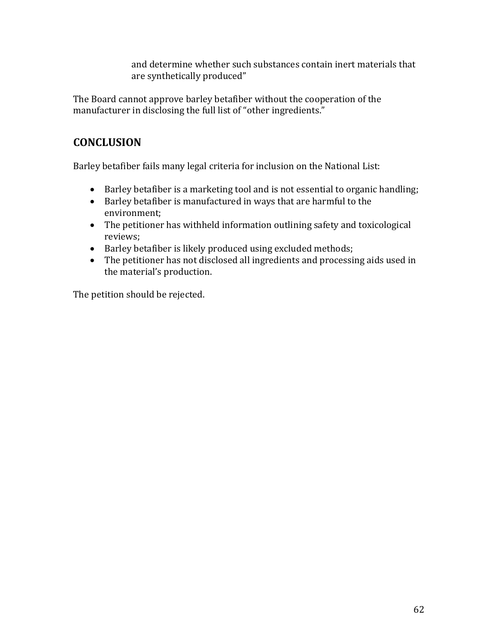and determine whether such substances contain inert materials that are synthetically produced"

The Board cannot approve barley betafiber without the cooperation of the manufacturer in disclosing the full list of "other ingredients."

## **CONCLUSION'**

Barley betafiber fails many legal criteria for inclusion on the National List:

- Barley betafiber is a marketing tool and is not essential to organic handling;
- $\bullet$  Barley betafiber is manufactured in ways that are harmful to the environment;
- $\bullet$  The petitioner has withheld information outlining safety and toxicological reviews;
- **•** Barley betafiber is likely produced using excluded methods;
- $\bullet$  The petitioner has not disclosed all ingredients and processing aids used in the material's production.

The petition should be rejected.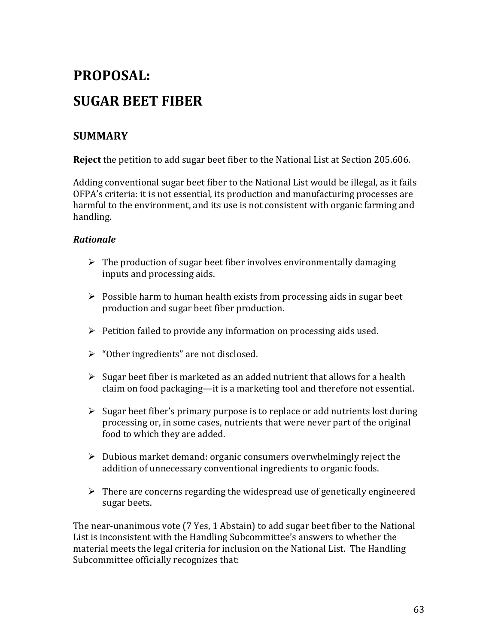# **PROPOSAL:'' SUGAR'BEET'FIBER**

## **SUMMARY**

**Reject** the petition to add sugar beet fiber to the National List at Section 205.606.

Adding conventional sugar beet fiber to the National List would be illegal, as it fails OFPA's criteria: it is not essential, its production and manufacturing processes are harmful to the environment, and its use is not consistent with organic farming and handling.

#### *Rationale\$*

- $\triangleright$  The production of sugar beet fiber involves environmentally damaging inputs and processing aids.
- $\triangleright$  Possible harm to human health exists from processing aids in sugar beet production and sugar beet fiber production.
- $\triangleright$  Petition failed to provide any information on processing aids used.
- $\triangleright$  "Other ingredients" are not disclosed.
- $\triangleright$  Sugar beet fiber is marketed as an added nutrient that allows for a health claim on food packaging—it is a marketing tool and therefore not essential.
- $\triangleright$  Sugar beet fiber's primary purpose is to replace or add nutrients lost during processing or, in some cases, nutrients that were never part of the original food to which they are added.
- $\triangleright$  Dubious market demand: organic consumers overwhelmingly reject the addition of unnecessary conventional ingredients to organic foods.
- $\triangleright$  There are concerns regarding the widespread use of genetically engineered sugar beets.

The near-unanimous vote (7 Yes, 1 Abstain) to add sugar beet fiber to the National List is inconsistent with the Handling Subcommittee's answers to whether the material meets the legal criteria for inclusion on the National List. The Handling Subcommittee officially recognizes that: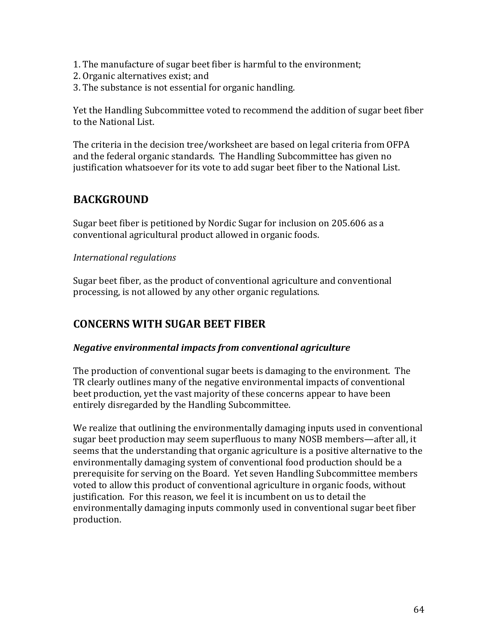- 1. The manufacture of sugar beet fiber is harmful to the environment;
- 2. Organic alternatives exist; and
- 3. The substance is not essential for organic handling.

Yet the Handling Subcommittee voted to recommend the addition of sugar beet fiber to the National List.

The criteria in the decision tree/worksheet are based on legal criteria from OFPA and the federal organic standards. The Handling Subcommittee has given no justification whatsoever for its vote to add sugar beet fiber to the National List.

## **BACKGROUND**

Sugar beet fiber is petitioned by Nordic Sugar for inclusion on 205.606 as a conventional agricultural product allowed in organic foods.

#### *International'regulations'*

Sugar beet fiber, as the product of conventional agriculture and conventional processing, is not allowed by any other organic regulations.

## **CONCERNS'WITH'SUGAR'BEET'FIBER**

#### *Negative\$environmental\$impacts\$from\$conventional\$agriculture\$*

The production of conventional sugar beets is damaging to the environment. The TR clearly outlines many of the negative environmental impacts of conventional beet production, yet the vast majority of these concerns appear to have been entirely disregarded by the Handling Subcommittee.

We realize that outlining the environmentally damaging inputs used in conventional sugar beet production may seem superfluous to many NOSB members—after all, it seems that the understanding that organic agriculture is a positive alternative to the environmentally damaging system of conventional food production should be a prerequisite for serving on the Board. Yet seven Handling Subcommittee members voted to allow this product of conventional agriculture in organic foods, without justification. For this reason, we feel it is incumbent on us to detail the environmentally damaging inputs commonly used in conventional sugar beet fiber production.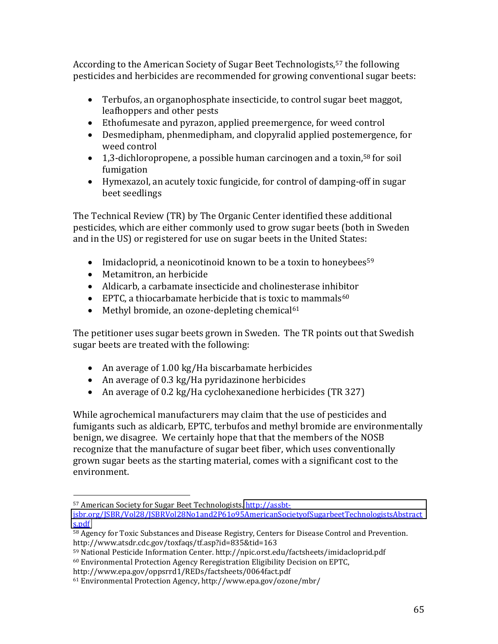According to the American Society of Sugar Beet Technologists,<sup>57</sup> the following pesticides and herbicides are recommended for growing conventional sugar beets:

- Terbufos, an organophosphate insecticide, to control sugar beet maggot, leafhoppers and other pests
- Ethofumesate and pyrazon, applied preemergence, for weed control
- Desmedipham, phenmedipham, and clopyralid applied postemergence, for weed control
- 1,3-dichloropropene, a possible human carcinogen and a toxin,<sup>58</sup> for soil fumigation
- Hymexazol, an acutely toxic fungicide, for control of damping-off in sugar beet seedlings

The Technical Review (TR) by The Organic Center identified these additional pesticides, which are either commonly used to grow sugar beets (both in Sweden and in the US) or registered for use on sugar beets in the United States:

- Imidacloprid, a neonicotinoid known to be a toxin to honeybees<sup>59</sup>
- Metamitron, an herbicide
- Aldicarb, a carbamate insecticide and cholinesterase inhibitor
- EPTC, a thiocarbamate herbicide that is toxic to mammals<sup>60</sup>
- Methyl bromide, an ozone-depleting chemical $61$

The petitioner uses sugar beets grown in Sweden. The TR points out that Swedish sugar beets are treated with the following:

- An average of  $1.00 \text{ kg/Ha}$  biscarbamate herbicides
- An average of 0.3 kg/Ha pyridazinone herbicides
- An average of 0.2 kg/Ha cyclohexanedione herbicides (TR 327)

While agrochemical manufacturers may claim that the use of pesticides and fumigants such as aldicarb, EPTC, terbufos and methyl bromide are environmentally benign, we disagree. We certainly hope that that the members of the NOSB recognize that the manufacture of sugar beet fiber, which uses conventionally grown sugar beets as the starting material, comes with a significant cost to the environment.

<sup>&</sup>lt;sup>57</sup> American Society for Sugar Beet Technologists. http://assbt-

jsbr.org/JSBR/Vol28/JSBRVol28No1and2P61o95AmericanSocietyofSugarbeetTechnologistsAbstract s.pdf

<sup>&</sup>lt;sup>58</sup> Agency for Toxic Substances and Disease Registry, Centers for Disease Control and Prevention. http://www.atsdr.cdc.gov/toxfaqs/tf.asp?id=835&tid=163

<sup>59</sup> National Pesticide Information Center. http://npic.orst.edu/factsheets/imidacloprid.pdf

<sup>&</sup>lt;sup>60</sup> Environmental Protection Agency Reregistration Eligibility Decision on EPTC,

http://www.epa.gov/oppsrrd1/REDs/factsheets/0064fact.pdf

<sup>&</sup>lt;sup>61</sup> Environmental Protection Agency, http://www.epa.gov/ozone/mbr/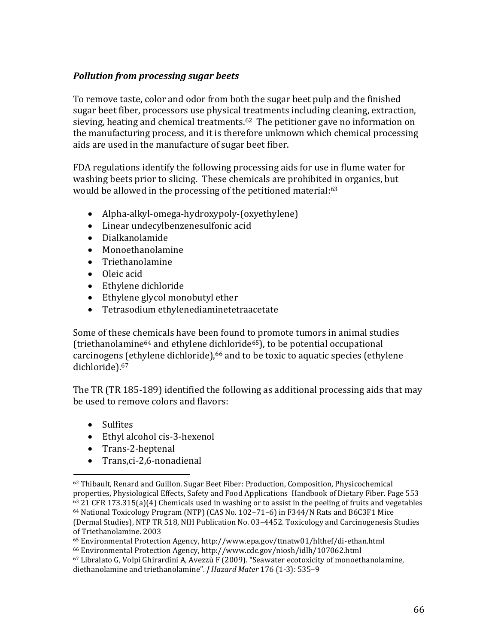#### **Pollution from processing sugar beets**

To remove taste, color and odor from both the sugar beet pulp and the finished sugar beet fiber, processors use physical treatments including cleaning, extraction, sieving, heating and chemical treatments.<sup>62</sup> The petitioner gave no information on the manufacturing process, and it is therefore unknown which chemical processing aids are used in the manufacture of sugar beet fiber.

FDA regulations identify the following processing aids for use in flume water for washing beets prior to slicing. These chemicals are prohibited in organics, but would be allowed in the processing of the petitioned material:<sup>63</sup>

- Alpha-alkyl-omega-hydroxypoly-(oxyethylene)
- Linear undecylbenzenesulfonic acid
- · Dialkanolamide
- Monoethanolamine
- Triethanolamine
- $\bullet$  Oleic acid
- Ethylene dichloride
- Ethylene glycol monobutyl ether
- Tetrasodium ethylenediaminetetraacetate

Some of these chemicals have been found to promote tumors in animal studies (triethanolamine<sup>64</sup> and ethylene dichloride<sup>65</sup>), to be potential occupational carcinogens (ethylene dichloride),<sup>66</sup> and to be toxic to aquatic species (ethylene dichloride).<sup>67</sup>

The TR (TR 185-189) identified the following as additional processing aids that may be used to remove colors and flavors:

- Sulfites
- Ethyl alcohol cis-3-hexenol
- Trans-2-heptenal
- Trans.ci-2.6-nonadienal

<sup>&</sup>lt;sup>62</sup> Thibault, Renard and Guillon. Sugar Beet Fiber: Production, Composition, Physicochemical properties, Physiological Effects, Safety and Food Applications Handbook of Dietary Fiber. Page 553  $63$  21 CFR 173.315(a)(4) Chemicals used in washing or to assist in the peeling of fruits and vegetables <sup>64</sup> National Toxicology Program (NTP) (CAS No. 102-71-6) in F344/N Rats and B6C3F1 Mice (Dermal Studies), NTP TR 518, NIH Publication No. 03-4452. Toxicology and Carcinogenesis Studies of Triethanolamine. 2003

<sup>&</sup>lt;sup>65</sup> Environmental Protection Agency, http://www.epa.gov/ttnatw01/hlthef/di-ethan.html

<sup>&</sup>lt;sup>66</sup> Environmental Protection Agency, http://www.cdc.gov/niosh/idlh/107062.html

<sup>&</sup>lt;sup>67</sup> Libralato G, Volpi Ghirardini A, Avezzù F (2009). "Seawater ecotoxicity of monoethanolamine, diethanolamine and triethanolamine". *J Hazard Mater* 176 (1-3): 535-9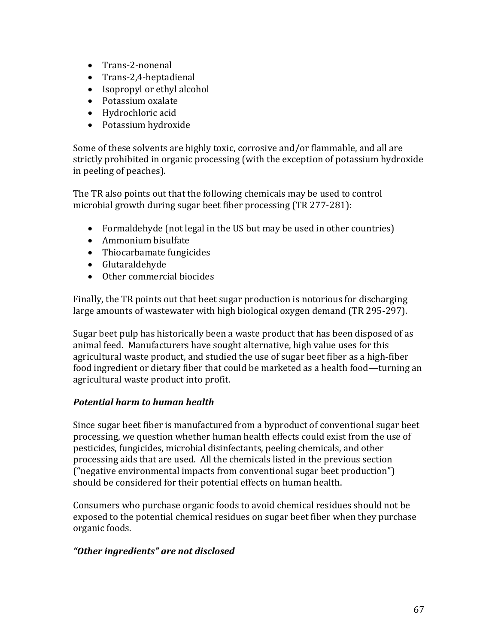- Trans-2-nonenal
- $\bullet$  Trans-2,4-heptadienal
- $\bullet$  Isopropyl or ethyl alcohol
- Potassium oxalate
- Hydrochloric acid
- Potassium hydroxide

Some of these solvents are highly toxic, corrosive and/or flammable, and all are strictly prohibited in organic processing (with the exception of potassium hydroxide in peeling of peaches).

The TR also points out that the following chemicals may be used to control microbial growth during sugar beet fiber processing (TR  $277-281$ ):

- Formaldehyde (not legal in the US but may be used in other countries)
- $\bullet$  Ammonium bisulfate
- Thiocarbamate fungicides
- Glutaraldehyde
- $\bullet$  Other commercial biocides

Finally, the TR points out that beet sugar production is notorious for discharging large amounts of wastewater with high biological oxygen demand (TR 295-297).

Sugar beet pulp has historically been a waste product that has been disposed of as animal feed. Manufacturers have sought alternative, high value uses for this agricultural waste product, and studied the use of sugar beet fiber as a high-fiber food ingredient or dietary fiber that could be marketed as a health food—turning an agricultural waste product into profit.

#### **Potential harm to human health**

Since sugar beet fiber is manufactured from a byproduct of conventional sugar beet processing, we question whether human health effects could exist from the use of pesticides, fungicides, microbial disinfectants, peeling chemicals, and other processing aids that are used. All the chemicals listed in the previous section  $("negative environmental impacts from conventional sugar beet production")$ should be considered for their potential effects on human health.

Consumers who purchase organic foods to avoid chemical residues should not be exposed to the potential chemical residues on sugar beet fiber when they purchase organic foods.

#### *DzOther\$ingredientsdz\$are\$not\$disclosed\$*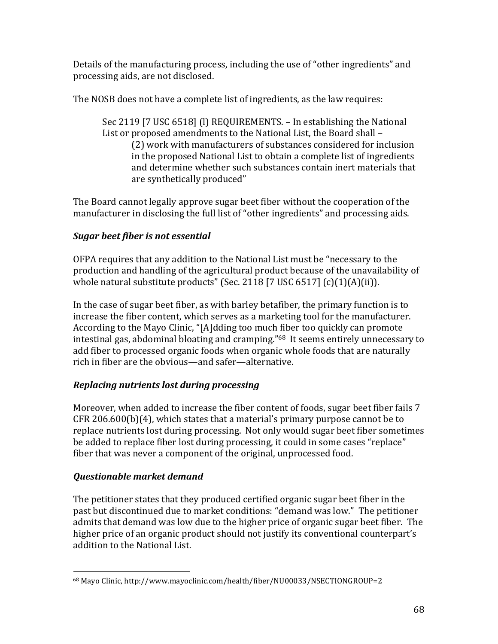Details of the manufacturing process, including the use of "other ingredients" and processing aids, are not disclosed.

The NOSB does not have a complete list of ingredients, as the law requires:

Sec 2119 [7 USC 6518] (I) REQUIREMENTS. - In establishing the National List or proposed amendments to the National List, the Board shall -(2) work with manufacturers of substances considered for inclusion in the proposed National List to obtain a complete list of ingredients and determine whether such substances contain inert materials that are synthetically produced"

The Board cannot legally approve sugar beet fiber without the cooperation of the manufacturer in disclosing the full list of "other ingredients" and processing aids.

### Sugar beet fiber is not essential

OFPA requires that any addition to the National List must be "necessary to the production and handling of the agricultural product because of the unavailability of whole natural substitute products" (Sec. 2118 [7 USC  $6517$ ]  $(c)(1)(A)(ii)$ ).

In the case of sugar beet fiber, as with barley betafiber, the primary function is to increase the fiber content, which serves as a marketing tool for the manufacturer. According to the Mayo Clinic, "[A]dding too much fiber too quickly can promote intestinal gas, abdominal bloating and cramping."<sup>68</sup> It seems entirely unnecessary to add fiber to processed organic foods when organic whole foods that are naturally rich in fiber are the obvious—and safer—alternative.

#### Replacing nutrients lost during processing

Moreover, when added to increase the fiber content of foods, sugar beet fiber fails 7  $CFR 206.600(b)(4)$ , which states that a material's primary purpose cannot be to replace nutrients lost during processing. Not only would sugar beet fiber sometimes be added to replace fiber lost during processing, it could in some cases "replace" fiber that was never a component of the original, unprocessed food.

#### Questionable market demand

The petitioner states that they produced certified organic sugar beet fiber in the past but discontinued due to market conditions: "demand was low." The petitioner admits that demand was low due to the higher price of organic sugar beet fiber. The higher price of an organic product should not justify its conventional counterpart's addition to the National List.

<sup>68</sup> Mayo Clinic, http://www.mayoclinic.com/health/fiber/NU00033/NSECTIONGROUP=2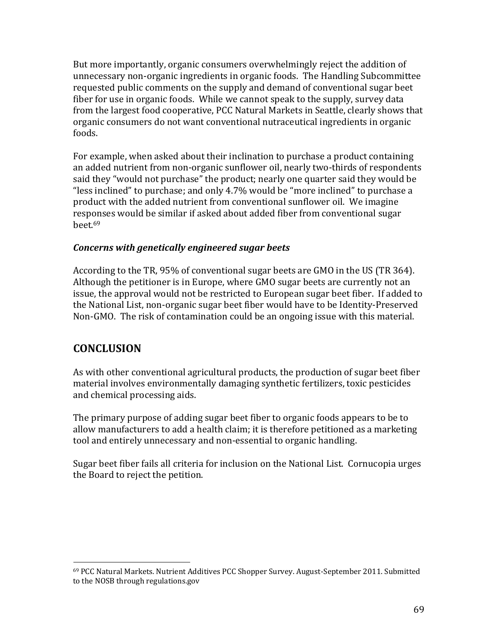But more importantly, organic consumers overwhelmingly reject the addition of unnecessary non-organic ingredients in organic foods. The Handling Subcommittee requested public comments on the supply and demand of conventional sugar beet fiber for use in organic foods. While we cannot speak to the supply, survey data from the largest food cooperative, PCC Natural Markets in Seattle, clearly shows that organic consumers do not want conventional nutraceutical ingredients in organic foods.

For example, when asked about their inclination to purchase a product containing an added nutrient from non-organic sunflower oil, nearly two-thirds of respondents said they "would not purchase" the product; nearly one quarter said they would be "less inclined" to purchase; and only 4.7% would be "more inclined" to purchase a product with the added nutrient from conventional sunflower oil. We imagine responses would be similar if asked about added fiber from conventional sugar  $beet.<sub>69</sub>$ 

#### *Concerns\$with\$genetically\$engineered\$sugar\$beets\$*

According to the TR, 95% of conventional sugar beets are GMO in the US (TR 364). Although the petitioner is in Europe, where GMO sugar beets are currently not an issue, the approval would not be restricted to European sugar beet fiber. If added to the National List, non-organic sugar beet fiber would have to be Identity-Preserved Non-GMO. The risk of contamination could be an ongoing issue with this material.

## **CONCLUSION**

!!!!!!!!!!!!!!!!!!!!!!!!!!!!!!!!!!!!!!!!!!!!!!!!!!!!!!!

As with other conventional agricultural products, the production of sugar beet fiber material involves environmentally damaging synthetic fertilizers, toxic pesticides and chemical processing aids.

The primary purpose of adding sugar beet fiber to organic foods appears to be to allow manufacturers to add a health claim; it is therefore petitioned as a marketing tool and entirely unnecessary and non-essential to organic handling.

Sugar beet fiber fails all criteria for inclusion on the National List. Cornucopia urges the Board to reject the petition.

<sup>69</sup> PCC Natural Markets. Nutrient Additives PCC Shopper Survey. August-September 2011. Submitted to the NOSB through regulations.gov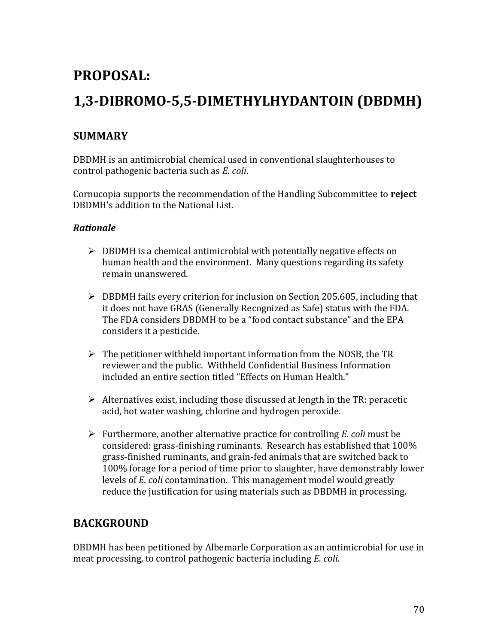## PROPOSAL:

## 1,3-DIBROMO-5,5-DIMETHYLHYDANTOIN (DBDMH)

## **SUMMARY**

DBDMH is an antimicrobial chemical used in conventional slaughterhouses to control pathogenic bacteria such as E. coli.

Cornucopia supports the recommendation of the Handling Subcommittee to reject DBDMH's addition to the National List.

#### **Rationale**

- $\triangleright$  DBDMH is a chemical antimicrobial with potentially negative effects on human health and the environment. Many questions regarding its safety remain unanswered.
- $\triangleright$  DBDMH fails every criterion for inclusion on Section 205.605, including that it does not have GRAS (Generally Recognized as Safe) status with the FDA. The FDA considers DBDMH to be a "food contact substance" and the EPA considers it a pesticide.
- $\triangleright$  The petitioner withheld important information from the NOSB, the TR reviewer and the public. Withheld Confidential Business Information included an entire section titled "Effects on Human Health."
- $\triangleright$  Alternatives exist, including those discussed at length in the TR: peracetic acid, hot water washing, chlorine and hydrogen peroxide.
- $\triangleright$  Furthermore, another alternative practice for controlling *E. coli* must be considered: grass-finishing ruminants. Research has established that 100% grass-finished ruminants, and grain-fed animals that are switched back to 100% forage for a period of time prior to slaughter, have demonstrably lower levels of *E. coli* contamination. This management model would greatly reduce the justification for using materials such as DBDMH in processing.

## **BACKGROUND**

DBDMH has been petitioned by Albemarle Corporation as an antimicrobial for use in meat processing, to control pathogenic bacteria including E. coli.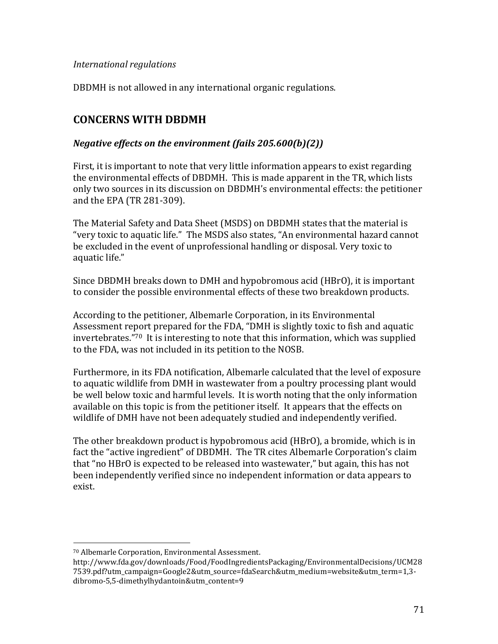#### *International'regulations'*

DBDMH is not allowed in any international organic regulations.

### **CONCERNS'WITH'DBDMH'**

#### *Negative effects on the environment (fails 205.600(b)(2))*

First, it is important to note that very little information appears to exist regarding the environmental effects of DBDMH. This is made apparent in the TR, which lists only two sources in its discussion on DBDMH's environmental effects: the petitioner and the EPA (TR 281-309).

The Material Safety and Data Sheet (MSDS) on DBDMH states that the material is "very toxic to aquatic life." The MSDS also states, "An environmental hazard cannot be excluded in the event of unprofessional handling or disposal. Very toxic to aquatic life."

Since DBDMH breaks down to DMH and hypobromous acid (HBrO), it is important to consider the possible environmental effects of these two breakdown products.

According to the petitioner, Albemarle Corporation, in its Environmental Assessment report prepared for the FDA, "DMH is slightly toxic to fish and aquatic invertebrates. $170$  It is interesting to note that this information, which was supplied to the FDA, was not included in its petition to the NOSB.

Furthermore, in its FDA notification, Albemarle calculated that the level of exposure to aquatic wildlife from DMH in wastewater from a poultry processing plant would be well below toxic and harmful levels. It is worth noting that the only information available on this topic is from the petitioner itself. It appears that the effects on wildlife of DMH have not been adequately studied and independently verified.

The other breakdown product is hypobromous acid (HBrO), a bromide, which is in fact the "active ingredient" of DBDMH. The TR cites Albemarle Corporation's claim that "no HBrO is expected to be released into wastewater," but again, this has not been independently verified since no independent information or data appears to exist.

<sup>&</sup>lt;sup>70</sup> Albemarle Corporation, Environmental Assessment.

http://www.fda.gov/downloads/Food/FoodIngredientsPackaging/EnvironmentalDecisions/UCM28 7539.pdf?utm\_campaign=Google2&utm\_source=fdaSearch&utm\_medium=website&utm\_term=1,3Z dibromo-5,5-dimethylhydantoin&utm\_content=9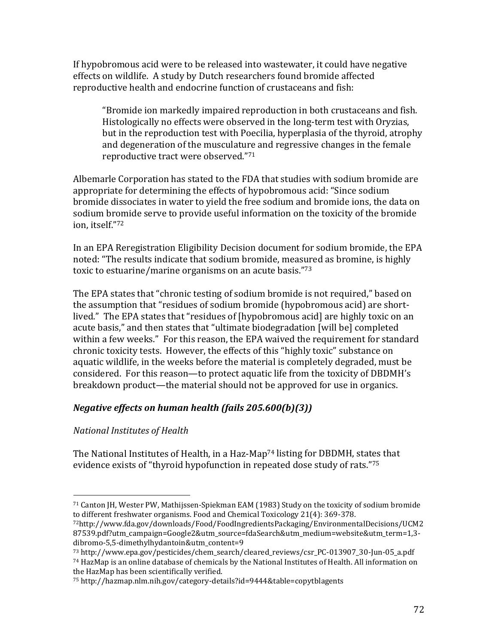If hypobromous acid were to be released into wastewater, it could have negative effects on wildlife. A study by Dutch researchers found bromide affected reproductive health and endocrine function of crustaceans and fish:

"Bromide ion markedly impaired reproduction in both crustaceans and fish. Histologically no effects were observed in the long-term test with Oryzias, but in the reproduction test with Poecilia, hyperplasia of the thyroid, atrophy and degeneration of the musculature and regressive changes in the female reproductive tract were observed."71

Albemarle Corporation has stated to the FDA that studies with sodium bromide are appropriate for determining the effects of hypobromous acid: "Since sodium bromide dissociates in water to vield the free sodium and bromide ions, the data on sodium bromide serve to provide useful information on the toxicity of the bromide ion, itself."72

In an EPA Reregistration Eligibility Decision document for sodium bromide, the EPA noted: "The results indicate that sodium bromide, measured as bromine, is highly toxic to estuarine/marine organisms on an acute basis. $73$ 

The EPA states that "chronic testing of sodium bromide is not required," based on the assumption that "residues of sodium bromide (hypobromous acid) are shortlived." The EPA states that "residues of [hypobromous acid] are highly toxic on an acute basis," and then states that "ultimate biodegradation [will be] completed within a few weeks." For this reason, the EPA waived the requirement for standard chronic toxicity tests. However, the effects of this "highly toxic" substance on aquatic wildlife, in the weeks before the material is completely degraded, must be considered. For this reason—to protect aquatic life from the toxicity of DBDMH's breakdown product—the material should not be approved for use in organics.

## *Negative effects on human health (fails 205.600(b)(3))*

## *National'Institutes'of'Health'*

!!!!!!!!!!!!!!!!!!!!!!!!!!!!!!!!!!!!!!!!!!!!!!!!!!!!!!!

The National Institutes of Health, in a Haz-Map<sup>74</sup> listing for DBDMH, states that evidence exists of "thyroid hypofunction in repeated dose study of rats."75

<sup>&</sup>lt;sup>71</sup> Canton JH, Wester PW, Mathijssen-Spiekman EAM (1983) Study on the toxicity of sodium bromide to different freshwater organisms. Food and Chemical Toxicology 21(4): 369-378.

<sup>72</sup>http://www.fda.gov/downloads/Food/FoodIngredientsPackaging/EnvironmentalDecisions/UCM2 87539.pdf?utm\_campaign=Google2&utm\_source=fdaSearch&utm\_medium=website&utm\_term=1,3dibromo-5,5-dimethylhydantoin&utm\_content=9

<sup>73</sup> http://www.epa.gov/pesticides/chem\_search/cleared\_reviews/csr\_PC-013907\_30-Jun-05\_a.pdf

 $74$  HazMap is an online database of chemicals by the National Institutes of Health. All information on the HazMap has been scientifically verified.

<sup>&</sup>lt;sup>75</sup> http://hazmap.nlm.nih.gov/category-details?id=9444&table=copytblagents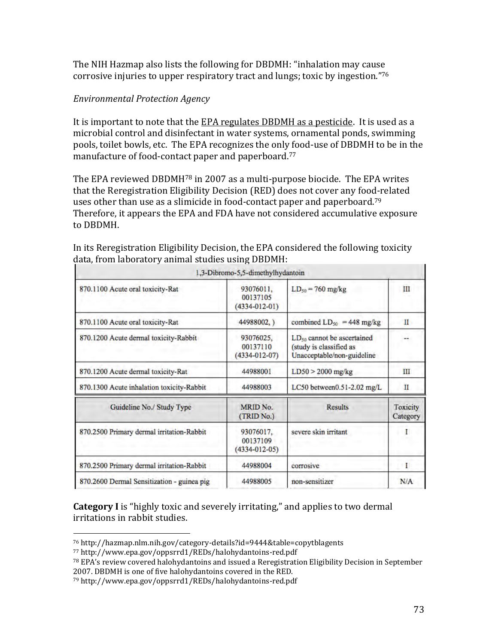The NIH Hazmap also lists the following for DBDMH: "inhalation may cause" corrosive injuries to upper respiratory tract and lungs; toxic by ingestion."76

#### *Environmental'Protection'Agency'*

It is important to note that the EPA regulates DBDMH as a pesticide. It is used as a microbial control and disinfectant in water systems, ornamental ponds, swimming pools, toilet bowls, etc. The EPA recognizes the only food-use of DBDMH to be in the manufacture of food-contact paper and paperboard.<sup>77</sup>

The EPA reviewed DBDMH $^{78}$  in 2007 as a multi-purpose biocide. The EPA writes that the Reregistration Eligibility Decision (RED) does not cover any food-related uses other than use as a slimicide in food-contact paper and paperboard.<sup>79</sup> Therefore, it appears the EPA and FDA have not considered accumulative exposure to DBDMH.

| 1,3-Dibromo-5,5-dimethylhydantoin          |                                              |                                                                                          |                      |
|--------------------------------------------|----------------------------------------------|------------------------------------------------------------------------------------------|----------------------|
| 870.1100 Acute oral toxicity-Rat           | 93076011,<br>00137105<br>$(4334 - 012 - 01)$ | $LD_{50} = 760$ mg/kg                                                                    | Ш                    |
| 870.1100 Acute oral toxicity-Rat           | 44988002.)                                   | combined $LD_{50}$ = 448 mg/kg                                                           | п                    |
| 870.1200 Acute dermal toxicity-Rabbit      | 93076025.<br>00137110<br>$(4334 - 012 - 07)$ | $LD_{50}$ cannot be ascertained<br>(study is classified as<br>Unacceptable/non-guideline |                      |
| 870.1200 Acute dermal toxicity-Rat         | 44988001                                     | $LD50 > 2000$ mg/kg                                                                      | Ш                    |
| 870.1300 Acute inhalation toxicity-Rabbit  | 44988003                                     | LC50 between $0.51 - 2.02$ mg/L                                                          | Ш                    |
| Guideline No./ Study Type                  | <b>MRID No.</b><br>(TRID No.)                | <b>Results</b>                                                                           | Toxicity<br>Category |
| 870.2500 Primary dermal irritation-Rabbit  | 93076017.<br>00137109<br>$(4334 - 012 - 05)$ | severe skin irritant                                                                     | - 1                  |
| 870.2500 Primary dermal irritation-Rabbit  | 44988004                                     | corrosive                                                                                | I                    |
| 870.2600 Dermal Sensitization - guinea pig | 44988005                                     | non-sensitizer                                                                           | N/A                  |

In its Reregistration Eligibility Decision, the EPA considered the following toxicity data, from laboratory animal studies using DBDMH:

**Category I** is "highly toxic and severely irritating," and applies to two dermal irritations in rabbit studies.

!!!!!!!!!!!!!!!!!!!!!!!!!!!!!!!!!!!!!!!!!!!!!!!!!!!!!!!

79 http://www.epa.gov/oppsrrd1/REDs/halohydantoins-red.pdf

<sup>&</sup>lt;sup>76</sup> http://hazmap.nlm.nih.gov/category-details?id=9444&table=copytblagents

<sup>77</sup> http://www.epa.gov/oppsrrd1/REDs/halohydantoins-red.pdf

<sup>&</sup>lt;sup>78</sup> EPA's review covered halohydantoins and issued a Reregistration Eligibility Decision in September 2007. DBDMH is one of five halohydantoins covered in the RED.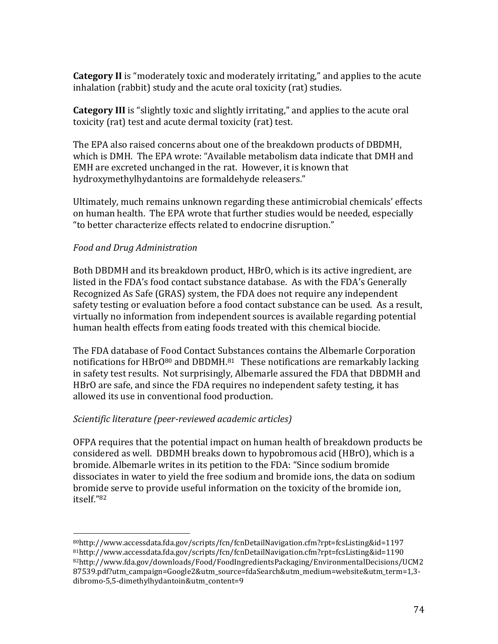**Category II** is "moderately toxic and moderately irritating," and applies to the acute inhalation (rabbit) study and the acute oral toxicity (rat) studies.

**Category III** is "slightly toxic and slightly irritating," and applies to the acute oral toxicity (rat) test and acute dermal toxicity (rat) test.

The EPA also raised concerns about one of the breakdown products of DBDMH, which is DMH. The EPA wrote: "Available metabolism data indicate that DMH and EMH are excreted unchanged in the rat. However, it is known that hydroxymethylhydantoins are formaldehyde releasers."

Ultimately, much remains unknown regarding these antimicrobial chemicals' effects on human health. The EPA wrote that further studies would be needed, especially "to better characterize effects related to endocrine disruption."

#### *Food'and'Drug'Administration'*

Both DBDMH and its breakdown product, HBrO, which is its active ingredient, are listed in the FDA's food contact substance database. As with the FDA's Generally Recognized As Safe (GRAS) system, the FDA does not require any independent safety testing or evaluation before a food contact substance can be used. As a result, virtually no information from independent sources is available regarding potential human health effects from eating foods treated with this chemical biocide.

The FDA database of Food Contact Substances contains the Albemarle Corporation notifications for HBrO $80$  and DBDMH. $81$  These notifications are remarkably lacking in safety test results. Not surprisingly, Albemarle assured the FDA that DBDMH and HBrO are safe, and since the FDA requires no independent safety testing, it has allowed its use in conventional food production.

## Scientific literature (peer-reviewed academic articles)

OFPA requires that the potential impact on human health of breakdown products be considered as well. DBDMH breaks down to hypobromous acid (HBrO), which is a bromide. Albemarle writes in its petition to the FDA: "Since sodium bromide dissociates in water to vield the free sodium and bromide ions, the data on sodium bromide serve to provide useful information on the toxicity of the bromide ion, itself."82

<sup>!!!!!!!!!!!!!!!!!!!!!!!!!!!!!!!!!!!!!!!!!!!!!!!!!!!!!!!</sup> 80http://www.accessdata.fda.gov/scripts/fcn/fcnDetailNavigation.cfm?rpt=fcsListing&id=1197! 81http://www.accessdata.fda.gov/scripts/fcn/fcnDetailNavigation.cfm?rpt=fcsListing&id=1190 82http://www.fda.gov/downloads/Food/FoodIngredientsPackaging/EnvironmentalDecisions/UCM2 87539.pdf?utm\_campaign=Google2&utm\_source=fdaSearch&utm\_medium=website&utm\_term=1,3dibromo-5,5-dimethylhydantoin&utm\_content=9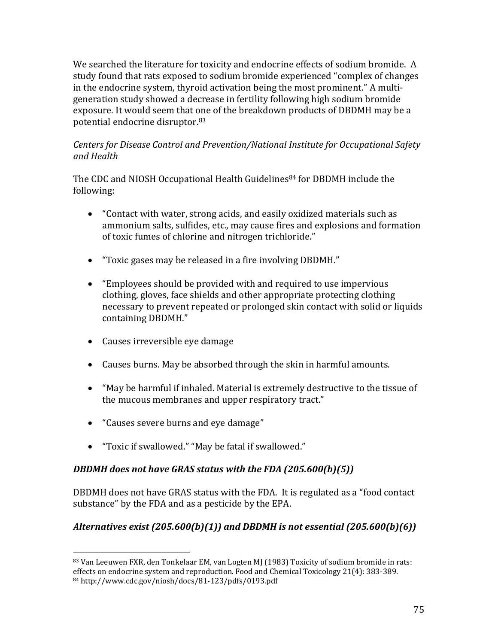We searched the literature for toxicity and endocrine effects of sodium bromide. A study found that rats exposed to sodium bromide experienced "complex of changes in the endocrine system, thyroid activation being the most prominent." A multigeneration study showed a decrease in fertility following high sodium bromide exposure. It would seem that one of the breakdown products of DBDMH may be a potential endocrine disruptor.<sup>83</sup>

## *Centers'for'Disease'Control'and'Prevention/National'Institute'for'Occupational'Safety' and'Health'*

The CDC and NIOSH Occupational Health Guidelines<sup>84</sup> for DBDMH include the following:

- "Contact with water, strong acids, and easily oxidized materials such as ammonium salts, sulfides, etc., may cause fires and explosions and formation of toxic fumes of chlorine and nitrogen trichloride."
- "Toxic gases may be released in a fire involving DBDMH."
- $\bullet$  "Employees should be provided with and required to use impervious clothing, gloves, face shields and other appropriate protecting clothing necessary to prevent repeated or prolonged skin contact with solid or liquids containing DBDMH."
- Causes irreversible eye damage
- Causes burns. May be absorbed through the skin in harmful amounts.
- $\bullet$  "May be harmful if inhaled. Material is extremely destructive to the tissue of the mucous membranes and upper respiratory tract."
- "Causes severe burns and eye damage"

!!!!!!!!!!!!!!!!!!!!!!!!!!!!!!!!!!!!!!!!!!!!!!!!!!!!!!!

• "Toxic if swallowed." "May be fatal if swallowed."

## *DBDMH* does not have GRAS status with the FDA (205.600(b)(5))

DBDMH does not have GRAS status with the FDA. It is regulated as a "food contact" substance" by the FDA and as a pesticide by the EPA.

## *Alternatives exist (205.600(b)(1)) and DBDMH is not essential (205.600(b)(6))*

<sup>83</sup> Van Leeuwen FXR, den Tonkelaar EM, van Logten MJ (1983) Toxicity of sodium bromide in rats: effects on endocrine system and reproduction. Food and Chemical Toxicology 21(4): 383-389. 84 http://www.cdc.gov/niosh/docs/81-123/pdfs/0193.pdf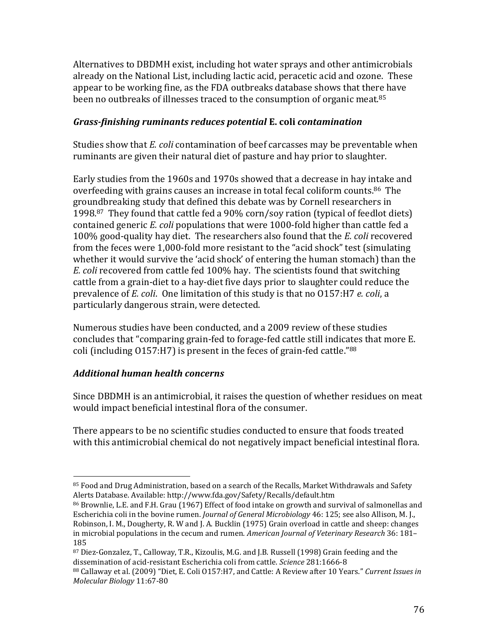Alternatives to DBDMH exist, including hot water sprays and other antimicrobials already on the National List, including lactic acid, peracetic acid and ozone. These appear to be working fine, as the FDA outbreaks database shows that there have been no outbreaks of illnesses traced to the consumption of organic meat.<sup>85</sup>

## Grass-finishing ruminants reduces potential E. coli contamination

Studies show that E. coli contamination of beef carcasses may be preventable when ruminants are given their natural diet of pasture and hay prior to slaughter.

Early studies from the 1960s and 1970s showed that a decrease in hay intake and overfeeding with grains causes an increase in total fecal coliform counts.<sup>86</sup> The groundbreaking study that defined this debate was by Cornell researchers in 1998.87 They found that cattle fed a 90% corn/soy ration (typical of feedlot diets) contained generic E, coli populations that were 1000-fold higher than cattle fed a 100% good-quality hay diet. The researchers also found that the E. coli recovered from the feces were 1,000-fold more resistant to the "acid shock" test (simulating whether it would survive the 'acid shock' of entering the human stomach) than the E. coli recovered from cattle fed 100% hay. The scientists found that switching cattle from a grain-diet to a hay-diet five days prior to slaughter could reduce the prevalence of E. coli. One limitation of this study is that no 0157:H7 e. coli, a particularly dangerous strain, were detected.

Numerous studies have been conducted, and a 2009 review of these studies concludes that "comparing grain-fed to forage-fed cattle still indicates that more E. coli (including 0157:H7) is present in the feces of grain-fed cattle."88

## **Additional human health concerns**

Since DBDMH is an antimicrobial, it raises the question of whether residues on meat would impact beneficial intestinal flora of the consumer.

There appears to be no scientific studies conducted to ensure that foods treated with this antimicrobial chemical do not negatively impact beneficial intestinal flora.

<sup>85</sup> Food and Drug Administration, based on a search of the Recalls, Market Withdrawals and Safety Alerts Database. Available: http://www.fda.gov/Safety/Recalls/default.htm

<sup>86</sup> Brownlie, L.E. and F.H. Grau (1967) Effect of food intake on growth and survival of salmonellas and Escherichia coli in the bovine rumen. Journal of General Microbiology 46: 125; see also Allison, M. J., Robinson, I. M., Dougherty, R. W and J. A. Bucklin (1975) Grain overload in cattle and sheep: changes in microbial populations in the cecum and rumen. American Journal of Veterinary Research 36: 181-185

<sup>87</sup> Diez-Gonzalez, T., Calloway, T.R., Kizoulis, M.G. and J.B. Russell (1998) Grain feeding and the dissemination of acid-resistant Escherichia coli from cattle. Science 281:1666-8

<sup>&</sup>lt;sup>88</sup> Callaway et al. (2009) "Diet, E. Coli 0157:H7, and Cattle: A Review after 10 Years." Current Issues in Molecular Biology 11:67-80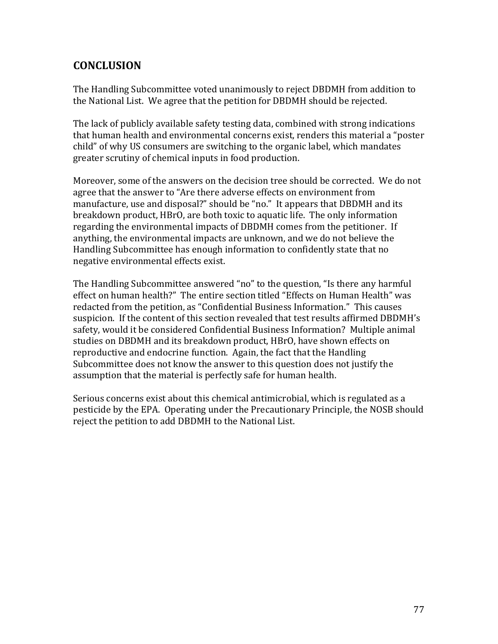## **CONCLUSION'**

The Handling Subcommittee voted unanimously to reject DBDMH from addition to the National List. We agree that the petition for DBDMH should be rejected.

The lack of publicly available safety testing data, combined with strong indications that human health and environmental concerns exist, renders this material a "poster" child" of why US consumers are switching to the organic label, which mandates greater scrutiny of chemical inputs in food production.

Moreover, some of the answers on the decision tree should be corrected. We do not agree that the answer to "Are there adverse effects on environment from manufacture, use and disposal?" should be "no." It appears that DBDMH and its breakdown product, HBrO, are both toxic to aquatic life. The only information regarding the environmental impacts of DBDMH comes from the petitioner. If anything, the environmental impacts are unknown, and we do not believe the Handling Subcommittee has enough information to confidently state that no negative environmental effects exist.

The Handling Subcommittee answered "no" to the question, "Is there any harmful effect on human health?" The entire section titled "Effects on Human Health" was redacted from the petition, as "Confidential Business Information." This causes suspicion. If the content of this section revealed that test results affirmed DBDMH's safety, would it be considered Confidential Business Information? Multiple animal studies on DBDMH and its breakdown product, HBrO, have shown effects on reproductive and endocrine function. Again, the fact that the Handling Subcommittee does not know the answer to this question does not justify the assumption that the material is perfectly safe for human health.

Serious concerns exist about this chemical antimicrobial, which is regulated as a pesticide by the EPA. Operating under the Precautionary Principle, the NOSB should reject the petition to add DBDMH to the National List.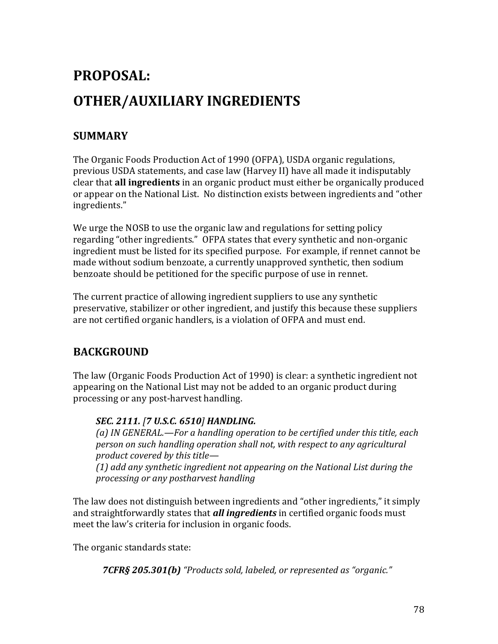# PROPOSAL: **OTHER/AUXILIARY INGREDIENTS**

## **SUMMARY**

The Organic Foods Production Act of 1990 (OFPA), USDA organic regulations, previous USDA statements, and case law (Harvey II) have all made it indisputably clear that all ingredients in an organic product must either be organically produced or appear on the National List. No distinction exists between ingredients and "other ingredients."

We urge the NOSB to use the organic law and regulations for setting policy regarding "other ingredients." OFPA states that every synthetic and non-organic ingredient must be listed for its specified purpose. For example, if rennet cannot be made without sodium benzoate, a currently unapproved synthetic, then sodium benzoate should be petitioned for the specific purpose of use in rennet.

The current practice of allowing ingredient suppliers to use any synthetic preservative, stabilizer or other ingredient, and justify this because these suppliers are not certified organic handlers, is a violation of OFPA and must end.

## **BACKGROUND**

The law (Organic Foods Production Act of 1990) is clear: a synthetic ingredient not appearing on the National List may not be added to an organic product during processing or any post-harvest handling.

## SEC. 2111. [7 U.S.C. 6510] HANDLING.

(a) IN GENERAL.—For a handling operation to be certified under this title, each person on such handling operation shall not, with respect to any agricultural product covered by this title-

(1) add any synthetic ingredient not appearing on the National List during the processing or any postharvest handling

The law does not distinguish between ingredients and "other ingredients," it simply and straightforwardly states that *all ingredients* in certified organic foods must meet the law's criteria for inclusion in organic foods.

The organic standards state:

7CFR§ 205.301(b) "Products sold, labeled, or represented as "organic."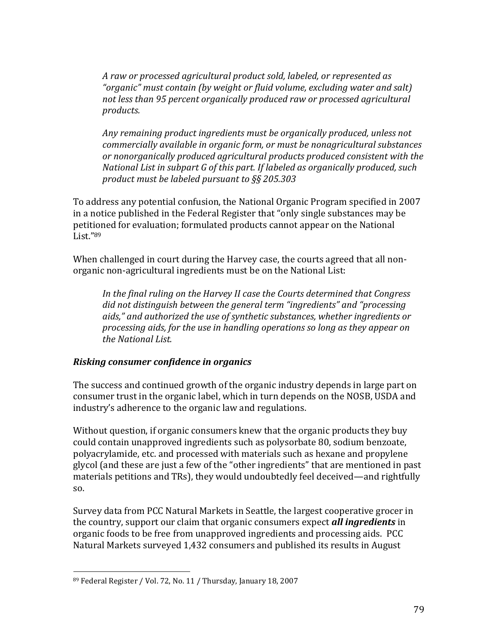*A'raw'or'processed'agricultural'product'sold,'labeled,'or'represented'as'* "*organic*" must contain (by weight or fluid volume, excluding water and salt) *not'less'than'95'percent'organically'produced'raw'or'processed'agricultural' products.''*

Any remaining product ingredients must be organically produced, unless not *commercially'available'in'organic'form,'or'must'be'nonagricultural'substances' or'nonorganically'produced'agricultural'products'produced'consistent'with'the' National'List'in'subpart'G'of'this'part.'If'labeled'as'organically'produced,'such' product'must'be'labeled'pursuant'to'§§'205.303'*

To address any potential confusion, the National Organic Program specified in 2007 in a notice published in the Federal Register that "only single substances may be petitioned for evaluation; formulated products cannot appear on the National List. $"89$ 

When challenged in court during the Harvey case, the courts agreed that all nonorganic non-agricultural ingredients must be on the National List:

In the final ruling on the Harvey II case the Courts determined that Congress' *did not distinguish between the general term "ingredients" and "processing aids,dz'and'authorized'the'use'of'synthetic'substances,'whether'ingredients'or' processing'aids,'for'the'use'in'handling'operations'so'long'as'they'appear'on' the'National'List.'*

#### **Risking consumer confidence in organics**

The success and continued growth of the organic industry depends in large part on consumer trust in the organic label, which in turn depends on the NOSB, USDA and industry's adherence to the organic law and regulations.

Without question, if organic consumers knew that the organic products they buy could contain unapproved ingredients such as polysorbate 80, sodium benzoate, polyacrylamide, etc. and processed with materials such as hexane and propylene glycol (and these are just a few of the "other ingredients" that are mentioned in past materials petitions and TRs), they would undoubtedly feel deceived—and rightfully  $SO<sub>2</sub>$ 

Survey data from PCC Natural Markets in Seattle, the largest cooperative grocer in the country, support our claim that organic consumers expect **all ingredients** in organic foods to be free from unapproved ingredients and processing aids. PCC Natural Markets surveyed 1,432 consumers and published its results in August

!!!!!!!!!!!!!!!!!!!!!!!!!!!!!!!!!!!!!!!!!!!!!!!!!!!!!!!

<sup>89</sup> Federal Register / Vol. 72, No. 11 / Thursday, January 18, 2007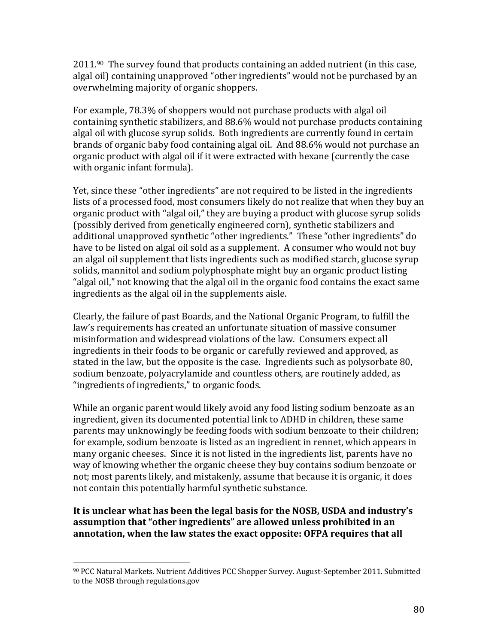$2011.^{90}$  The survey found that products containing an added nutrient (in this case, algal oil) containing unapproved "other ingredients" would not be purchased by an overwhelming majority of organic shoppers.

For example, 78.3% of shoppers would not purchase products with algal oil containing synthetic stabilizers, and 88.6% would not purchase products containing algal oil with glucose syrup solids. Both ingredients are currently found in certain brands of organic baby food containing algal oil. And 88.6% would not purchase an organic product with algal oil if it were extracted with hexane (currently the case with organic infant formula).

Yet, since these "other ingredients" are not required to be listed in the ingredients lists of a processed food, most consumers likely do not realize that when they buy an organic product with "algal oil," they are buying a product with glucose syrup solids (possibly derived from genetically engineered corn), synthetic stabilizers and additional unapproved synthetic "other ingredients." These "other ingredients" do have to be listed on algal oil sold as a supplement. A consumer who would not buy an algal oil supplement that lists ingredients such as modified starch, glucose syrup solids, mannitol and sodium polyphosphate might buy an organic product listing "algal oil," not knowing that the algal oil in the organic food contains the exact same ingredients as the algal oil in the supplements aisle.

Clearly, the failure of past Boards, and the National Organic Program, to fulfill the law's requirements has created an unfortunate situation of massive consumer misinformation and widespread violations of the law. Consumers expect all ingredients in their foods to be organic or carefully reviewed and approved, as stated in the law, but the opposite is the case. Ingredients such as polysorbate 80, sodium benzoate, polyacrylamide and countless others, are routinely added, as "ingredients of ingredients," to organic foods.

While an organic parent would likely avoid any food listing sodium benzoate as an ingredient, given its documented potential link to ADHD in children, these same parents may unknowingly be feeding foods with sodium benzoate to their children; for example, sodium benzoate is listed as an ingredient in rennet, which appears in many organic cheeses. Since it is not listed in the ingredients list, parents have no way of knowing whether the organic cheese they buy contains sodium benzoate or not; most parents likely, and mistakenly, assume that because it is organic, it does not contain this potentially harmful synthetic substance.

#### **It'is'unclear'what'has'been'the'legal'basis'for'the'NOSB,'USDA'and'industryǯs' assumption'that'Dzother'ingredientsdz'are'allowed'unless'prohibited'in'an'** annotation, when the law states the exact opposite: OFPA requires that all

!!!!!!!!!!!!!!!!!!!!!!!!!!!!!!!!!!!!!!!!!!!!!!!!!!!!!!!

<sup>&</sup>lt;sup>90</sup> PCC Natural Markets. Nutrient Additives PCC Shopper Survey. August-September 2011. Submitted to the NOSB through regulations.gov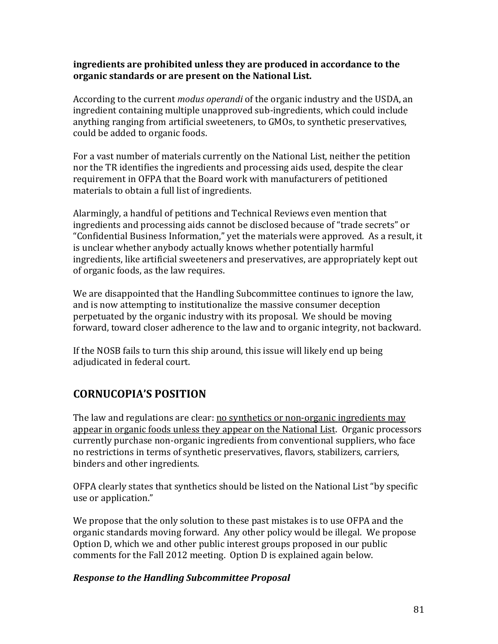#### **ingredients'are'prohibited'unless'they'are'produced'in'accordance'to'the'** organic standards or are present on the National List.

According to the current *modus operandi* of the organic industry and the USDA, an ingredient containing multiple unapproved sub-ingredients, which could include anything ranging from artificial sweeteners, to GMOs, to synthetic preservatives, could be added to organic foods.

For a vast number of materials currently on the National List, neither the petition nor the TR identifies the ingredients and processing aids used, despite the clear requirement in OFPA that the Board work with manufacturers of petitioned materials to obtain a full list of ingredients.

Alarmingly, a handful of petitions and Technical Reviews even mention that ingredients and processing aids cannot be disclosed because of "trade secrets" or "Confidential Business Information," yet the materials were approved. As a result, it is unclear whether anybody actually knows whether potentially harmful ingredients, like artificial sweeteners and preservatives, are appropriately kept out of organic foods, as the law requires.

We are disappointed that the Handling Subcommittee continues to ignore the law, and is now attempting to institutionalize the massive consumer deception perpetuated by the organic industry with its proposal. We should be moving forward, toward closer adherence to the law and to organic integrity, not backward.

If the NOSB fails to turn this ship around, this issue will likely end up being adjudicated in federal court.

## **CORNUCOPIAǯS'POSITION**

The law and regulations are clear: no synthetics or non-organic ingredients may appear in organic foods unless they appear on the National List. Organic processors currently purchase non-organic ingredients from conventional suppliers, who face no restrictions in terms of synthetic preservatives, flavors, stabilizers, carriers, binders and other ingredients.

OFPA clearly states that synthetics should be listed on the National List "by specific" use or application."

We propose that the only solution to these past mistakes is to use OFPA and the organic standards moving forward. Any other policy would be illegal. We propose Option D, which we and other public interest groups proposed in our public comments for the Fall 2012 meeting. Option D is explained again below.

## **Response to the Handling Subcommittee Proposal**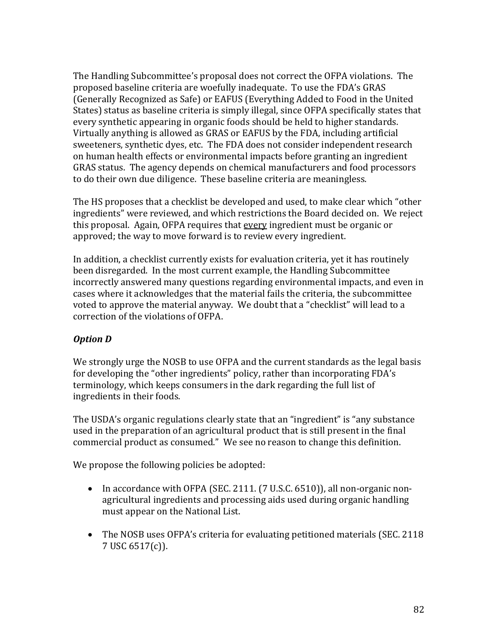The Handling Subcommittee's proposal does not correct the OFPA violations. The proposed baseline criteria are woefully inadequate. To use the FDA's GRAS (Generally Recognized as Safe) or EAFUS (Everything Added to Food in the United States) status as baseline criteria is simply illegal, since OFPA specifically states that every synthetic appearing in organic foods should be held to higher standards. Virtually anything is allowed as GRAS or EAFUS by the FDA, including artificial sweeteners, synthetic dyes, etc. The FDA does not consider independent research on human health effects or environmental impacts before granting an ingredient GRAS status. The agency depends on chemical manufacturers and food processors to do their own due diligence. These baseline criteria are meaningless.

The HS proposes that a checklist be developed and used, to make clear which "other ingredients" were reviewed, and which restrictions the Board decided on. We reject this proposal. Again, OFPA requires that every ingredient must be organic or approved; the way to move forward is to review every ingredient.

In addition, a checklist currently exists for evaluation criteria, yet it has routinely been disregarded. In the most current example, the Handling Subcommittee incorrectly answered many questions regarding environmental impacts, and even in cases where it acknowledges that the material fails the criteria, the subcommittee voted to approve the material anyway. We doubt that a "checklist" will lead to a correction of the violations of OFPA.

## *Option D*

We strongly urge the NOSB to use OFPA and the current standards as the legal basis for developing the "other ingredients" policy, rather than incorporating FDA's terminology, which keeps consumers in the dark regarding the full list of ingredients in their foods.

The USDA's organic regulations clearly state that an "ingredient" is "any substance" used in the preparation of an agricultural product that is still present in the final commercial product as consumed." We see no reason to change this definition.

We propose the following policies be adopted:

- In accordance with OFPA (SEC. 2111.  $(7 \text{ U.S.C. } 6510)$ ), all non-organic nonagricultural ingredients and processing aids used during organic handling must appear on the National List.
- The NOSB uses OFPA's criteria for evaluating petitioned materials (SEC. 2118) 7 USC 6517(c)).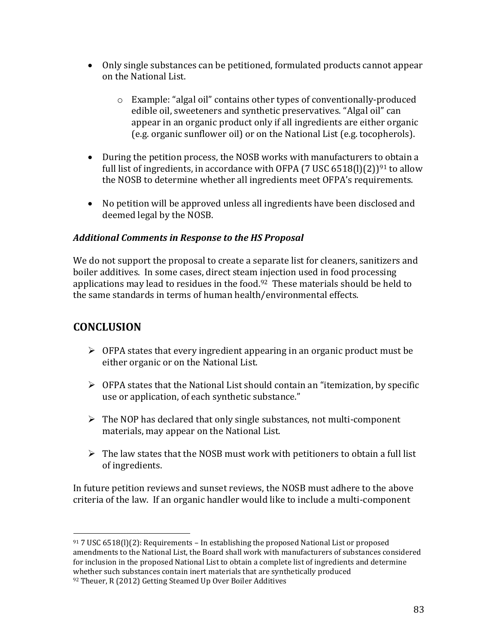- Only single substances can be petitioned, formulated products cannot appear on the National List.
	- $\circ$  Example: "algal oil" contains other types of conventionally-produced edible oil, sweeteners and synthetic preservatives. "Algal oil" can appear in an organic product only if all ingredients are either organic (e.g. organic sunflower oil) or on the National List (e.g. tocopherols).
- During the petition process, the NOSB works with manufacturers to obtain a full list of ingredients, in accordance with OFPA (7 USC 6518(l)(2))<sup>91</sup> to allow the NOSB to determine whether all ingredients meet OFPA's requirements.
- No petition will be approved unless all ingredients have been disclosed and deemed legal by the NOSB.

## *Additional\$Comments\$in\$Response\$to\$the\$HS\$Proposal\$\$*

We do not support the proposal to create a separate list for cleaners, sanitizers and boiler additives. In some cases, direct steam injection used in food processing applications may lead to residues in the food.<sup>92</sup> These materials should be held to the same standards in terms of human health/environmental effects.

## **CONCLUSION**

!!!!!!!!!!!!!!!!!!!!!!!!!!!!!!!!!!!!!!!!!!!!!!!!!!!!!!!

- $\triangleright$  OFPA states that every ingredient appearing in an organic product must be either organic or on the National List.
- $\triangleright$  OFPA states that the National List should contain an "itemization, by specific use or application, of each synthetic substance."
- $\triangleright$  The NOP has declared that only single substances, not multi-component materials, may appear on the National List.
- $\triangleright$  The law states that the NOSB must work with petitioners to obtain a full list of ingredients.

In future petition reviews and sunset reviews, the NOSB must adhere to the above criteria of the law. If an organic handler would like to include a multi-component

<sup>91 7</sup> USC 6518(l)(2): Requirements - In establishing the proposed National List or proposed amendments to the National List, the Board shall work with manufacturers of substances considered for inclusion in the proposed National List to obtain a complete list of ingredients and determine whether such substances contain inert materials that are synthetically produced 92 Theuer, R (2012) Getting Steamed Up Over Boiler Additives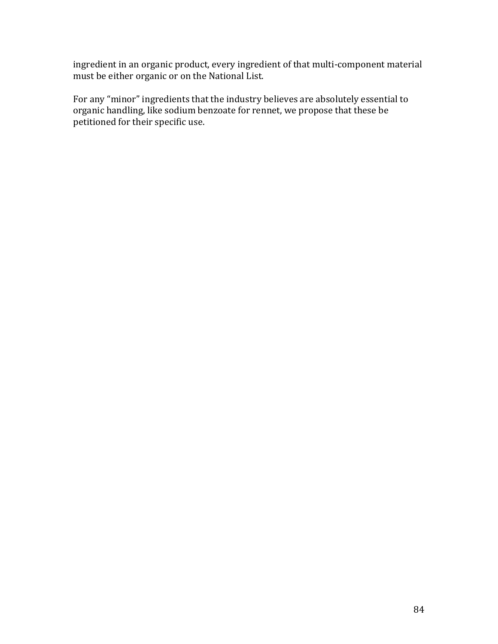ingredient in an organic product, every ingredient of that multi-component material must be either organic or on the National List.

For any "minor" ingredients that the industry believes are absolutely essential to organic handling, like sodium benzoate for rennet, we propose that these be petitioned for their specific use.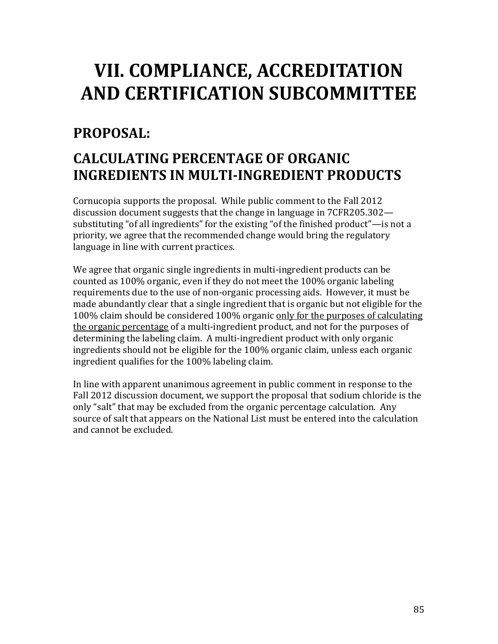# VII. COMPLIANCE, ACCREDITATION AND CERTIFICATION SUBCOMMITTEE

## PROPOSAL:

## **CALCULATING PERCENTAGE OF ORGANIC INGREDIENTS IN MULTI-INGREDIENT PRODUCTS**

Cornucopia supports the proposal. While public comment to the Fall 2012 discussion document suggests that the change in language in 7CFR205.302substituting "of all ingredients" for the existing "of the finished product"—is not a priority, we agree that the recommended change would bring the regulatory language in line with current practices.

We agree that organic single ingredients in multi-ingredient products can be counted as 100% organic, even if they do not meet the 100% organic labeling requirements due to the use of non-organic processing aids. However, it must be made abundantly clear that a single ingredient that is organic but not eligible for the 100% claim should be considered 100% organic only for the purposes of calculating the organic percentage of a multi-ingredient product, and not for the purposes of determining the labeling claim. A multi-ingredient product with only organic ingredients should not be eligible for the 100% organic claim, unless each organic ingredient qualifies for the 100% labeling claim.

In line with apparent unanimous agreement in public comment in response to the Fall 2012 discussion document, we support the proposal that sodium chloride is the only "salt" that may be excluded from the organic percentage calculation. Any source of salt that appears on the National List must be entered into the calculation and cannot be excluded.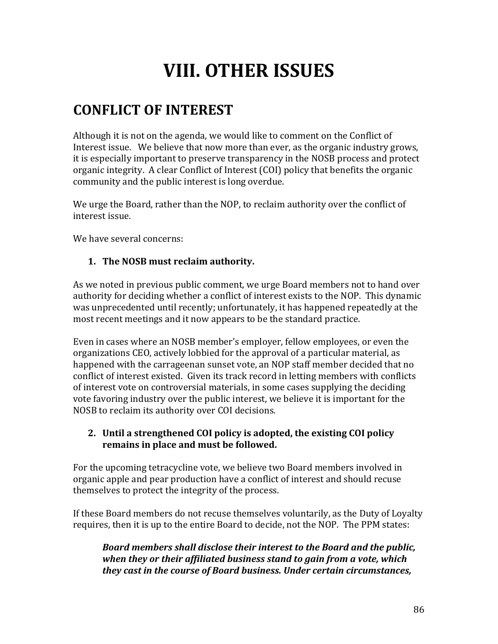# **VIII. OTHER ISSUES**

## **CONFLICT'OF'INTEREST**

Although it is not on the agenda, we would like to comment on the Conflict of Interest issue. We believe that now more than ever, as the organic industry grows, it is especially important to preserve transparency in the NOSB process and protect organic integrity. A clear Conflict of Interest (COI) policy that benefits the organic community and the public interest is long overdue.

We urge the Board, rather than the NOP, to reclaim authority over the conflict of interest issue.

We have several concerns:

## 1. The NOSB must reclaim authority.

As we noted in previous public comment, we urge Board members not to hand over authority for deciding whether a conflict of interest exists to the NOP. This dynamic was unprecedented until recently; unfortunately, it has happened repeatedly at the most recent meetings and it now appears to be the standard practice.

Even in cases where an NOSB member's employer, fellow employees, or even the organizations CEO, actively lobbied for the approval of a particular material, as happened with the carrageenan sunset vote, an NOP staff member decided that no conflict of interest existed. Given its track record in letting members with conflicts of interest vote on controversial materials, in some cases supplying the deciding vote favoring industry over the public interest, we believe it is important for the NOSB to reclaim its authority over COI decisions.

## **2.** Until a strengthened COI policy is adopted, the existing COI policy remains in place and must be followed.

For the upcoming tetracycline vote, we believe two Board members involved in organic apple and pear production have a conflict of interest and should recuse themselves to protect the integrity of the process.

If these Board members do not recuse themselves voluntarily, as the Duty of Loyalty requires, then it is up to the entire Board to decide, not the NOP. The PPM states:

**Board members shall disclose their interest to the Board and the public,** when they or their affiliated business stand to gain from a vote, which *they cast in the course of Board business. Under certain circumstances,*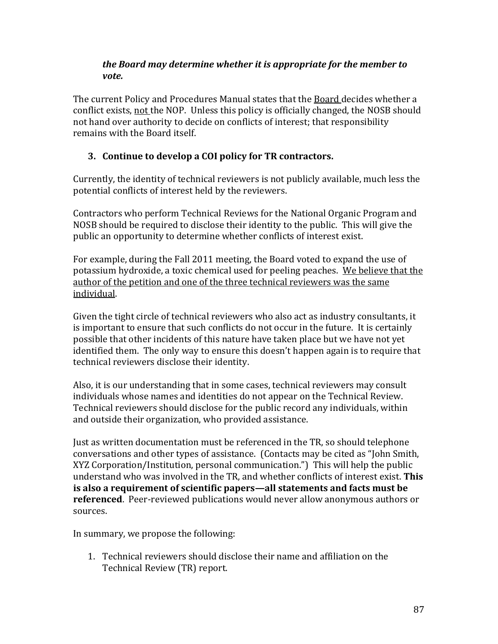#### the Board may determine whether it is appropriate for the member to vote.

The current Policy and Procedures Manual states that the Board decides whether a conflict exists, not the NOP. Unless this policy is officially changed, the NOSB should not hand over authority to decide on conflicts of interest; that responsibility remains with the Board itself.

## 3. Continue to develop a COI policy for TR contractors.

Currently, the identity of technical reviewers is not publicly available, much less the potential conflicts of interest held by the reviewers.

Contractors who perform Technical Reviews for the National Organic Program and NOSB should be required to disclose their identity to the public. This will give the public an opportunity to determine whether conflicts of interest exist.

For example, during the Fall 2011 meeting, the Board voted to expand the use of potassium hydroxide, a toxic chemical used for peeling peaches. We believe that the author of the petition and one of the three technical reviewers was the same individual.

Given the tight circle of technical reviewers who also act as industry consultants, it is important to ensure that such conflicts do not occur in the future. It is certainly possible that other incidents of this nature have taken place but we have not yet identified them. The only way to ensure this doesn't happen again is to require that technical reviewers disclose their identity.

Also, it is our understanding that in some cases, technical reviewers may consult individuals whose names and identities do not appear on the Technical Review. Technical reviewers should disclose for the public record any individuals, within and outside their organization, who provided assistance.

Just as written documentation must be referenced in the TR, so should telephone conversations and other types of assistance. (Contacts may be cited as "John Smith, XYZ Corporation/Institution, personal communication.") This will help the public understand who was involved in the TR, and whether conflicts of interest exist. This is also a requirement of scientific papers—all statements and facts must be **referenced.** Peer-reviewed publications would never allow anonymous authors or sources.

In summary, we propose the following:

1. Technical reviewers should disclose their name and affiliation on the Technical Review (TR) report.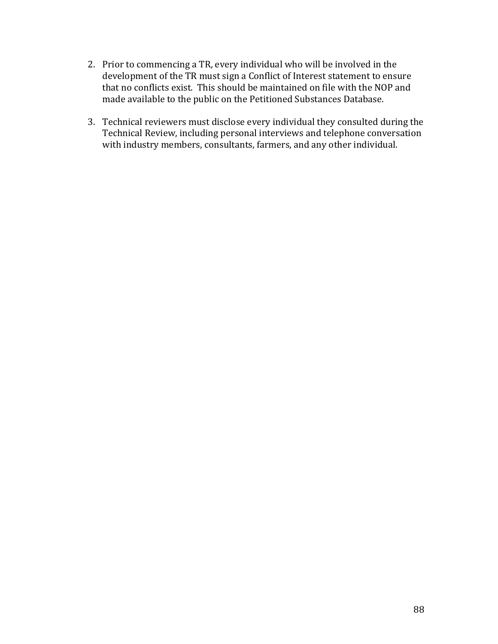- 2. Prior to commencing a TR, every individual who will be involved in the development of the TR must sign a Conflict of Interest statement to ensure that no conflicts exist. This should be maintained on file with the NOP and made available to the public on the Petitioned Substances Database.
- 3. Technical reviewers must disclose every individual they consulted during the Technical Review, including personal interviews and telephone conversation with industry members, consultants, farmers, and any other individual.